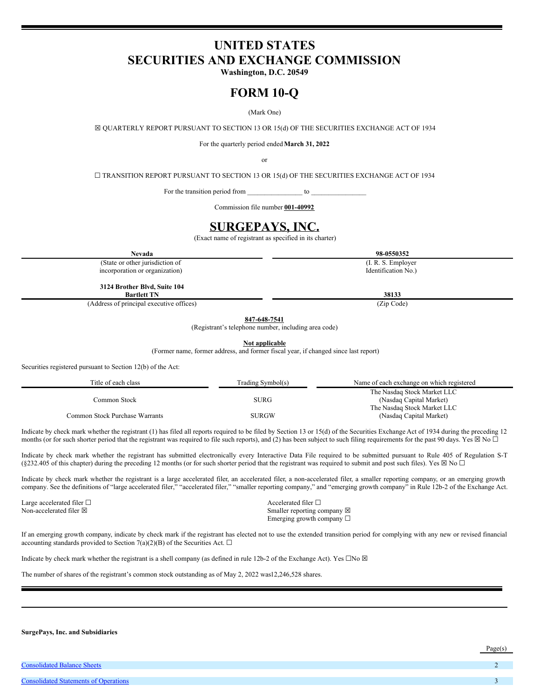# <span id="page-0-0"></span>**UNITED STATES SECURITIES AND EXCHANGE COMMISSION**

**Washington, D.C. 20549**

# **FORM 10-Q**

(Mark One)

☒ QUARTERLY REPORT PURSUANT TO SECTION 13 OR 15(d) OF THE SECURITIES EXCHANGE ACT OF 1934

For the quarterly period ended**March 31, 2022**

or

☐ TRANSITION REPORT PURSUANT TO SECTION 13 OR 15(d) OF THE SECURITIES EXCHANGE ACT OF 1934

For the transition period from \_\_\_\_\_\_\_\_\_\_\_\_\_\_\_\_ to \_\_\_\_\_\_\_\_\_\_\_\_\_\_\_\_

Commission file number **001-40992**

# **SURGEPAYS, INC.**

(Exact name of registrant as specified in its charter)

**Nevada 98-0550352**

(State or other jurisdiction of incorporation or organization)

**3124 Brother Blvd, Suite 104**

**Bartlett TN 38133**

(Address of principal executive offices) (Zip Code)

**847-648-7541**

(Registrant's telephone number, including area code)

**Not applicable**

(Former name, former address, and former fiscal year, if changed since last report)

Securities registered pursuant to Section 12(b) of the Act:

| Title of each class            | Trading Symbol(s) | Name of each exchange on which registered |
|--------------------------------|-------------------|-------------------------------------------|
|                                |                   | The Nasdaq Stock Market LLC               |
| Common Stock                   | <b>SURG</b>       | (Nasdaq Capital Market)                   |
|                                |                   | The Nasdag Stock Market LLC               |
| Common Stock Purchase Warrants | SURGW             | (Nasdaq Capital Market)                   |

Indicate by check mark whether the registrant (1) has filed all reports required to be filed by Section 13 or 15(d) of the Securities Exchange Act of 1934 during the preceding 12 months (or for such shorter period that the registrant was required to file such reports), and (2) has been subject to such filing requirements for the past 90 days. Yes  $\boxtimes$  No  $\Box$ 

Indicate by check mark whether the registrant has submitted electronically every Interactive Data File required to be submitted pursuant to Rule 405 of Regulation S-T (§232.405 of this chapter) during the preceding 12 months (or for such shorter period that the registrant was required to submit and post such files). Yes  $\boxtimes$  No  $\Box$ 

Indicate by check mark whether the registrant is a large accelerated filer, an accelerated filer, a non-accelerated filer, a smaller reporting company, or an emerging growth company. See the definitions of "large accelerated filer," "accelerated filer," "smaller reporting company," and "emerging growth company" in Rule 12b-2 of the Exchange Act.

Large accelerated filer □ and a set of the set of the set of the set of the set of the set of the set of the set of the set of the set of the set of the set of the set of the set of the set of the set of the set of the se

Non-accelerated filer ⊠ Smaller reporting company ⊠ Emerging growth company ☐

If an emerging growth company, indicate by check mark if the registrant has elected not to use the extended transition period for complying with any new or revised financial accounting standards provided to Section 7(a)(2)(B) of the Securities Act.  $\square$ 

Indicate by check mark whether the registrant is a shell company (as defined in rule 12b-2 of the Exchange Act). Yes  $\Box$ No  $\boxtimes$ 

The number of shares of the registrant's common stock outstanding as of May 2, 2022 was12,246,528 shares.

**SurgePays, Inc. and Subsidiaries**

[Consolidated](#page-0-0) Statements of Operations

**[Consolidated](#page-0-0) Balance Sheets** 

Page(s)

(I. R. S. Employer Identification No.)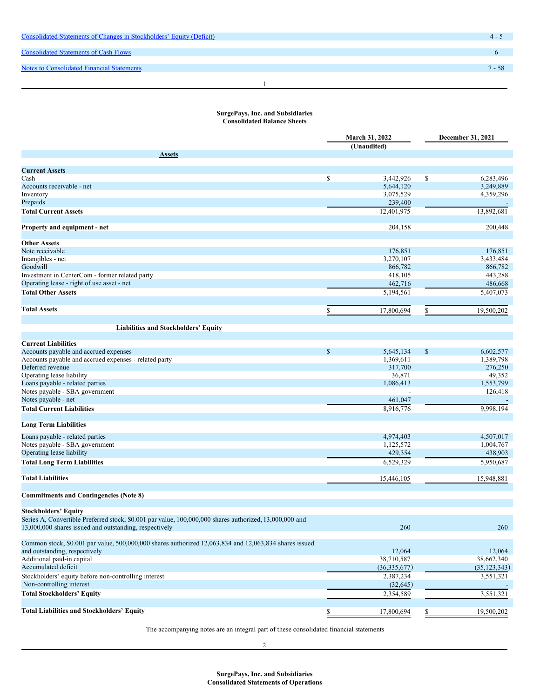| Consolidated Statements of Changes in Stockholders' Equity (Deficit) | $4 -$    |
|----------------------------------------------------------------------|----------|
|                                                                      |          |
| <b>Consolidated Statements of Cash Flows</b>                         |          |
|                                                                      |          |
| <b>Notes to Consolidated Financial Statements</b>                    | $7 - 58$ |
|                                                                      |          |
|                                                                      |          |
|                                                                      |          |

## **SurgePays, Inc. and Subsidiaries Consolidated Balance Sheets**

|                                                                                                                                                                   | <b>March 31, 2022</b><br>(Unaudited) |                |              | December 31, 2021 |  |
|-------------------------------------------------------------------------------------------------------------------------------------------------------------------|--------------------------------------|----------------|--------------|-------------------|--|
| <b>Assets</b>                                                                                                                                                     |                                      |                |              |                   |  |
|                                                                                                                                                                   |                                      |                |              |                   |  |
| <b>Current Assets</b>                                                                                                                                             |                                      |                |              |                   |  |
| Cash                                                                                                                                                              | \$                                   | 3,442,926      | \$           | 6,283,496         |  |
| Accounts receivable - net                                                                                                                                         |                                      | 5,644,120      |              | 3,249,889         |  |
| Inventory                                                                                                                                                         |                                      | 3,075,529      |              | 4,359,296         |  |
| Prepaids                                                                                                                                                          |                                      | 239,400        |              |                   |  |
| <b>Total Current Assets</b>                                                                                                                                       |                                      | 12,401,975     |              | 13,892,681        |  |
| Property and equipment - net                                                                                                                                      |                                      | 204,158        |              | 200,448           |  |
| <b>Other Assets</b>                                                                                                                                               |                                      |                |              |                   |  |
| Note receivable                                                                                                                                                   |                                      | 176,851        |              | 176,851           |  |
| Intangibles - net                                                                                                                                                 |                                      | 3,270,107      |              | 3,433,484         |  |
| Goodwill                                                                                                                                                          |                                      | 866,782        |              | 866,782           |  |
| Investment in CenterCom - former related party                                                                                                                    |                                      | 418,105        |              | 443,288           |  |
| Operating lease - right of use asset - net                                                                                                                        |                                      | 462,716        |              | 486,668           |  |
| <b>Total Other Assets</b>                                                                                                                                         |                                      | 5,194,561      |              | 5,407,073         |  |
| <b>Total Assets</b>                                                                                                                                               | \$                                   |                | \$           | 19,500,202        |  |
|                                                                                                                                                                   |                                      | 17,800,694     |              |                   |  |
| <b>Liabilities and Stockholders' Equity</b>                                                                                                                       |                                      |                |              |                   |  |
| <b>Current Liabilities</b>                                                                                                                                        |                                      |                |              |                   |  |
| Accounts payable and accrued expenses                                                                                                                             | $\mathbb{S}$                         | 5,645,134      | $\mathbb{S}$ | 6,602,577         |  |
| Accounts payable and accrued expenses - related party                                                                                                             |                                      | 1,369,611      |              | 1,389,798         |  |
| Deferred revenue                                                                                                                                                  |                                      | 317,700        |              | 276,250           |  |
| Operating lease liability                                                                                                                                         |                                      | 36,871         |              | 49,352            |  |
| Loans payable - related parties                                                                                                                                   |                                      | 1,086,413      |              | 1,553,799         |  |
| Notes payable - SBA government                                                                                                                                    |                                      |                |              | 126,418           |  |
| Notes payable - net                                                                                                                                               |                                      | 461,047        |              |                   |  |
| <b>Total Current Liabilities</b>                                                                                                                                  |                                      | 8,916,776      |              | 9,998,194         |  |
|                                                                                                                                                                   |                                      |                |              |                   |  |
| <b>Long Term Liabilities</b>                                                                                                                                      |                                      |                |              |                   |  |
| Loans payable - related parties                                                                                                                                   |                                      | 4,974,403      |              | 4,507,017         |  |
| Notes payable - SBA government                                                                                                                                    |                                      | 1,125,572      |              | 1,004,767         |  |
| Operating lease liability                                                                                                                                         |                                      | 429,354        |              | 438,903           |  |
| <b>Total Long Term Liabilities</b>                                                                                                                                |                                      | 6,529,329      |              | 5,950,687         |  |
| <b>Total Liabilities</b>                                                                                                                                          |                                      | 15,446,105     |              | 15,948,881        |  |
|                                                                                                                                                                   |                                      |                |              |                   |  |
| <b>Commitments and Contingencies (Note 8)</b>                                                                                                                     |                                      |                |              |                   |  |
| <b>Stockholders' Equity</b>                                                                                                                                       |                                      |                |              |                   |  |
| Series A, Convertible Preferred stock, \$0.001 par value, 100,000,000 shares authorized, 13,000,000 and<br>13,000,000 shares issued and outstanding, respectively |                                      | 260            |              | 260               |  |
| Common stock, \$0.001 par value, 500,000,000 shares authorized 12,063,834 and 12,063,834 shares issued                                                            |                                      |                |              |                   |  |
| and outstanding, respectively                                                                                                                                     |                                      | 12,064         |              | 12,064            |  |
| Additional paid-in capital                                                                                                                                        |                                      | 38,710,587     |              | 38,662,340        |  |
| Accumulated deficit                                                                                                                                               |                                      |                |              |                   |  |
|                                                                                                                                                                   |                                      | (36, 335, 677) |              | (35, 123, 343)    |  |
| Stockholders' equity before non-controlling interest                                                                                                              |                                      | 2,387,234      |              | 3,551,321         |  |
| Non-controlling interest                                                                                                                                          |                                      | (32, 645)      |              |                   |  |
| <b>Total Stockholders' Equity</b>                                                                                                                                 |                                      | 2,354,589      |              | 3,551,321         |  |
| <b>Total Liabilities and Stockholders' Equity</b>                                                                                                                 | \$                                   | 17,800,694     | \$           | 19,500,202        |  |
|                                                                                                                                                                   |                                      |                |              |                   |  |

The accompanying notes are an integral part of these consolidated financial statements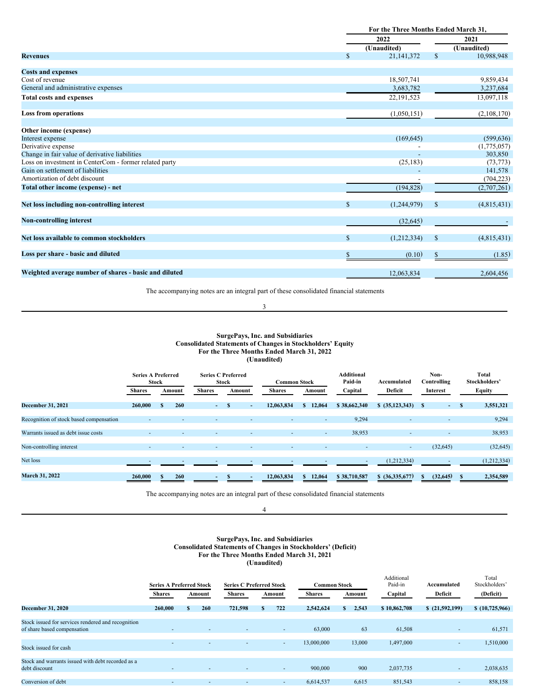|                                                        |               | For the Three Months Ended March 31, |             |  |  |  |
|--------------------------------------------------------|---------------|--------------------------------------|-------------|--|--|--|
|                                                        |               | 2022                                 | 2021        |  |  |  |
|                                                        |               | (Unaudited)                          | (Unaudited) |  |  |  |
| <b>Revenues</b>                                        | $\mathbf{s}$  | $\mathbb{S}$<br>21,141,372           | 10,988,948  |  |  |  |
| <b>Costs and expenses</b>                              |               |                                      |             |  |  |  |
| Cost of revenue                                        |               | 18,507,741                           | 9,859,434   |  |  |  |
| General and administrative expenses                    |               | 3,683,782                            | 3,237,684   |  |  |  |
| <b>Total costs and expenses</b>                        |               | 22, 191, 523                         | 13,097,118  |  |  |  |
| <b>Loss from operations</b>                            |               | (1,050,151)                          | (2,108,170) |  |  |  |
| Other income (expense)                                 |               |                                      |             |  |  |  |
| Interest expense                                       |               | (169, 645)                           | (599, 636)  |  |  |  |
| Derivative expense                                     |               |                                      | (1,775,057) |  |  |  |
| Change in fair value of derivative liabilities         |               |                                      | 303,850     |  |  |  |
| Loss on investment in CenterCom - former related party |               | (25, 183)                            | (73, 773)   |  |  |  |
| Gain on settlement of liabilities                      |               |                                      | 141,578     |  |  |  |
| Amortization of debt discount                          |               |                                      | (704, 223)  |  |  |  |
| Total other income (expense) - net                     |               | (194, 828)                           | (2,707,261) |  |  |  |
| Net loss including non-controlling interest            | $\mathcal{S}$ | $\mathbb{S}$<br>(1,244,979)          | (4,815,431) |  |  |  |
| <b>Non-controlling interest</b>                        |               | (32, 645)                            |             |  |  |  |
| Net loss available to common stockholders              | $\mathbf{s}$  | (1,212,334)<br><sup>\$</sup>         | (4,815,431) |  |  |  |
| Loss per share - basic and diluted                     | <b>S</b>      | (0.10)<br>\$                         | (1.85)      |  |  |  |
| Weighted average number of shares - basic and diluted  |               | 12,063,834                           | 2,604,456   |  |  |  |

The accompanying notes are an integral part of these consolidated financial statements

## 3

#### **SurgePays, Inc. and Subsidiaries Consolidated Statements of Changes in Stockholders' Equity For the Three Months Ended March 31, 2022 (Unaudited)**

|                                         | <b>Series A Preferred</b> | <b>Stock</b> |                          | <b>Series C Preferred</b> | <b>Stock</b> |                          | <b>Common Stock</b> |              | <b>Additional</b><br>Paid-in | Accumulated              | Non-<br>Controlling |      | Total<br>Stockholders' |
|-----------------------------------------|---------------------------|--------------|--------------------------|---------------------------|--------------|--------------------------|---------------------|--------------|------------------------------|--------------------------|---------------------|------|------------------------|
|                                         | <b>Shares</b>             |              | Amount                   | <b>Shares</b>             |              | Amount                   | <b>Shares</b>       | Amount       | Capital                      | Deficit                  | Interest            |      | <b>Equity</b>          |
| <b>December 31, 2021</b>                | 260,000                   | <b>S</b>     | 260                      | $\sim$ .                  |              | $\overline{\phantom{0}}$ | 12,063,834          | 12,064<br>S. | \$38,662,340                 | \$ (35,123,343)          | s<br>$\sim 10$      | - 38 | 3,551,321              |
| Recognition of stock based compensation |                           |              |                          |                           |              |                          | <b>м.</b>           |              | 9,294<br>$\sim$              | $\overline{\phantom{a}}$ | $\sim$              |      | 9,294                  |
| Warrants issued as debt issue costs     |                           |              | $\overline{\phantom{a}}$ | $\sim$                    |              |                          | н.                  |              | 38,953<br>$\sim$             | $\overline{\phantom{a}}$ | $\sim$              |      | 38,953                 |
| Non-controlling interest                |                           |              | $\overline{\phantom{a}}$ |                           |              | ۰                        | $\sim$              |              | $\overline{\phantom{a}}$     | $\sim$                   | (32, 645)           |      | (32, 645)              |
| Net loss                                |                           |              |                          |                           |              |                          |                     |              |                              | (1,212,334)              |                     |      | (1,212,334)            |
| <b>March 31, 2022</b>                   | 260,000                   | S            | 260                      |                           |              |                          | 12,063,834          | 12,064<br>S. | \$38,710,587                 | \$ (36,335,677)          | (32, 645)<br>S      |      | 2,354,589              |

The accompanying notes are an integral part of these consolidated financial statements

## 4

## **SurgePays, Inc. and Subsidiaries Consolidated Statements of Changes in Stockholders' (Deficit) For the Three Months Ended March 31, 2021 (Unaudited)**

|                                                                                   | <b>Series A Preferred Stock</b> |              |                          | <b>Series C Preferred Stock</b> |    |        | <b>Common Stock</b> |             | Additional<br>Paid-in | Accumulated              | Total<br>Stockholders' |
|-----------------------------------------------------------------------------------|---------------------------------|--------------|--------------------------|---------------------------------|----|--------|---------------------|-------------|-----------------------|--------------------------|------------------------|
|                                                                                   | <b>Shares</b>                   |              | Amount                   | <b>Shares</b>                   |    | Amount | <b>Shares</b>       | Amount      | Capital               | Deficit                  | (Deficit)              |
| <b>December 31, 2020</b>                                                          | 260,000                         | $\mathbf{s}$ | 260                      | 721,598                         | ×. | 722    | 2,542,624           | 2,543<br>s. | \$10,862,708          | \$(21,592,199)           | \$(10,725,966)         |
| Stock issued for services rendered and recognition<br>of share based compensation | $\overline{\phantom{a}}$        |              | $\overline{\phantom{a}}$ | ۰                               |    | $\sim$ | 63,000              | 63          | 61,508                | ۰                        | 61,571                 |
|                                                                                   |                                 |              | $\overline{\phantom{a}}$ |                                 |    | н.     | 13,000,000          | 13,000      | 1,497,000             | ۰                        | 1,510,000              |
| Stock issued for cash                                                             |                                 |              |                          |                                 |    |        |                     |             |                       |                          |                        |
| Stock and warrants issued with debt recorded as a<br>debt discount                | $\overline{\phantom{a}}$        |              | $\overline{\phantom{a}}$ | $\sim$                          |    | $\sim$ | 900,000             | 900         | 2,037,735             | $\overline{\phantom{a}}$ | 2,038,635              |
| Conversion of debt                                                                | $\sim$                          |              |                          | ٠                               |    | н.     | 6,614,537           | 6,615       | 851.543               | ۰                        | 858,158                |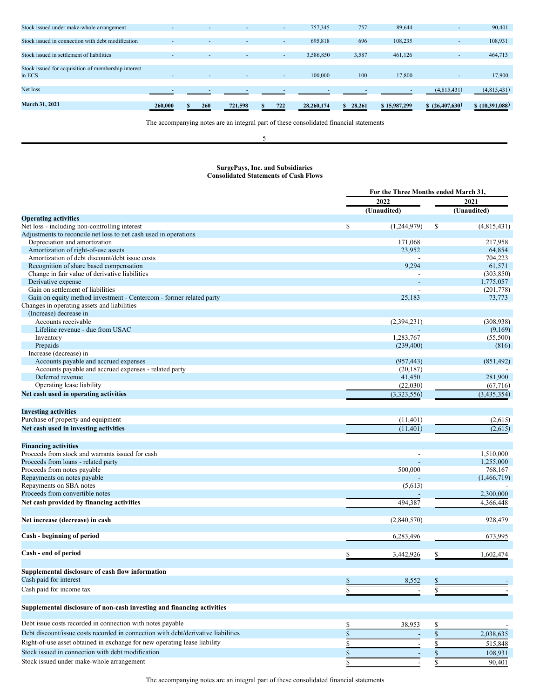| <b>March 31, 2021</b>                               | 260,000                  | 260<br>S.                | 721,598 | 722<br>S. | 28,260,174 | 28,261<br>S. | \$15,987,299 | \$(26,407,630)           | \$(10,391,088) |
|-----------------------------------------------------|--------------------------|--------------------------|---------|-----------|------------|--------------|--------------|--------------------------|----------------|
| Net loss                                            |                          |                          |         |           |            |              |              | (4,815,431)              | (4,815,431)    |
| in ECS                                              |                          | $\overline{\phantom{a}}$ |         | ۰         | 100,000    | 100          | 17,800       |                          | 17,900         |
| Stock issued for acquisition of membership interest |                          |                          |         |           |            |              |              |                          |                |
| Stock issued in settlement of liabilities           |                          | $\overline{\phantom{a}}$ | $\sim$  | ۰         | 3,586,850  | 3,587        | 461,126      | $\overline{\phantom{a}}$ | 464,713        |
|                                                     | $\overline{\phantom{a}}$ | $\overline{\phantom{a}}$ |         | ۰.        | 695,818    |              | 108,235      |                          | 108,931        |
| Stock issued in connection with debt modification   |                          |                          |         |           |            | 696          |              |                          |                |
| Stock issued under make-whole arrangement           |                          | $\sim$                   | $\sim$  | ۰         | 757,345    | 757          | 89,644       |                          | 90,401         |

The accompanying notes are an integral part of these consolidated financial statements

## 5

#### **SurgePays, Inc. and Subsidiaries Consolidated Statements of Cash Flows**

|                                                                                   |      | For the Three Months ended March 31, |    |               |  |  |
|-----------------------------------------------------------------------------------|------|--------------------------------------|----|---------------|--|--|
|                                                                                   |      | 2022                                 |    | 2021          |  |  |
|                                                                                   |      | (Unaudited)                          |    | (Unaudited)   |  |  |
| <b>Operating activities</b>                                                       |      |                                      |    |               |  |  |
| Net loss - including non-controlling interest                                     | \$   | (1,244,979)                          | \$ | (4,815,431)   |  |  |
| Adjustments to reconcile net loss to net cash used in operations                  |      |                                      |    |               |  |  |
| Depreciation and amortization                                                     |      | 171,068                              |    | 217,958       |  |  |
| Amortization of right-of-use assets                                               |      | 23,952                               |    | 64,854        |  |  |
| Amortization of debt discount/debt issue costs                                    |      |                                      |    | 704,223       |  |  |
| Recognition of share based compensation                                           |      | 9,294                                |    | 61,571        |  |  |
| Change in fair value of derivative liabilities                                    |      |                                      |    | (303, 850)    |  |  |
| Derivative expense                                                                |      |                                      |    | 1,775,057     |  |  |
| Gain on settlement of liabilities                                                 |      |                                      |    | (201, 778)    |  |  |
| Gain on equity method investment - Centercom - former related party               |      | 25,183                               |    | 73,773        |  |  |
| Changes in operating assets and liabilities                                       |      |                                      |    |               |  |  |
| (Increase) decrease in                                                            |      |                                      |    |               |  |  |
| Accounts receivable                                                               |      | (2,394,231)                          |    | (308, 938)    |  |  |
| Lifeline revenue - due from USAC                                                  |      |                                      |    | (9,169)       |  |  |
| Inventory                                                                         |      | 1,283,767                            |    | (55,500)      |  |  |
| Prepaids                                                                          |      | (239, 400)                           |    | (816)         |  |  |
| Increase (decrease) in                                                            |      |                                      |    |               |  |  |
| Accounts payable and accrued expenses                                             |      | (957, 443)                           |    | (851, 492)    |  |  |
| Accounts payable and accrued expenses - related party                             |      | (20, 187)                            |    |               |  |  |
| Deferred revenue                                                                  |      | 41,450                               |    | 281,900       |  |  |
| Operating lease liability                                                         |      | (22,030)                             |    | (67, 716)     |  |  |
| Net cash used in operating activities                                             |      | (3,323,556)                          |    | (3, 435, 354) |  |  |
|                                                                                   |      |                                      |    |               |  |  |
| <b>Investing activities</b>                                                       |      |                                      |    |               |  |  |
| Purchase of property and equipment                                                |      | (11,401)                             |    | (2,615)       |  |  |
| Net cash used in investing activities                                             |      | (11,401)                             |    | (2,615)       |  |  |
|                                                                                   |      |                                      |    |               |  |  |
| <b>Financing activities</b>                                                       |      |                                      |    |               |  |  |
| Proceeds from stock and warrants issued for cash                                  |      |                                      |    | 1,510,000     |  |  |
| Proceeds from loans - related party                                               |      |                                      |    | 1,255,000     |  |  |
| Proceeds from notes payable                                                       |      | 500,000                              |    | 768,167       |  |  |
| Repayments on notes payable                                                       |      |                                      |    | (1,466,719)   |  |  |
| Repayments on SBA notes                                                           |      | (5,613)                              |    |               |  |  |
| Proceeds from convertible notes                                                   |      |                                      |    | 2,300,000     |  |  |
|                                                                                   |      | 494,387                              |    |               |  |  |
| Net cash provided by financing activities                                         |      |                                      |    | 4,366,448     |  |  |
| Net increase (decrease) in cash                                                   |      | (2,840,570)                          |    | 928,479       |  |  |
|                                                                                   |      |                                      |    |               |  |  |
| Cash - beginning of period                                                        |      | 6,283,496                            |    | 673,995       |  |  |
| Cash - end of period                                                              | \$   | 3,442,926                            | \$ | 1,602,474     |  |  |
|                                                                                   |      |                                      |    |               |  |  |
| Supplemental disclosure of cash flow information                                  |      |                                      |    |               |  |  |
| Cash paid for interest                                                            | \$   | 8,552                                | \$ |               |  |  |
| Cash paid for income tax                                                          | \$   |                                      | \$ |               |  |  |
|                                                                                   |      |                                      |    |               |  |  |
| Supplemental disclosure of non-cash investing and financing activities            |      |                                      |    |               |  |  |
| Debt issue costs recorded in connection with notes payable                        |      | 38,953                               |    |               |  |  |
| Debt discount/issue costs recorded in connection with debt/derivative liabilities | \$   |                                      | \$ | 2,038,635     |  |  |
| Right-of-use asset obtained in exchange for new operating lease liability         |      |                                      |    |               |  |  |
|                                                                                   | S    |                                      |    | 515,848       |  |  |
| Stock issued in connection with debt modification                                 | $\$$ |                                      |    | 108,931       |  |  |
| Stock issued under make-whole arrangement                                         | \$   |                                      | \$ | 90,401        |  |  |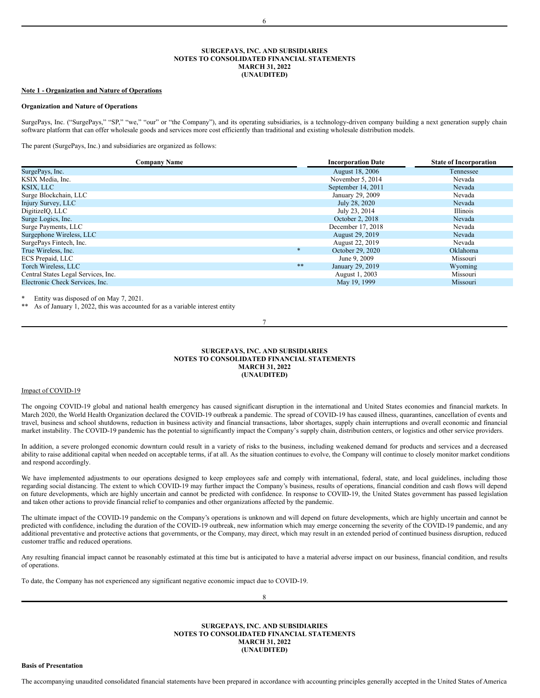#### **SURGEPAYS, INC. AND SUBSIDIARIES NOTES TO CONSOLIDATED FINANCIAL STATEMENTS MARCH 31, 2022 (UNAUDITED)**

#### **Note 1 - Organization and Nature of Operations**

#### **Organization and Nature of Operations**

SurgePays, Inc. ("SurgePays," "SP," "we," "our" or "the Company"), and its operating subsidiaries, is a technology-driven company building a next generation supply chain software platform that can offer wholesale goods and services more cost efficiently than traditional and existing wholesale distribution models.

The parent (SurgePays, Inc.) and subsidiaries are organized as follows:

| <b>Company Name</b>                 |        | <b>Incorporation Date</b> | <b>State of Incorporation</b> |
|-------------------------------------|--------|---------------------------|-------------------------------|
| SurgePays, Inc.                     |        | August 18, 2006           | Tennessee                     |
| KSIX Media, Inc.                    |        | November 5, 2014          | Nevada                        |
| KSIX, LLC                           |        | September 14, 2011        | Nevada                        |
| Surge Blockchain, LLC               |        | January 29, 2009          | Nevada                        |
| Injury Survey, LLC                  |        | July 28, 2020             | Nevada                        |
| DigitizeIQ, LLC                     |        | July 23, 2014             | <b>Illinois</b>               |
| Surge Logics, Inc.                  |        | October 2, 2018           | Nevada                        |
| Surge Payments, LLC                 |        | December 17, 2018         | Nevada                        |
| Surgephone Wireless, LLC            |        | <b>August 29, 2019</b>    | Nevada                        |
| SurgePays Fintech, Inc.             |        | August 22, 2019           | Nevada                        |
| True Wireless, Inc.                 | $\ast$ | October 29, 2020          | Oklahoma                      |
| ECS Prepaid, LLC                    |        | June 9, 2009              | Missouri                      |
| Torch Wireless, LLC                 | **     | January 29, 2019          | Wyoming                       |
| Central States Legal Services, Inc. |        | August 1, 2003            | Missouri                      |
| Electronic Check Services, Inc.     |        | May 19, 1999              | Missouri                      |

Entity was disposed of on May 7, 2021.

As of January 1, 2022, this was accounted for as a variable interest entity

## 7

#### **SURGEPAYS, INC. AND SUBSIDIARIES NOTES TO CONSOLIDATED FINANCIAL STATEMENTS MARCH 31, 2022 (UNAUDITED)**

## Impact of COVID-19

The ongoing COVID-19 global and national health emergency has caused significant disruption in the international and United States economies and financial markets. In March 2020, the World Health Organization declared the COVID-19 outbreak a pandemic. The spread of COVID-19 has caused illness, quarantines, cancellation of events and travel, business and school shutdowns, reduction in business activity and financial transactions, labor shortages, supply chain interruptions and overall economic and financial market instability. The COVID-19 pandemic has the potential to significantly impact the Company's supply chain, distribution centers, or logistics and other service providers.

In addition, a severe prolonged economic downturn could result in a variety of risks to the business, including weakened demand for products and services and a decreased ability to raise additional capital when needed on acceptable terms, if at all. As the situation continues to evolve, the Company will continue to closely monitor market conditions and respond accordingly.

We have implemented adjustments to our operations designed to keep employees safe and comply with international, federal, state, and local guidelines, including those regarding social distancing. The extent to which COVID-19 may further impact the Company's business, results of operations, financial condition and cash flows will depend on future developments, which are highly uncertain and cannot be predicted with confidence. In response to COVID-19, the United States government has passed legislation and taken other actions to provide financial relief to companies and other organizations affected by the pandemic.

The ultimate impact of the COVID-19 pandemic on the Company's operations is unknown and will depend on future developments, which are highly uncertain and cannot be predicted with confidence, including the duration of the COVID-19 outbreak, new information which may emerge concerning the severity of the COVID-19 pandemic, and any additional preventative and protective actions that governments, or the Company, may direct, which may result in an extended period of continued business disruption, reduced customer traffic and reduced operations.

Any resulting financial impact cannot be reasonably estimated at this time but is anticipated to have a material adverse impact on our business, financial condition, and results of operations.

To date, the Company has not experienced any significant negative economic impact due to COVID-19.

8

**SURGEPAYS, INC. AND SUBSIDIARIES NOTES TO CONSOLIDATED FINANCIAL STATEMENTS MARCH 31, 2022 (UNAUDITED)**

**Basis of Presentation**

The accompanying unaudited consolidated financial statements have been prepared in accordance with accounting principles generally accepted in the United States of America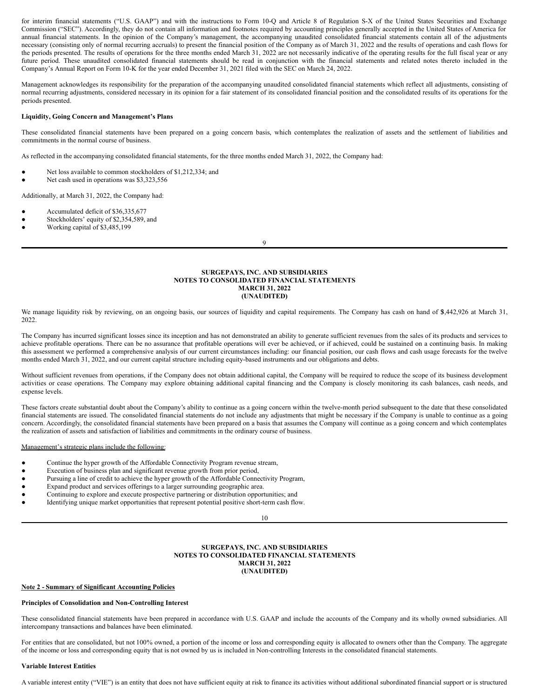for interim financial statements ("U.S. GAAP") and with the instructions to Form 10-Q and Article 8 of Regulation S-X of the United States Securities and Exchange Commission ("SEC"). Accordingly, they do not contain all information and footnotes required by accounting principles generally accepted in the United States of America for annual financial statements. In the opinion of the Company's management, the accompanying unaudited consolidated financial statements contain all of the adjustments necessary (consisting only of normal recurring accruals) to present the financial position of the Company as of March 31, 2022 and the results of operations and cash flows for the periods presented. The results of operations for the three months ended March 31, 2022 are not necessarily indicative of the operating results for the full fiscal year or any future period. These unaudited consolidated financial statements should be read in conjunction with the financial statements and related notes thereto included in the Company's Annual Report on Form 10-K for the year ended December 31, 2021 filed with the SEC on March 24, 2022.

Management acknowledges its responsibility for the preparation of the accompanying unaudited consolidated financial statements which reflect all adjustments, consisting of normal recurring adjustments, considered necessary in its opinion for a fair statement of its consolidated financial position and the consolidated results of its operations for the periods presented.

## **Liquidity, Going Concern and Management's Plans**

These consolidated financial statements have been prepared on a going concern basis, which contemplates the realization of assets and the settlement of liabilities and commitments in the normal course of business.

As reflected in the accompanying consolidated financial statements, for the three months ended March 31, 2022, the Company had:

- Net loss available to common stockholders of \$1,212,334; and
- Net cash used in operations was \$3,323,556

Additionally, at March 31, 2022, the Company had:

- Accumulated deficit of \$36,335,677
- Stockholders' equity of \$2,354,589, and
- Working capital of \$3,485,199

9

#### **SURGEPAYS, INC. AND SUBSIDIARIES NOTES TO CONSOLIDATED FINANCIAL STATEMENTS MARCH 31, 2022 (UNAUDITED)**

We manage liquidity risk by reviewing, on an ongoing basis, our sources of liquidity and capital requirements. The Company has cash on hand of \$,442,926 at March 31, 2022.

The Company has incurred significant losses since its inception and has not demonstrated an ability to generate sufficient revenues from the sales of its products and services to achieve profitable operations. There can be no assurance that profitable operations will ever be achieved, or if achieved, could be sustained on a continuing basis. In making this assessment we performed a comprehensive analysis of our current circumstances including: our financial position, our cash flows and cash usage forecasts for the twelve months ended March 31, 2022, and our current capital structure including equity-based instruments and our obligations and debts.

Without sufficient revenues from operations, if the Company does not obtain additional capital, the Company will be required to reduce the scope of its business development activities or cease operations. The Company may explore obtaining additional capital financing and the Company is closely monitoring its cash balances, cash needs, and expense levels.

These factors create substantial doubt about the Company's ability to continue as a going concern within the twelve-month period subsequent to the date that these consolidated financial statements are issued. The consolidated financial statements do not include any adjustments that might be necessary if the Company is unable to continue as a going concern. Accordingly, the consolidated financial statements have been prepared on a basis that assumes the Company will continue as a going concern and which contemplates the realization of assets and satisfaction of liabilities and commitments in the ordinary course of business.

### Management's strategic plans include the following:

- Continue the hyper growth of the Affordable Connectivity Program revenue stream,
- Execution of business plan and significant revenue growth from prior period,
- Pursuing a line of credit to achieve the hyper growth of the Affordable Connectivity Program,
- Expand product and services offerings to a larger surrounding geographic area.
- Continuing to explore and execute prospective partnering or distribution opportunities; and
- Identifying unique market opportunities that represent potential positive short-term cash flow.

10

#### **SURGEPAYS, INC. AND SUBSIDIARIES NOTES TO CONSOLIDATED FINANCIAL STATEMENTS MARCH 31, 2022 (UNAUDITED)**

#### **Note 2 - Summary of Significant Accounting Policies**

#### **Principles of Consolidation and Non-Controlling Interest**

These consolidated financial statements have been prepared in accordance with U.S. GAAP and include the accounts of the Company and its wholly owned subsidiaries. All intercompany transactions and balances have been eliminated.

For entities that are consolidated, but not 100% owned, a portion of the income or loss and corresponding equity is allocated to owners other than the Company. The aggregate of the income or loss and corresponding equity that is not owned by us is included in Non-controlling Interests in the consolidated financial statements.

#### **Variable Interest Entities**

A variable interest entity ("VIE") is an entity that does not have sufficient equity at risk to finance its activities without additional subordinated financial support or is structured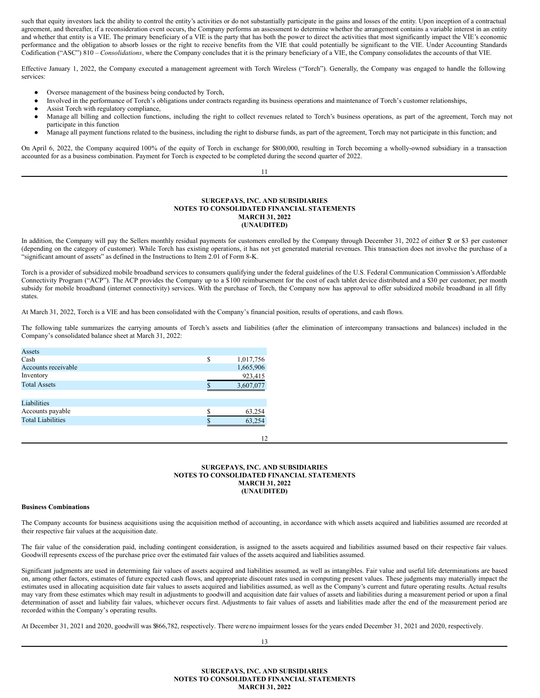such that equity investors lack the ability to control the entity's activities or do not substantially participate in the gains and losses of the entity. Upon inception of a contractual agreement, and thereafter, if a reconsideration event occurs, the Company performs an assessment to determine whether the arrangement contains a variable interest in an entity and whether that entity is a VIE. The primary beneficiary of a VIE is the party that has both the power to direct the activities that most significantly impact the VIE's economic performance and the obligation to absorb losses or the right to receive benefits from the VIE that could potentially be significant to the VIE. Under Accounting Standards Codification ("ASC") 810 – *Consolidations*, where the Company concludes that it is the primary beneficiary of a VIE, the Company consolidates the accounts of that VIE.

Effective January 1, 2022, the Company executed a management agreement with Torch Wireless ("Torch"). Generally, the Company was engaged to handle the following services:

- Oversee management of the business being conducted by Torch,
- Involved in the performance of Torch's obligations under contracts regarding its business operations and maintenance of Torch's customer relationships,
- Assist Torch with regulatory compliance,
- Manage all billing and collection functions, including the right to collect revenues related to Torch's business operations, as part of the agreement, Torch may not participate in this function
- Manage all payment functions related to the business, including the right to disburse funds, as part of the agreement, Torch may not participate in this function; and

On April 6, 2022, the Company acquired 100% of the equity of Torch in exchange for \$800,000, resulting in Torch becoming a wholly-owned subsidiary in a transaction accounted for as a business combination. Payment for Torch is expected to be completed during the second quarter of 2022.

11

#### **SURGEPAYS, INC. AND SUBSIDIARIES NOTES TO CONSOLIDATED FINANCIAL STATEMENTS MARCH 31, 2022 (UNAUDITED)**

In addition, the Company will pay the Sellers monthly residual payments for customers enrolled by the Company through December 31, 2022 of either \$2 or \$3 per customer (depending on the category of customer). While Torch has existing operations, it has not yet generated material revenues. This transaction does not involve the purchase of a "significant amount of assets" as defined in the Instructions to Item 2.01 of Form 8-K.

Torch is a provider of subsidized mobile broadband services to consumers qualifying under the federal guidelines of the U.S. Federal Communication Commission's Affordable Connectivity Program ("ACP"). The ACP provides the Company up to a \$100 reimbursement for the cost of each tablet device distributed and a \$30 per customer, per month subsidy for mobile broadband (internet connectivity) services. With the purchase of Torch, the Company now has approval to offer subsidized mobile broadband in all fifty states.

At March 31, 2022, Torch is a VIE and has been consolidated with the Company's financial position, results of operations, and cash flows.

The following table summarizes the carrying amounts of Torch's assets and liabilities (after the elimination of intercompany transactions and balances) included in the Company's consolidated balance sheet at March 31, 2022:

| Assets                   |   |           |
|--------------------------|---|-----------|
| Cash                     | S | 1,017,756 |
| Accounts receivable      |   | 1,665,906 |
| Inventory                |   | 923,415   |
| <b>Total Assets</b>      |   | 3,607,077 |
|                          |   |           |
| Liabilities              |   |           |
| Accounts payable         |   | 63,254    |
| <b>Total Liabilities</b> |   | 63,254    |
|                          |   |           |

## **SURGEPAYS, INC. AND SUBSIDIARIES NOTES TO CONSOLIDATED FINANCIAL STATEMENTS MARCH 31, 2022 (UNAUDITED)**

12

#### **Business Combinations**

The Company accounts for business acquisitions using the acquisition method of accounting, in accordance with which assets acquired and liabilities assumed are recorded at their respective fair values at the acquisition date.

The fair value of the consideration paid, including contingent consideration, is assigned to the assets acquired and liabilities assumed based on their respective fair values. Goodwill represents excess of the purchase price over the estimated fair values of the assets acquired and liabilities assumed.

Significant judgments are used in determining fair values of assets acquired and liabilities assumed, as well as intangibles. Fair value and useful life determinations are based on, among other factors, estimates of future expected cash flows, and appropriate discount rates used in computing present values. These judgments may materially impact the estimates used in allocating acquisition date fair values to assets acquired and liabilities assumed, as well as the Company's current and future operating results. Actual results may vary from these estimates which may result in adjustments to goodwill and acquisition date fair values of assets and liabilities during a measurement period or upon a final determination of asset and liability fair values, whichever occurs first. Adjustments to fair values of assets and liabilities made after the end of the measurement period are recorded within the Company's operating results.

At December 31, 2021 and 2020, goodwill was \$866,782, respectively. There wereno impairment losses for the years ended December 31, 2021 and 2020, respectively.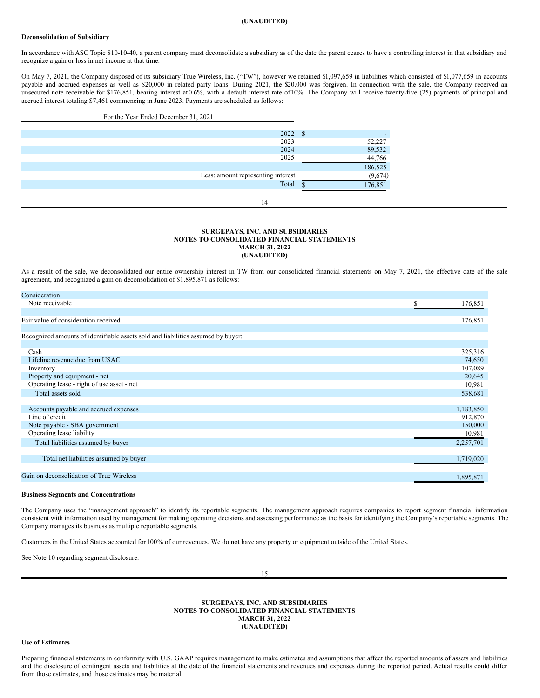### **(UNAUDITED)**

#### **Deconsolidation of Subsidiary**

In accordance with ASC Topic 810-10-40, a parent company must deconsolidate a subsidiary as of the date the parent ceases to have a controlling interest in that subsidiary and recognize a gain or loss in net income at that time.

On May 7, 2021, the Company disposed of its subsidiary True Wireless, Inc. ("TW"), however we retained \$1,097,659 in liabilities which consisted of \$1,077,659 in accounts payable and accrued expenses as well as \$20,000 in related party loans. During 2021, the \$20,000 was forgiven. In connection with the sale, the Company received an unsecured note receivable for \$176,851, bearing interest at0.6%, with a default interest rate of10%. The Company will receive twenty-five (25) payments of principal and accrued interest totaling \$7,461 commencing in June 2023. Payments are scheduled as follows:

| For the Year Ended December 31, 2021 |                           |
|--------------------------------------|---------------------------|
|                                      |                           |
| 2022 \$                              |                           |
| 2023                                 | 52,227                    |
| 2024                                 | 89,532                    |
| 2025                                 | 44,766                    |
|                                      |                           |
| Less: amount representing interest   | $\frac{186,525}{(9,674)}$ |
| Total                                | 176,851                   |
|                                      |                           |
| 14                                   |                           |

#### **SURGEPAYS, INC. AND SUBSIDIARIES NOTES TO CONSOLIDATED FINANCIAL STATEMENTS MARCH 31, 2022 (UNAUDITED)**

As a result of the sale, we deconsolidated our entire ownership interest in TW from our consolidated financial statements on May 7, 2021, the effective date of the sale agreement, and recognized a gain on deconsolidation of \$1,895,871 as follows:

| Consideration                                                                    |              |
|----------------------------------------------------------------------------------|--------------|
| Note receivable                                                                  | S<br>176,851 |
|                                                                                  |              |
| Fair value of consideration received                                             | 176,851      |
|                                                                                  |              |
| Recognized amounts of identifiable assets sold and liabilities assumed by buyer: |              |
|                                                                                  |              |
| Cash                                                                             | 325,316      |
| Lifeline revenue due from USAC                                                   | 74,650       |
| Inventory                                                                        | 107,089      |
| Property and equipment - net                                                     | 20,645       |
| Operating lease - right of use asset - net                                       | 10,981       |
| Total assets sold                                                                | 538,681      |
|                                                                                  |              |
| Accounts payable and accrued expenses                                            | 1,183,850    |
| Line of credit                                                                   | 912,870      |
| Note payable - SBA government                                                    | 150,000      |
| Operating lease liability                                                        | 10,981       |
| Total liabilities assumed by buyer                                               | 2,257,701    |
|                                                                                  |              |
| Total net liabilities assumed by buyer                                           | 1,719,020    |
|                                                                                  |              |
| Gain on deconsolidation of True Wireless                                         | 1,895,871    |
|                                                                                  |              |

#### **Business Segments and Concentrations**

The Company uses the "management approach" to identify its reportable segments. The management approach requires companies to report segment financial information consistent with information used by management for making operating decisions and assessing performance as the basis for identifying the Company's reportable segments. The Company manages its business as multiple reportable segments.

Customers in the United States accounted for 100% of our revenues. We do not have any property or equipment outside of the United States.

See Note 10 regarding segment disclosure.

15

### **SURGEPAYS, INC. AND SUBSIDIARIES NOTES TO CONSOLIDATED FINANCIAL STATEMENTS MARCH 31, 2022 (UNAUDITED)**

#### **Use of Estimates**

Preparing financial statements in conformity with U.S. GAAP requires management to make estimates and assumptions that affect the reported amounts of assets and liabilities and the disclosure of contingent assets and liabilities at the date of the financial statements and revenues and expenses during the reported period. Actual results could differ from those estimates, and those estimates may be material.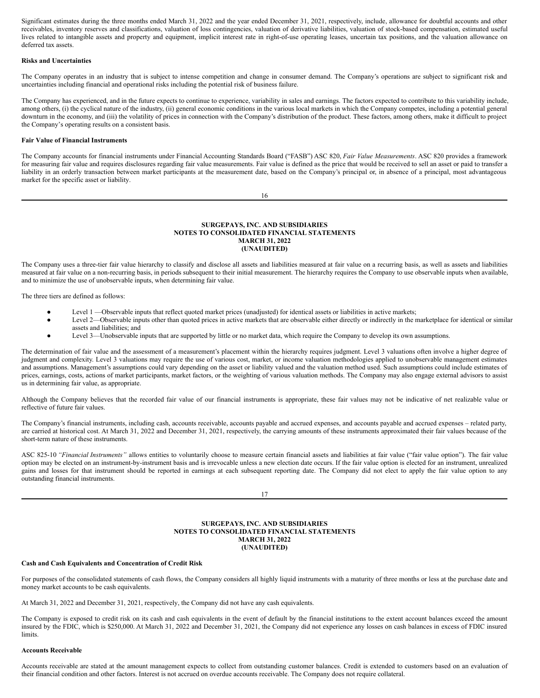Significant estimates during the three months ended March 31, 2022 and the year ended December 31, 2021, respectively, include, allowance for doubtful accounts and other receivables, inventory reserves and classifications, valuation of loss contingencies, valuation of derivative liabilities, valuation of stock-based compensation, estimated useful lives related to intangible assets and property and equipment, implicit interest rate in right-of-use operating leases, uncertain tax positions, and the valuation allowance on deferred tax assets.

## **Risks and Uncertainties**

The Company operates in an industry that is subject to intense competition and change in consumer demand. The Company's operations are subject to significant risk and uncertainties including financial and operational risks including the potential risk of business failure.

The Company has experienced, and in the future expects to continue to experience, variability in sales and earnings. The factors expected to contribute to this variability include, among others, (i) the cyclical nature of the industry, (ii) general economic conditions in the various local markets in which the Company competes, including a potential general downturn in the economy, and (iii) the volatility of prices in connection with the Company's distribution of the product. These factors, among others, make it difficult to project the Company's operating results on a consistent basis.

## **Fair Value of Financial Instruments**

The Company accounts for financial instruments under Financial Accounting Standards Board ("FASB") ASC 820, *Fair Value Measurements*. ASC 820 provides a framework for measuring fair value and requires disclosures regarding fair value measurements. Fair value is defined as the price that would be received to sell an asset or paid to transfer a liability in an orderly transaction between market participants at the measurement date, based on the Company's principal or, in absence of a principal, most advantageous market for the specific asset or liability.

16

#### **SURGEPAYS, INC. AND SUBSIDIARIES NOTES TO CONSOLIDATED FINANCIAL STATEMENTS MARCH 31, 2022 (UNAUDITED)**

The Company uses a three-tier fair value hierarchy to classify and disclose all assets and liabilities measured at fair value on a recurring basis, as well as assets and liabilities measured at fair value on a non-recurring basis, in periods subsequent to their initial measurement. The hierarchy requires the Company to use observable inputs when available, and to minimize the use of unobservable inputs, when determining fair value.

The three tiers are defined as follows:

- Level 1 —Observable inputs that reflect quoted market prices (unadjusted) for identical assets or liabilities in active markets;
- Level 2—Observable inputs other than quoted prices in active markets that are observable either directly or indirectly in the marketplace for identical or similar assets and liabilities; and
- Level 3—Unobservable inputs that are supported by little or no market data, which require the Company to develop its own assumptions.

The determination of fair value and the assessment of a measurement's placement within the hierarchy requires judgment. Level 3 valuations often involve a higher degree of judgment and complexity. Level 3 valuations may require the use of various cost, market, or income valuation methodologies applied to unobservable management estimates and assumptions. Management's assumptions could vary depending on the asset or liability valued and the valuation method used. Such assumptions could include estimates of prices, earnings, costs, actions of market participants, market factors, or the weighting of various valuation methods. The Company may also engage external advisors to assist us in determining fair value, as appropriate.

Although the Company believes that the recorded fair value of our financial instruments is appropriate, these fair values may not be indicative of net realizable value or reflective of future fair values.

The Company's financial instruments, including cash, accounts receivable, accounts payable and accrued expenses, and accounts payable and accrued expenses – related party, are carried at historical cost. At March 31, 2022 and December 31, 2021, respectively, the carrying amounts of these instruments approximated their fair values because of the short-term nature of these instruments.

ASC 825-10 "Financial Instruments" allows entities to voluntarily choose to measure certain financial assets and liabilities at fair value ("fair value option"). The fair value option may be elected on an instrument-by-instrument basis and is irrevocable unless a new election date occurs. If the fair value option is elected for an instrument, unrealized gains and losses for that instrument should be reported in earnings at each subsequent reporting date. The Company did not elect to apply the fair value option to any outstanding financial instruments.

17

#### **SURGEPAYS, INC. AND SUBSIDIARIES NOTES TO CONSOLIDATED FINANCIAL STATEMENTS MARCH 31, 2022 (UNAUDITED)**

#### **Cash and Cash Equivalents and Concentration of Credit Risk**

For purposes of the consolidated statements of cash flows, the Company considers all highly liquid instruments with a maturity of three months or less at the purchase date and money market accounts to be cash equivalents.

At March 31, 2022 and December 31, 2021, respectively, the Company did not have any cash equivalents.

The Company is exposed to credit risk on its cash and cash equivalents in the event of default by the financial institutions to the extent account balances exceed the amount insured by the FDIC, which is \$250,000. At March 31, 2022 and December 31, 2021, the Company did not experience any losses on cash balances in excess of FDIC insured limits.

#### **Accounts Receivable**

Accounts receivable are stated at the amount management expects to collect from outstanding customer balances. Credit is extended to customers based on an evaluation of their financial condition and other factors. Interest is not accrued on overdue accounts receivable. The Company does not require collateral.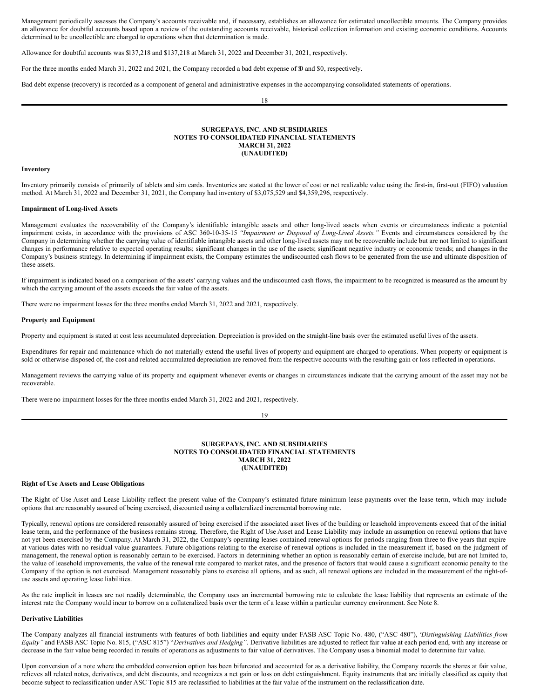Management periodically assesses the Company's accounts receivable and, if necessary, establishes an allowance for estimated uncollectible amounts. The Company provides an allowance for doubtful accounts based upon a review of the outstanding accounts receivable, historical collection information and existing economic conditions. Accounts determined to be uncollectible are charged to operations when that determination is made.

Allowance for doubtful accounts was \$137,218 and \$137,218 at March 31, 2022 and December 31, 2021, respectively.

For the three months ended March 31, 2022 and 2021, the Company recorded a bad debt expense of \$0 and \$0, respectively.

Bad debt expense (recovery) is recorded as a component of general and administrative expenses in the accompanying consolidated statements of operations.

18

### **SURGEPAYS, INC. AND SUBSIDIARIES NOTES TO CONSOLIDATED FINANCIAL STATEMENTS MARCH 31, 2022 (UNAUDITED)**

#### **Inventory**

Inventory primarily consists of primarily of tablets and sim cards. Inventories are stated at the lower of cost or net realizable value using the first-in, first-out (FIFO) valuation method. At March 31, 2022 and December 31, 2021, the Company had inventory of \$3,075,529 and \$4,359,296, respectively.

#### **Impairment of Long-lived Assets**

Management evaluates the recoverability of the Company's identifiable intangible assets and other long-lived assets when events or circumstances indicate a potential impairment exists, in accordance with the provisions of ASC 360-10-35-15 *"Impairment or Disposal of Long-Lived Assets."* Events and circumstances considered by the Company in determining whether the carrying value of identifiable intangible assets and other long-lived assets may not be recoverable include but are not limited to significant changes in performance relative to expected operating results; significant changes in the use of the assets; significant negative industry or economic trends; and changes in the Company's business strategy. In determining if impairment exists, the Company estimates the undiscounted cash flows to be generated from the use and ultimate disposition of these assets.

If impairment is indicated based on a comparison of the assets' carrying values and the undiscounted cash flows, the impairment to be recognized is measured as the amount by which the carrying amount of the assets exceeds the fair value of the assets.

There were no impairment losses for the three months ended March 31, 2022 and 2021, respectively.

#### **Property and Equipment**

Property and equipment is stated at cost less accumulated depreciation. Depreciation is provided on the straight-line basis over the estimated useful lives of the assets.

Expenditures for repair and maintenance which do not materially extend the useful lives of property and equipment are charged to operations. When property or equipment is sold or otherwise disposed of, the cost and related accumulated depreciation are removed from the respective accounts with the resulting gain or loss reflected in operations.

Management reviews the carrying value of its property and equipment whenever events or changes in circumstances indicate that the carrying amount of the asset may not be recoverable.

There were no impairment losses for the three months ended March 31, 2022 and 2021, respectively.

19

#### **SURGEPAYS, INC. AND SUBSIDIARIES NOTES TO CONSOLIDATED FINANCIAL STATEMENTS MARCH 31, 2022 (UNAUDITED)**

#### **Right of Use Assets and Lease Obligations**

The Right of Use Asset and Lease Liability reflect the present value of the Company's estimated future minimum lease payments over the lease term, which may include options that are reasonably assured of being exercised, discounted using a collateralized incremental borrowing rate.

Typically, renewal options are considered reasonably assured of being exercised if the associated asset lives of the building or leasehold improvements exceed that of the initial lease term, and the performance of the business remains strong. Therefore, the Right of Use Asset and Lease Liability may include an assumption on renewal options that have not yet been exercised by the Company. At March 31, 2022, the Company's operating leases contained renewal options for periods ranging from three to five years that expire at various dates with no residual value guarantees. Future obligations relating to the exercise of renewal options is included in the measurement if, based on the judgment of management, the renewal option is reasonably certain to be exercised. Factors in determining whether an option is reasonably certain of exercise include, but are not limited to, the value of leasehold improvements, the value of the renewal rate compared to market rates, and the presence of factors that would cause a significant economic penalty to the Company if the option is not exercised. Management reasonably plans to exercise all options, and as such, all renewal options are included in the measurement of the right-ofuse assets and operating lease liabilities.

As the rate implicit in leases are not readily determinable, the Company uses an incremental borrowing rate to calculate the lease liability that represents an estimate of the interest rate the Company would incur to borrow on a collateralized basis over the term of a lease within a particular currency environment. See Note 8.

## **Derivative Liabilities**

The Company analyzes all financial instruments with features of both liabilities and equity under FASB ASC Topic No. 480, ("ASC 480"), "*Distinguishing Liabilities from Equity"* and FASB ASC Topic No. 815, ("ASC 815") "*Derivatives and Hedging"*. Derivative liabilities are adjusted to reflect fair value at each period end, with any increase or decrease in the fair value being recorded in results of operations as adjustments to fair value of derivatives. The Company uses a binomial model to determine fair value.

Upon conversion of a note where the embedded conversion option has been bifurcated and accounted for as a derivative liability, the Company records the shares at fair value, relieves all related notes, derivatives, and debt discounts, and recognizes a net gain or loss on debt extinguishment. Equity instruments that are initially classified as equity that become subject to reclassification under ASC Topic 815 are reclassified to liabilities at the fair value of the instrument on the reclassification date.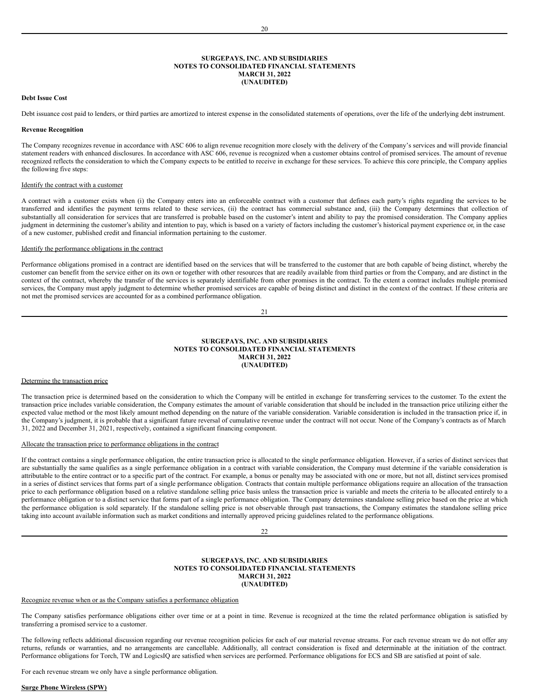#### **SURGEPAYS, INC. AND SUBSIDIARIES NOTES TO CONSOLIDATED FINANCIAL STATEMENTS MARCH 31, 2022 (UNAUDITED)**

## **Debt Issue Cost**

Debt issuance cost paid to lenders, or third parties are amortized to interest expense in the consolidated statements of operations, over the life of the underlying debt instrument.

## **Revenue Recognition**

The Company recognizes revenue in accordance with ASC 606 to align revenue recognition more closely with the delivery of the Company's services and will provide financial statement readers with enhanced disclosures. In accordance with ASC 606, revenue is recognized when a customer obtains control of promised services. The amount of revenue recognized reflects the consideration to which the Company expects to be entitled to receive in exchange for these services. To achieve this core principle, the Company applies the following five steps:

#### Identify the contract with a customer

A contract with a customer exists when (i) the Company enters into an enforceable contract with a customer that defines each party's rights regarding the services to be transferred and identifies the payment terms related to these services, (ii) the contract has commercial substance and, (iii) the Company determines that collection of substantially all consideration for services that are transferred is probable based on the customer's intent and ability to pay the promised consideration. The Company applies judgment in determining the customer's ability and intention to pay, which is based on a variety of factors including the customer's historical payment experience or, in the case of a new customer, published credit and financial information pertaining to the customer.

#### Identify the performance obligations in the contract

Performance obligations promised in a contract are identified based on the services that will be transferred to the customer that are both capable of being distinct, whereby the customer can benefit from the service either on its own or together with other resources that are readily available from third parties or from the Company, and are distinct in the context of the contract, whereby the transfer of the services is separately identifiable from other promises in the contract. To the extent a contract includes multiple promised services, the Company must apply judgment to determine whether promised services are capable of being distinct and distinct in the context of the contract. If these criteria are not met the promised services are accounted for as a combined performance obligation.

21

#### **SURGEPAYS, INC. AND SUBSIDIARIES NOTES TO CONSOLIDATED FINANCIAL STATEMENTS MARCH 31, 2022 (UNAUDITED)**

#### Determine the transaction price

The transaction price is determined based on the consideration to which the Company will be entitled in exchange for transferring services to the customer. To the extent the transaction price includes variable consideration, the Company estimates the amount of variable consideration that should be included in the transaction price utilizing either the expected value method or the most likely amount method depending on the nature of the variable consideration. Variable consideration is included in the transaction price if, in the Company's judgment, it is probable that a significant future reversal of cumulative revenue under the contract will not occur. None of the Company's contracts as of March 31, 2022 and December 31, 2021, respectively, contained a significant financing component.

#### Allocate the transaction price to performance obligations in the contract

If the contract contains a single performance obligation, the entire transaction price is allocated to the single performance obligation. However, if a series of distinct services that are substantially the same qualifies as a single performance obligation in a contract with variable consideration, the Company must determine if the variable consideration is attributable to the entire contract or to a specific part of the contract. For example, a bonus or penalty may be associated with one or more, but not all, distinct services promised in a series of distinct services that forms part of a single performance obligation. Contracts that contain multiple performance obligations require an allocation of the transaction price to each performance obligation based on a relative standalone selling price basis unless the transaction price is variable and meets the criteria to be allocated entirely to a performance obligation or to a distinct service that forms part of a single performance obligation. The Company determines standalone selling price based on the price at which the performance obligation is sold separately. If the standalone selling price is not observable through past transactions, the Company estimates the standalone selling price taking into account available information such as market conditions and internally approved pricing guidelines related to the performance obligations.

#### **SURGEPAYS, INC. AND SUBSIDIARIES NOTES TO CONSOLIDATED FINANCIAL STATEMENTS MARCH 31, 2022 (UNAUDITED)**

### Recognize revenue when or as the Company satisfies a performance obligation

The Company satisfies performance obligations either over time or at a point in time. Revenue is recognized at the time the related performance obligation is satisfied by transferring a promised service to a customer.

The following reflects additional discussion regarding our revenue recognition policies for each of our material revenue streams. For each revenue stream we do not offer any returns, refunds or warranties, and no arrangements are cancellable. Additionally, all contract consideration is fixed and determinable at the initiation of the contract. Performance obligations for Torch, TW and LogicsIQ are satisfied when services are performed. Performance obligations for ECS and SB are satisfied at point of sale.

For each revenue stream we only have a single performance obligation.

#### **Surge Phone Wireless (SPW)**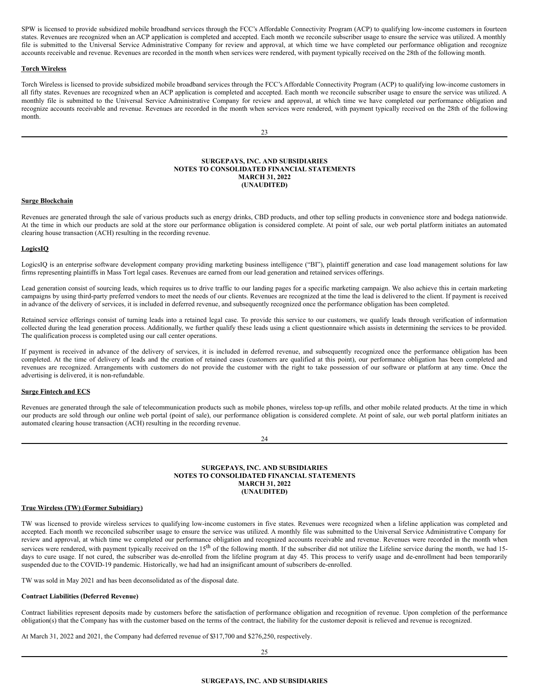SPW is licensed to provide subsidized mobile broadband services through the FCC's Affordable Connectivity Program (ACP) to qualifying low-income customers in fourteen states. Revenues are recognized when an ACP application is completed and accepted. Each month we reconcile subscriber usage to ensure the service was utilized. A monthly file is submitted to the Universal Service Administrative Company for review and approval, at which time we have completed our performance obligation and recognize accounts receivable and revenue. Revenues are recorded in the month when services were rendered, with payment typically received on the 28th of the following month.

## **Torch Wireless**

Torch Wireless is licensed to provide subsidized mobile broadband services through the FCC's Affordable Connectivity Program (ACP) to qualifying low-income customers in all fifty states. Revenues are recognized when an ACP application is completed and accepted. Each month we reconcile subscriber usage to ensure the service was utilized. A monthly file is submitted to the Universal Service Administrative Company for review and approval, at which time we have completed our performance obligation and recognize accounts receivable and revenue. Revenues are recorded in the month when services were rendered, with payment typically received on the 28th of the following month.

### **SURGEPAYS, INC. AND SUBSIDIARIES NOTES TO CONSOLIDATED FINANCIAL STATEMENTS MARCH 31, 2022 (UNAUDITED)**

#### **Surge Blockchain**

Revenues are generated through the sale of various products such as energy drinks, CBD products, and other top selling products in convenience store and bodega nationwide. At the time in which our products are sold at the store our performance obligation is considered complete. At point of sale, our web portal platform initiates an automated clearing house transaction (ACH) resulting in the recording revenue.

#### **LogicsIQ**

LogicsIQ is an enterprise software development company providing marketing business intelligence ("BI"), plaintiff generation and case load management solutions for law firms representing plaintiffs in Mass Tort legal cases. Revenues are earned from our lead generation and retained services offerings.

Lead generation consist of sourcing leads, which requires us to drive traffic to our landing pages for a specific marketing campaign. We also achieve this in certain marketing campaigns by using third-party preferred vendors to meet the needs of our clients. Revenues are recognized at the time the lead is delivered to the client. If payment is received in advance of the delivery of services, it is included in deferred revenue, and subsequently recognized once the performance obligation has been completed.

Retained service offerings consist of turning leads into a retained legal case. To provide this service to our customers, we qualify leads through verification of information collected during the lead generation process. Additionally, we further qualify these leads using a client questionnaire which assists in determining the services to be provided. The qualification process is completed using our call center operations.

If payment is received in advance of the delivery of services, it is included in deferred revenue, and subsequently recognized once the performance obligation has been completed. At the time of delivery of leads and the creation of retained cases (customers are qualified at this point), our performance obligation has been completed and revenues are recognized. Arrangements with customers do not provide the customer with the right to take possession of our software or platform at any time. Once the advertising is delivered, it is non-refundable.

### **Surge Fintech and ECS**

Revenues are generated through the sale of telecommunication products such as mobile phones, wireless top-up refills, and other mobile related products. At the time in which our products are sold through our online web portal (point of sale), our performance obligation is considered complete. At point of sale, our web portal platform initiates an automated clearing house transaction (ACH) resulting in the recording revenue.

## 24

## **SURGEPAYS, INC. AND SUBSIDIARIES NOTES TO CONSOLIDATED FINANCIAL STATEMENTS MARCH 31, 2022 (UNAUDITED)**

## **True Wireless (TW) (Former Subsidiary)**

TW was licensed to provide wireless services to qualifying low-income customers in five states. Revenues were recognized when a lifeline application was completed and accepted. Each month we reconciled subscriber usage to ensure the service was utilized. A monthly file was submitted to the Universal Service Administrative Company for review and approval, at which time we completed our performance obligation and recognized accounts receivable and revenue. Revenues were recorded in the month when services were rendered, with payment typically received on the 15<sup>th</sup> of the following month. If the subscriber did not utilize the Lifeline service during the month, we had 15days to cure usage. If not cured, the subscriber was de-enrolled from the lifeline program at day 45. This process to verify usage and de-enrollment had been temporarily suspended due to the COVID-19 pandemic. Historically, we had had an insignificant amount of subscribers de-enrolled.

TW was sold in May 2021 and has been deconsolidated as of the disposal date.

## **Contract Liabilities (Deferred Revenue)**

Contract liabilities represent deposits made by customers before the satisfaction of performance obligation and recognition of revenue. Upon completion of the performance obligation(s) that the Company has with the customer based on the terms of the contract, the liability for the customer deposit is relieved and revenue is recognized.

At March 31, 2022 and 2021, the Company had deferred revenue of \$317,700 and \$276,250, respectively.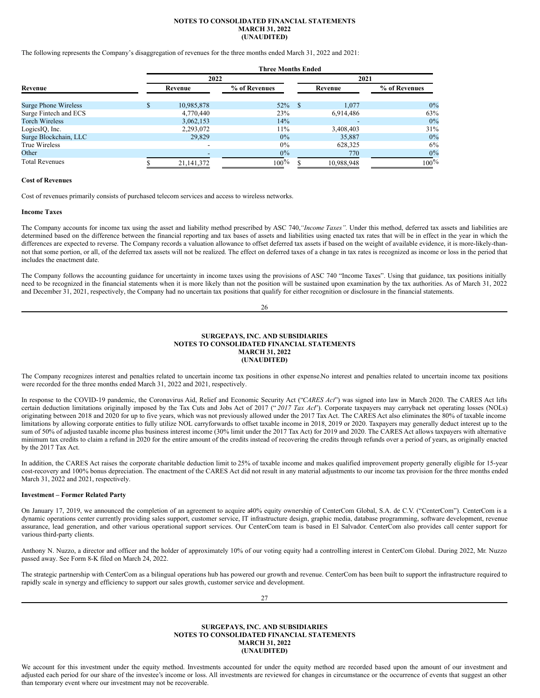#### **NOTES TO CONSOLIDATED FINANCIAL STATEMENTS MARCH 31, 2022 (UNAUDITED)**

The following represents the Company's disaggregation of revenues for the three months ended March 31, 2022 and 2021:

|                             | <b>Three Months Ended</b> |               |      |            |               |  |  |  |
|-----------------------------|---------------------------|---------------|------|------------|---------------|--|--|--|
|                             | 2022                      |               | 2021 |            |               |  |  |  |
| Revenue                     | Revenue                   | % of Revenues |      | Revenue    | % of Revenues |  |  |  |
| <b>Surge Phone Wireless</b> | 10,985,878                | 52%           | -8   | 1.077      | $0\%$         |  |  |  |
| Surge Fintech and ECS       | 4,770,440                 | 23%           |      | 6,914,486  | 63%           |  |  |  |
| <b>Torch Wireless</b>       | 3,062,153                 | 14%           |      |            | $0\%$         |  |  |  |
| LogicsIQ, Inc.              | 2,293,072                 | 11%           |      | 3,408,403  | 31%           |  |  |  |
| Surge Blockchain, LLC       | 29,829                    | 0%            |      | 35,887     | $0\%$         |  |  |  |
| True Wireless               |                           | $0\%$         |      | 628,325    | 6%            |  |  |  |
| Other                       |                           | $0\%$         |      | 770        | $0\%$         |  |  |  |
| <b>Total Revenues</b>       | 21, 141, 372              | $100\%$       |      | 10.988.948 | $100\%$       |  |  |  |

## **Cost of Revenues**

Cost of revenues primarily consists of purchased telecom services and access to wireless networks.

#### **Income Taxes**

The Company accounts for income tax using the asset and liability method prescribed by ASC 740,*"Income Taxes".* Under this method, deferred tax assets and liabilities are determined based on the difference between the financial reporting and tax bases of assets and liabilities using enacted tax rates that will be in effect in the year in which the differences are expected to reverse. The Company records a valuation allowance to offset deferred tax assets if based on the weight of available evidence, it is more-likely-thannot that some portion, or all, of the deferred tax assets will not be realized. The effect on deferred taxes of a change in tax rates is recognized as income or loss in the period that includes the enactment date.

The Company follows the accounting guidance for uncertainty in income taxes using the provisions of ASC 740 "Income Taxes". Using that guidance, tax positions initially need to be recognized in the financial statements when it is more likely than not the position will be sustained upon examination by the tax authorities. As of March 31, 2022 and December 31, 2021, respectively, the Company had no uncertain tax positions that qualify for either recognition or disclosure in the financial statements.

#### 26

#### **SURGEPAYS, INC. AND SUBSIDIARIES NOTES TO CONSOLIDATED FINANCIAL STATEMENTS MARCH 31, 2022 (UNAUDITED)**

The Company recognizes interest and penalties related to uncertain income tax positions in other expense.No interest and penalties related to uncertain income tax positions were recorded for the three months ended March 31, 2022 and 2021, respectively.

In response to the COVID-19 pandemic, the Coronavirus Aid, Relief and Economic Security Act ("*CARES Act*") was signed into law in March 2020. The CARES Act lifts certain deduction limitations originally imposed by the Tax Cuts and Jobs Act of 2017 (" *2017 Tax Act*"). Corporate taxpayers may carryback net operating losses (NOLs) originating between 2018 and 2020 for up to five years, which was not previously allowed under the 2017 Tax Act. The CARES Act also eliminates the 80% of taxable income limitations by allowing corporate entities to fully utilize NOL carryforwards to offset taxable income in 2018, 2019 or 2020. Taxpayers may generally deduct interest up to the sum of 50% of adjusted taxable income plus business interest income (30% limit under the 2017 Tax Act) for 2019 and 2020. The CARES Act allows taxpayers with alternative minimum tax credits to claim a refund in 2020 for the entire amount of the credits instead of recovering the credits through refunds over a period of years, as originally enacted by the 2017 Tax Act.

In addition, the CARES Act raises the corporate charitable deduction limit to 25% of taxable income and makes qualified improvement property generally eligible for 15-year cost-recovery and 100% bonus depreciation. The enactment of the CARES Act did not result in any material adjustments to our income tax provision for the three months ended March 31, 2022 and 2021, respectively.

#### **Investment – Former Related Party**

On January 17, 2019, we announced the completion of an agreement to acquire a40% equity ownership of CenterCom Global, S.A. de C.V. ("CenterCom"). CenterCom is a dynamic operations center currently providing sales support, customer service, IT infrastructure design, graphic media, database programming, software development, revenue assurance, lead generation, and other various operational support services. Our CenterCom team is based in El Salvador. CenterCom also provides call center support for various third-party clients.

Anthony N. Nuzzo, a director and officer and the holder of approximately 10% of our voting equity had a controlling interest in CenterCom Global. During 2022, Mr. Nuzzo passed away. See Form 8-K filed on March 24, 2022.

The strategic partnership with CenterCom as a bilingual operations hub has powered our growth and revenue. CenterCom has been built to support the infrastructure required to rapidly scale in synergy and efficiency to support our sales growth, customer service and development.

27

**SURGEPAYS, INC. AND SUBSIDIARIES NOTES TO CONSOLIDATED FINANCIAL STATEMENTS MARCH 31, 2022 (UNAUDITED)**

We account for this investment under the equity method. Investments accounted for under the equity method are recorded based upon the amount of our investment and adjusted each period for our share of the investee's income or loss. All investments are reviewed for changes in circumstance or the occurrence of events that suggest an other than temporary event where our investment may not be recoverable.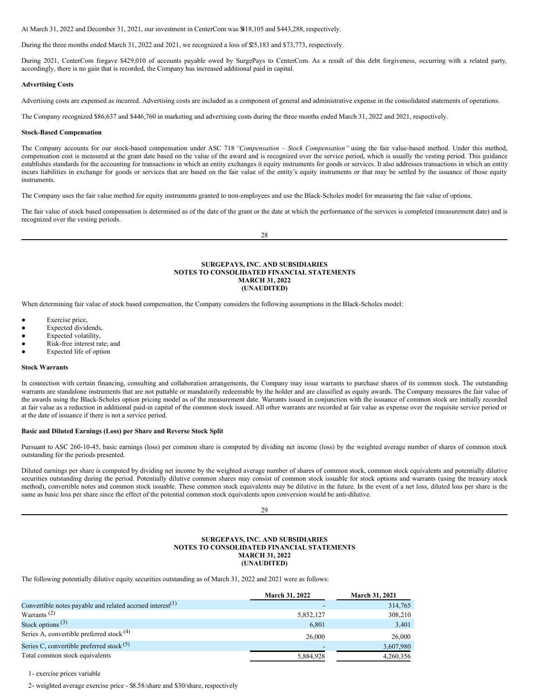At March 31, 2022 and December 31, 2021, our investment in CenterCom was \$418,105 and \$443,288, respectively.

During the three months ended March 31, 2022 and 2021, we recognized a loss of \$25,183 and \$73,773, respectively.

During 2021, CenterCom forgave \$429,010 of accounts payable owed by SurgePays to CenterCom. As a result of this debt forgiveness, occurring with a related party, accordingly, there is no gain that is recorded, the Company has increased additional paid in capital.

#### **Advertising Costs**

Advertising costs are expensed as incurred. Advertising costs are included as a component of general and administrative expense in the consolidated statements of operations.

The Company recognized \$86,637 and \$446,760 in marketing and advertising costs during the three months ended March 31, 2022 and 2021, respectively.

#### **Stock-Based Compensation**

The Company accounts for our stock-based compensation under ASC 718 *"Compensation – Stock Compensation"* using the fair value-based method. Under this method, compensation cost is measured at the grant date based on the value of the award and is recognized over the service period, which is usually the vesting period. This guidance establishes standards for the accounting for transactions in which an entity exchanges it equity instruments for goods or services. It also addresses transactions in which an entity incurs liabilities in exchange for goods or services that are based on the fair value of the entity's equity instruments or that may be settled by the issuance of those equity instruments.

The Company uses the fair value method for equity instruments granted to non-employees and use the Black-Scholes model for measuring the fair value of options.

The fair value of stock based compensation is determined as of the date of the grant or the date at which the performance of the services is completed (measurement date) and is recognized over the vesting periods.

28

#### **SURGEPAYS, INC. AND SUBSIDIARIES NOTES TO CONSOLIDATED FINANCIAL STATEMENTS MARCH 31, 2022 (UNAUDITED)**

When determining fair value of stock based compensation, the Company considers the following assumptions in the Black-Scholes model:

- Exercise price,
- Expected dividends,
- Expected volatility,
- Risk-free interest rate; and
- Expected life of option

#### **Stock Warrants**

In connection with certain financing, consulting and collaboration arrangements, the Company may issue warrants to purchase shares of its common stock. The outstanding warrants are standalone instruments that are not puttable or mandatorily redeemable by the holder and are classified as equity awards. The Company measures the fair value of the awards using the Black-Scholes option pricing model as of the measurement date. Warrants issued in conjunction with the issuance of common stock are initially recorded at fair value as a reduction in additional paid-in capital of the common stock issued. All other warrants are recorded at fair value as expense over the requisite service period or at the date of issuance if there is not a service period.

#### **Basic and Diluted Earnings (Loss) per Share and Reverse Stock Split**

Pursuant to ASC 260-10-45, basic earnings (loss) per common share is computed by dividing net income (loss) by the weighted average number of shares of common stock outstanding for the periods presented.

Diluted earnings per share is computed by dividing net income by the weighted average number of shares of common stock, common stock equivalents and potentially dilutive securities outstanding during the period. Potentially dilutive common shares may consist of common stock issuable for stock options and warrants (using the treasury stock method), convertible notes and common stock issuable. These common stock equivalents may be dilutive in the future. In the event of a net loss, diluted loss per share is the same as basic loss per share since the effect of the potential common stock equivalents upon conversion would be anti-dilutive.

29

#### **SURGEPAYS, INC. AND SUBSIDIARIES NOTES TO CONSOLIDATED FINANCIAL STATEMENTS MARCH 31, 2022 (UNAUDITED)**

The following potentially dilutive equity securities outstanding as of March 31, 2022 and 2021 were as follows:

|                                                              | March 31, 2022 | March 31, 2021 |
|--------------------------------------------------------------|----------------|----------------|
| Convertible notes payable and related accrued interest $(1)$ |                | 314,765        |
| Warrants <sup>(2)</sup>                                      | 5,852,127      | 308,210        |
| Stock options $(3)$                                          | 6,801          | 3,401          |
| Series A, convertible preferred stock $(4)$                  | 26,000         | 26,000         |
| Series C, convertible preferred stock <sup>(5)</sup>         |                | 3,607,980      |
| Total common stock equivalents                               | 5,884,928      | 4,260,356      |

1- exercise prices variable

2- weighted average exercise price - \$8.58/share and \$30/share, respectively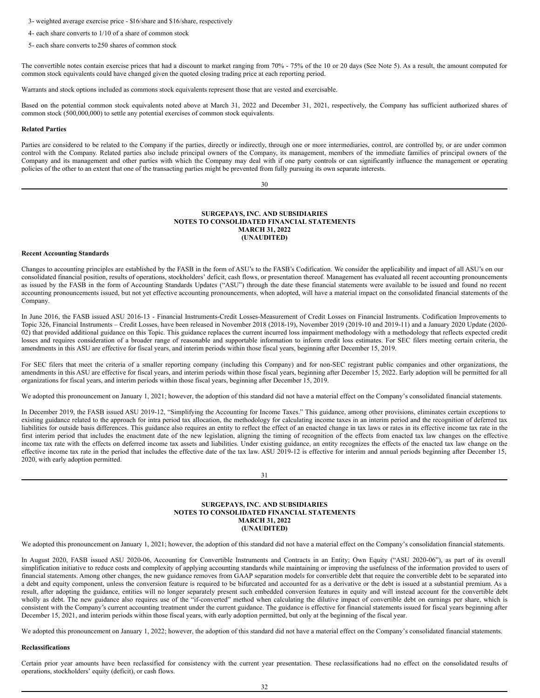3- weighted average exercise price - \$16/share and \$16/share, respectively

- 4- each share converts to 1/10 of a share of common stock
- 5- each share converts to250 shares of common stock

The convertible notes contain exercise prices that had a discount to market ranging from 70% - 75% of the 10 or 20 days (See Note 5). As a result, the amount computed for common stock equivalents could have changed given the quoted closing trading price at each reporting period.

Warrants and stock options included as commons stock equivalents represent those that are vested and exercisable.

Based on the potential common stock equivalents noted above at March 31, 2022 and December 31, 2021, respectively, the Company has sufficient authorized shares of common stock (500,000,000) to settle any potential exercises of common stock equivalents.

#### **Related Parties**

Parties are considered to be related to the Company if the parties, directly or indirectly, through one or more intermediaries, control, are controlled by, or are under common control with the Company. Related parties also include principal owners of the Company, its management, members of the immediate families of principal owners of the Company and its management and other parties with which the Company may deal with if one party controls or can significantly influence the management or operating policies of the other to an extent that one of the transacting parties might be prevented from fully pursuing its own separate interests.

30

#### **SURGEPAYS, INC. AND SUBSIDIARIES NOTES TO CONSOLIDATED FINANCIAL STATEMENTS MARCH 31, 2022 (UNAUDITED)**

#### **Recent Accounting Standards**

Changes to accounting principles are established by the FASB in the form of ASU's to the FASB's Codification. We consider the applicability and impact of all ASU's on our consolidated financial position, results of operations, stockholders' deficit, cash flows, or presentation thereof. Management has evaluated all recent accounting pronouncements as issued by the FASB in the form of Accounting Standards Updates ("ASU") through the date these financial statements were available to be issued and found no recent accounting pronouncements issued, but not yet effective accounting pronouncements, when adopted, will have a material impact on the consolidated financial statements of the Company.

In June 2016, the FASB issued ASU 2016-13 - Financial Instruments-Credit Losses-Measurement of Credit Losses on Financial Instruments. Codification Improvements to Topic 326, Financial Instruments – Credit Losses, have been released in November 2018 (2018-19), November 2019 (2019-10 and 2019-11) and a January 2020 Update (2020- 02) that provided additional guidance on this Topic. This guidance replaces the current incurred loss impairment methodology with a methodology that reflects expected credit losses and requires consideration of a broader range of reasonable and supportable information to inform credit loss estimates. For SEC filers meeting certain criteria, the amendments in this ASU are effective for fiscal years, and interim periods within those fiscal years, beginning after December 15, 2019.

For SEC filers that meet the criteria of a smaller reporting company (including this Company) and for non-SEC registrant public companies and other organizations, the amendments in this ASU are effective for fiscal years, and interim periods within those fiscal years, beginning after December 15, 2022. Early adoption will be permitted for all organizations for fiscal years, and interim periods within those fiscal years, beginning after December 15, 2019.

We adopted this pronouncement on January 1, 2021; however, the adoption of this standard did not have a material effect on the Company's consolidated financial statements.

In December 2019, the FASB issued ASU 2019-12, "Simplifying the Accounting for Income Taxes." This guidance, among other provisions, eliminates certain exceptions to existing guidance related to the approach for intra period tax allocation, the methodology for calculating income taxes in an interim period and the recognition of deferred tax liabilities for outside basis differences. This guidance also requires an entity to reflect the effect of an enacted change in tax laws or rates in its effective income tax rate in the first interim period that includes the enactment date of the new legislation, aligning the timing of recognition of the effects from enacted tax law changes on the effective income tax rate with the effects on deferred income tax assets and liabilities. Under existing guidance, an entity recognizes the effects of the enacted tax law change on the effective income tax rate in the period that includes the effective date of the tax law. ASU 2019-12 is effective for interim and annual periods beginning after December 15, 2020, with early adoption permitted.



## **SURGEPAYS, INC. AND SUBSIDIARIES NOTES TO CONSOLIDATED FINANCIAL STATEMENTS MARCH 31, 2022 (UNAUDITED)**

We adopted this pronouncement on January 1, 2021; however, the adoption of this standard did not have a material effect on the Company's consolidation financial statements.

In August 2020, FASB issued ASU 2020-06, Accounting for Convertible Instruments and Contracts in an Entity; Own Equity ("ASU 2020-06"), as part of its overall simplification initiative to reduce costs and complexity of applying accounting standards while maintaining or improving the usefulness of the information provided to users of financial statements. Among other changes, the new guidance removes from GAAP separation models for convertible debt that require the convertible debt to be separated into a debt and equity component, unless the conversion feature is required to be bifurcated and accounted for as a derivative or the debt is issued at a substantial premium. As a result, after adopting the guidance, entities will no longer separately present such embedded conversion features in equity and will instead account for the convertible debt wholly as debt. The new guidance also requires use of the "if-converted" method when calculating the dilutive impact of convertible debt on earnings per share, which is consistent with the Company's current accounting treatment under the current guidance. The guidance is effective for financial statements issued for fiscal years beginning after December 15, 2021, and interim periods within those fiscal years, with early adoption permitted, but only at the beginning of the fiscal year.

We adopted this pronouncement on January 1, 2022; however, the adoption of this standard did not have a material effect on the Company's consolidated financial statements.

## **Reclassifications**

Certain prior year amounts have been reclassified for consistency with the current year presentation. These reclassifications had no effect on the consolidated results of operations, stockholders' equity (deficit), or cash flows.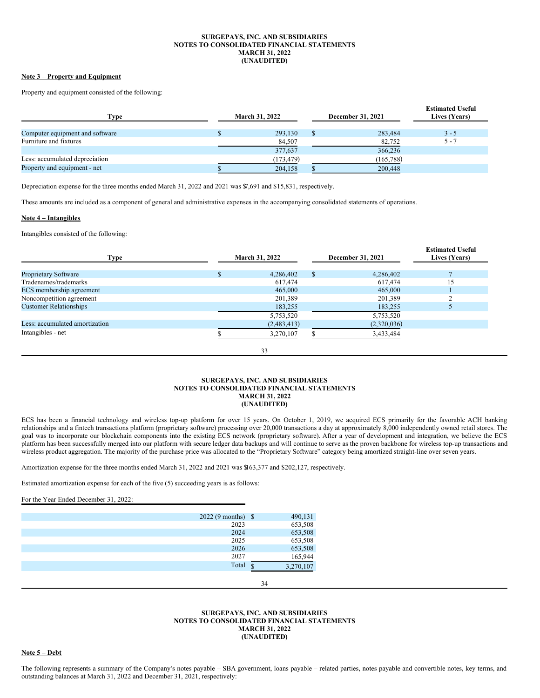#### **SURGEPAYS, INC. AND SUBSIDIARIES NOTES TO CONSOLIDATED FINANCIAL STATEMENTS MARCH 31, 2022 (UNAUDITED)**

## **Note 3 – Property and Equipment**

Property and equipment consisted of the following:

| Type                            | <b>March 31, 2022</b> | <b>December 31, 2021</b> | <b>Estimated Useful</b><br>Lives (Years) |
|---------------------------------|-----------------------|--------------------------|------------------------------------------|
|                                 |                       |                          |                                          |
| Computer equipment and software | 293,130               | 283,484                  | $3 - 5$                                  |
| Furniture and fixtures          | 84,507                | 82,752                   | $5 - 7$                                  |
|                                 | 377,637               | 366,236                  |                                          |
| Less: accumulated depreciation  | (173, 479)            | (165, 788)               |                                          |
| Property and equipment - net    | 204,158               | 200,448                  |                                          |

Depreciation expense for the three months ended March 31, 2022 and 2021 was \$7,691 and \$15,831, respectively.

These amounts are included as a component of general and administrative expenses in the accompanying consolidated statements of operations.

## **Note 4 – Intangibles**

Intangibles consisted of the following:

| <b>Type</b>                    | March 31, 2022 | December 31, 2021 | <b>Estimated Useful</b><br>Lives (Years) |
|--------------------------------|----------------|-------------------|------------------------------------------|
|                                |                |                   |                                          |
| <b>Proprietary Software</b>    | 4,286,402      | 4,286,402         |                                          |
| Tradenames/trademarks          | 617,474        | 617,474           | 15                                       |
| ECS membership agreement       | 465,000        | 465,000           |                                          |
| Noncompetition agreement       | 201,389        | 201,389           |                                          |
| <b>Customer Relationships</b>  | 183,255        | 183,255           |                                          |
|                                | 5,753,520      | 5,753,520         |                                          |
| Less: accumulated amortization | (2,483,413)    | (2,320,036)       |                                          |
| Intangibles - net              | 3,270,107      | 3,433,484         |                                          |
|                                | 33             |                   |                                          |

#### **SURGEPAYS, INC. AND SUBSIDIARIES NOTES TO CONSOLIDATED FINANCIAL STATEMENTS MARCH 31, 2022 (UNAUDITED)**

ECS has been a financial technology and wireless top-up platform for over 15 years. On October 1, 2019, we acquired ECS primarily for the favorable ACH banking relationships and a fintech transactions platform (proprietary software) processing over 20,000 transactions a day at approximately 8,000 independently owned retail stores. The goal was to incorporate our blockchain components into the existing ECS network (proprietary software). After a year of development and integration, we believe the ECS platform has been successfully merged into our platform with secure ledger data backups and will continue to serve as the proven backbone for wireless top-up transactions and wireless product aggregation. The majority of the purchase price was allocated to the "Proprietary Software" category being amortized straight-line over seven years.

Amortization expense for the three months ended March 31, 2022 and 2021 was \$163,377 and \$202,127, respectively.

Estimated amortization expense for each of the five (5) succeeding years is as follows:

For the Year Ended December 31, 2022:

| $2022(9 \text{ months})$ \$ | 490,131        |
|-----------------------------|----------------|
| 2023                        | 653,508        |
| 2024                        | 653,508        |
| 2025                        | 653,508        |
| 2026                        | 653,508        |
| 2027                        | 165,944        |
| Total                       | ¢<br>3,270,107 |
|                             |                |

### **SURGEPAYS, INC. AND SUBSIDIARIES NOTES TO CONSOLIDATED FINANCIAL STATEMENTS MARCH 31, 2022 (UNAUDITED)**

34

**Note 5 – Debt**

The following represents a summary of the Company's notes payable – SBA government, loans payable – related parties, notes payable and convertible notes, key terms, and outstanding balances at March 31, 2022 and December 31, 2021, respectively: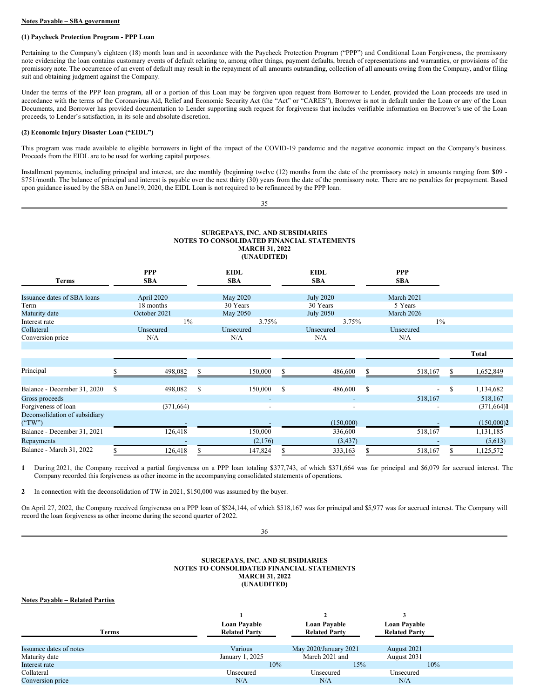#### **Notes Payable – SBA government**

## **(1) Paycheck Protection Program - PPP Loan**

Pertaining to the Company's eighteen (18) month loan and in accordance with the Paycheck Protection Program ("PPP") and Conditional Loan Forgiveness, the promissory note evidencing the loan contains customary events of default relating to, among other things, payment defaults, breach of representations and warranties, or provisions of the promissory note. The occurrence of an event of default may result in the repayment of all amounts outstanding, collection of all amounts owing from the Company, and/or filing suit and obtaining judgment against the Company.

Under the terms of the PPP loan program, all or a portion of this Loan may be forgiven upon request from Borrower to Lender, provided the Loan proceeds are used in accordance with the terms of the Coronavirus Aid, Relief and Economic Security Act (the "Act" or "CARES"), Borrower is not in default under the Loan or any of the Loan Documents, and Borrower has provided documentation to Lender supporting such request for forgiveness that includes verifiable information on Borrower's use of the Loan proceeds, to Lender's satisfaction, in its sole and absolute discretion.

## **(2) Economic Injury Disaster Loan ("EIDL")**

This program was made available to eligible borrowers in light of the impact of the COVID-19 pandemic and the negative economic impact on the Company's business. Proceeds from the EIDL are to be used for working capital purposes.

Installment payments, including principal and interest, are due monthly (beginning twelve (12) months from the date of the promissory note) in amounts ranging from \$109 - \$751/month. The balance of principal and interest is payable over the next thirty (30) years from the date of the promissory note. There are no penalties for prepayment. Based upon guidance issued by the SBA on June19, 2020, the EIDL Loan is not required to be refinanced by the PPP loan.

35

## **SURGEPAYS, INC. AND SUBSIDIARIES NOTES TO CONSOLIDATED FINANCIAL STATEMENTS MARCH 31, 2022 (UNAUDITED)**

| Terms                                   |   | <b>PPP</b><br><b>SBA</b> |   | <b>EIDL</b><br><b>SBA</b> |       | <b>EIDL</b><br><b>SBA</b> |               | <b>PPP</b><br><b>SBA</b> |               |              |
|-----------------------------------------|---|--------------------------|---|---------------------------|-------|---------------------------|---------------|--------------------------|---------------|--------------|
| Issuance dates of SBA loans             |   | April 2020               |   | May 2020                  |       | <b>July 2020</b>          |               | March 2021               |               |              |
| Term                                    |   | 18 months                |   | 30 Years                  |       | 30 Years                  |               | 5 Years                  |               |              |
| Maturity date                           |   | October 2021             |   | May 2050                  |       | <b>July 2050</b>          |               | March 2026               |               |              |
| Interest rate                           |   | $1\%$                    |   | 3.75%                     | 3.75% |                           | $1\%$         |                          |               |              |
| Collateral                              |   | Unsecured                |   | Unsecured                 |       | Unsecured                 |               | Unsecured                |               |              |
| Conversion price                        |   | N/A                      |   | N/A                       |       | N/A                       |               | N/A                      |               |              |
|                                         |   |                          |   |                           |       |                           |               |                          |               | <b>Total</b> |
|                                         |   |                          |   |                           |       |                           |               |                          |               |              |
| Principal                               |   | 498,082                  |   | 150,000                   | S     | 486,600                   |               | 518,167                  | S             | 1,652,849    |
| Balance - December 31, 2020             | S | 498,082                  | S | 150,000                   | S     | 486,600                   | <sup>\$</sup> | $\blacksquare$           | <sup>\$</sup> | 1,134,682    |
| Gross proceeds                          |   | $\overline{\phantom{a}}$ |   |                           |       | $\overline{\phantom{a}}$  |               | 518,167                  |               | 518,167      |
| Forgiveness of loan                     |   | (371, 664)               |   |                           |       | $\blacksquare$            |               |                          |               | (371, 664)1  |
| Deconsolidation of subsidiary<br>("TW") |   |                          |   |                           |       | (150,000)                 |               |                          |               | (150,000)2   |
| Balance - December 31, 2021             |   | 126,418                  |   | 150,000                   |       | 336,600                   |               | 518,167                  |               | 1,131,185    |
| Repayments                              |   |                          |   | (2,176)                   |       | (3, 437)                  |               |                          |               | (5,613)      |
| Balance - March 31, 2022                |   | 126,418                  |   | 147,824                   |       | 333,163                   |               | 518,167                  |               | 1,125,572    |

**1** During 2021, the Company received a partial forgiveness on a PPP loan totaling \$377,743, of which \$371,664 was for principal and \$6,079 for accrued interest. The Company recorded this forgiveness as other income in the accompanying consolidated statements of operations.

**2** In connection with the deconsolidation of TW in 2021, \$150,000 was assumed by the buyer.

On April 27, 2022, the Company received forgiveness on a PPP loan of \$524,144, of which \$518,167 was for principal and \$5,977 was for accrued interest. The Company will record the loan forgiveness as other income during the second quarter of 2022.

36

#### **SURGEPAYS, INC. AND SUBSIDIARIES NOTES TO CONSOLIDATED FINANCIAL STATEMENTS MARCH 31, 2022 (UNAUDITED)**

## **Notes Payable – Related Parties**

| Terms                   | Loan Payable<br><b>Related Party</b> | <b>Loan Payable</b><br><b>Related Party</b> | <b>Loan Pavable</b><br><b>Related Party</b> |  |
|-------------------------|--------------------------------------|---------------------------------------------|---------------------------------------------|--|
| Issuance dates of notes | Various                              | May 2020/January 2021                       | August 2021                                 |  |
| Maturity date           | January 1, 2025                      | March 2021 and                              | August 2031                                 |  |
| Interest rate           | 10%                                  | 15%                                         | 10%                                         |  |
| Collateral              | Unsecured                            | Unsecured                                   | Unsecured                                   |  |
| Conversion price        | N/A                                  | N/A                                         | N/A                                         |  |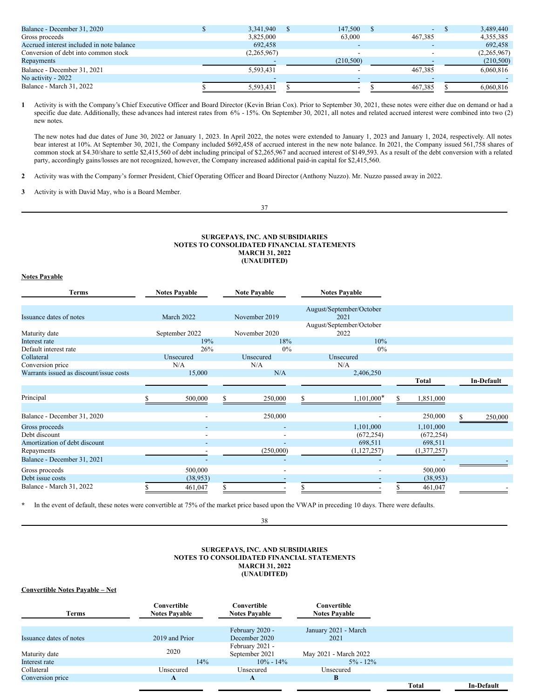| 3,341,940   | 147,500    |         | 3.489.440   |
|-------------|------------|---------|-------------|
| 3,825,000   | 63,000     | 467.385 | 4,355,385   |
| 692,458     |            |         | 692,458     |
| (2,265,967) |            |         | (2,265,967) |
|             | (210, 500) |         | (210,500)   |
| 5,593,431   |            | 467.385 | 6,060,816   |
|             |            |         |             |
| 5.593.431   | -          | 467.385 | 6.060.816   |
|             |            |         |             |

**1** Activity is with the Company's Chief Executive Officer and Board Director (Kevin Brian Cox). Prior to September 30, 2021, these notes were either due on demand or had a specific due date. Additionally, these advances had interest rates from 6% - 15%. On September 30, 2021, all notes and related accrued interest were combined into two (2) new notes.

The new notes had due dates of June 30, 2022 or January 1, 2023. In April 2022, the notes were extended to January 1, 2023 and January 1, 2024, respectively. All notes bear interest at 10%. At September 30, 2021, the Company included \$692,458 of accrued interest in the new note balance. In 2021, the Company issued 561,758 shares of common stock at \$4.30/share to settle \$2,415,560 of debt including principal of \$2,265,967 and accrued interest of \$149,593. As a result of the debt conversion with a related party, accordingly gains/losses are not recognized, however, the Company increased additional paid-in capital for \$2,415,560.

**2** Activity was with the Company's former President, Chief Operating Officer and Board Director (Anthony Nuzzo). Mr. Nuzzo passed away in 2022.

**3** Activity is with David May, who is a Board Member.

37

#### **SURGEPAYS, INC. AND SUBSIDIARIES NOTES TO CONSOLIDATED FINANCIAL STATEMENTS MARCH 31, 2022 (UNAUDITED)**

## **Notes Payable**

| <b>Terms</b>                            | <b>Notes Pavable</b>     | <b>Note Payable</b>      | <b>Notes Payable</b>             |              |                        |
|-----------------------------------------|--------------------------|--------------------------|----------------------------------|--------------|------------------------|
| Issuance dates of notes                 | March 2022               | November 2019            | August/September/October<br>2021 |              |                        |
| Maturity date                           | September 2022           | November 2020            | August/September/October<br>2022 |              |                        |
| Interest rate                           | 19%                      | 18%                      | 10%                              |              |                        |
| Default interest rate                   | 26%                      | $0\%$                    | $0\%$                            |              |                        |
| Collateral                              | Unsecured                | Unsecured                | Unsecured                        |              |                        |
| Conversion price                        | N/A                      | N/A                      | N/A                              |              |                        |
| Warrants issued as discount/issue costs | 15,000                   | N/A                      | 2,406,250                        |              |                        |
|                                         |                          |                          |                                  | <b>Total</b> | In-Default             |
|                                         |                          |                          |                                  |              |                        |
| Principal                               | 500,000                  | 250,000<br>S             | $1,101,000*$                     | 1,851,000    |                        |
|                                         |                          |                          |                                  |              |                        |
| Balance - December 31, 2020             | $\overline{\phantom{a}}$ | 250,000                  |                                  | 250,000      | $\mathbf S$<br>250,000 |
| Gross proceeds                          |                          |                          | 1,101,000                        | 1,101,000    |                        |
| Debt discount                           | $\blacksquare$           | $\blacksquare$           | (672, 254)                       | (672, 254)   |                        |
| Amortization of debt discount           |                          |                          | 698,511                          | 698,511      |                        |
| Repayments                              |                          | (250,000)                | (1,127,257)                      | (1,377,257)  |                        |
| Balance - December 31, 2021             | $\overline{\phantom{a}}$ | $\overline{\phantom{a}}$ |                                  |              |                        |
| Gross proceeds                          | 500,000                  | $\overline{\phantom{a}}$ |                                  | 500,000      |                        |
| Debt issue costs                        | (38, 953)                |                          |                                  | (38, 953)    |                        |
| Balance - March 31, 2022                | 461,047                  |                          |                                  | 461,047      |                        |

**\*** In the event of default, these notes were convertible at 75% of the market price based upon the VWAP in preceding 10 days. There were defaults.

38

## **SURGEPAYS, INC. AND SUBSIDIARIES NOTES TO CONSOLIDATED FINANCIAL STATEMENTS MARCH 31, 2022 (UNAUDITED)**

## **Convertible Notes Payable – Net**

| <b>Terms</b>            | Convertible<br><b>Notes Pavable</b> | Convertible<br><b>Notes Pavable</b> | Convertible<br><b>Notes Pavable</b> |              |                   |
|-------------------------|-------------------------------------|-------------------------------------|-------------------------------------|--------------|-------------------|
| Issuance dates of notes | 2019 and Prior                      | February 2020 -<br>December 2020    | January 2021 - March<br>2021        |              |                   |
| Maturity date           | 2020                                | February 2021 -<br>September 2021   | May 2021 - March 2022               |              |                   |
| Interest rate           | 14%                                 | $10\% - 14\%$                       | $5\% - 12\%$                        |              |                   |
| Collateral              | Unsecured                           | Unsecured                           | Unsecured                           |              |                   |
| Conversion price        | A                                   | A                                   | B                                   |              |                   |
|                         |                                     |                                     |                                     | <b>Total</b> | <b>In-Default</b> |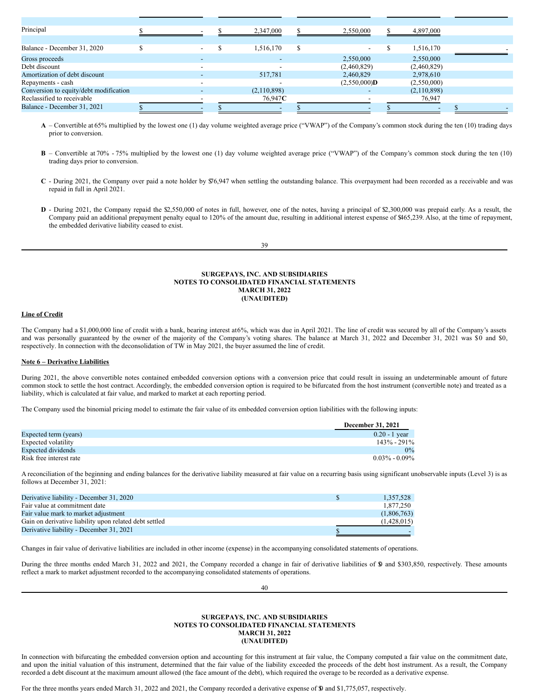| Principal                              |                          |  | 2,347,000       |    | 2,550,000              | 4,897,000   |  |
|----------------------------------------|--------------------------|--|-----------------|----|------------------------|-------------|--|
|                                        |                          |  |                 |    |                        |             |  |
| Balance - December 31, 2020            | $\overline{\phantom{0}}$ |  | 1,516,170       | S. |                        | 1,516,170   |  |
| Gross proceeds                         |                          |  |                 |    | 2,550,000              | 2,550,000   |  |
| Debt discount                          |                          |  |                 |    | (2,460,829)            | (2,460,829) |  |
| Amortization of debt discount          | $\overline{\phantom{0}}$ |  | 517,781         |    | 2,460,829              | 2,978,610   |  |
| Repayments - cash                      |                          |  |                 |    | $(2,550,000)$ <b>D</b> | (2,550,000) |  |
| Conversion to equity/debt modification |                          |  | (2,110,898)     |    |                        | (2,110,898) |  |
| Reclassified to receivable             |                          |  | 76,947 <b>C</b> |    |                        | 76,947      |  |
| Balance - December 31, 2021            |                          |  |                 |    |                        |             |  |
|                                        |                          |  |                 |    |                        |             |  |

**A** – Convertible at 65% multiplied by the lowest one (1) day volume weighted average price ("VWAP") of the Company's common stock during the ten (10) trading days prior to conversion.

- **B** Convertible at 70% 75% multiplied by the lowest one (1) day volume weighted average price ("VWAP") of the Company's common stock during the ten (10) trading days prior to conversion.
- **C** During 2021, the Company over paid a note holder by \$76,947 when settling the outstanding balance. This overpayment had been recorded as a receivable and was repaid in full in April 2021.
- **D** During 2021, the Company repaid the \$2,550,000 of notes in full, however, one of the notes, having a principal of \$2,300,000 was prepaid early. As a result, the Company paid an additional prepayment penalty equal to 120% of the amount due, resulting in additional interest expense of \$465,239. Also, at the time of repayment, the embedded derivative liability ceased to exist.

| ×<br>۰.<br>I<br>۰,<br>I<br>٧<br>×<br>۰. |
|-----------------------------------------|
|-----------------------------------------|

#### **SURGEPAYS, INC. AND SUBSIDIARIES NOTES TO CONSOLIDATED FINANCIAL STATEMENTS MARCH 31, 2022 (UNAUDITED)**

## **Line of Credit**

The Company had a \$1,000,000 line of credit with a bank, bearing interest at6%, which was due in April 2021. The line of credit was secured by all of the Company's assets and was personally guaranteed by the owner of the majority of the Company's voting shares. The balance at March 31, 2022 and December 31, 2021 was \$0 and \$0, respectively. In connection with the deconsolidation of TW in May 2021, the buyer assumed the line of credit.

## **Note 6 – Derivative Liabilities**

During 2021, the above convertible notes contained embedded conversion options with a conversion price that could result in issuing an undeterminable amount of future common stock to settle the host contract. Accordingly, the embedded conversion option is required to be bifurcated from the host instrument (convertible note) and treated as a liability, which is calculated at fair value, and marked to market at each reporting period.

The Company used the binomial pricing model to estimate the fair value of its embedded conversion option liabilities with the following inputs:

|                         | <b>December 31, 2021</b> |
|-------------------------|--------------------------|
| Expected term (years)   | $0.20 - 1$ vear          |
| Expected volatility     | $143\% - 291\%$          |
| Expected dividends      | $0\%$                    |
| Risk free interest rate | $0.03\% - 0.09\%$        |

A reconciliation of the beginning and ending balances for the derivative liability measured at fair value on a recurring basis using significant unobservable inputs (Level 3) is as follows at December 31, 2021:

| Derivative liability - December 31, 2020               | 1.357.528   |
|--------------------------------------------------------|-------------|
| Fair value at commitment date                          | 1.877.250   |
| Fair value mark to market adjustment                   | (1,806,763) |
| Gain on derivative liability upon related debt settled | (1,428,015) |
| Derivative liability - December 31, 2021               |             |

Changes in fair value of derivative liabilities are included in other income (expense) in the accompanying consolidated statements of operations.

During the three months ended March 31, 2022 and 2021, the Company recorded a change in fair of derivative liabilities of \$0 and \$303,850, respectively. These amounts reflect a mark to market adjustment recorded to the accompanying consolidated statements of operations.

40

## **SURGEPAYS, INC. AND SUBSIDIARIES NOTES TO CONSOLIDATED FINANCIAL STATEMENTS MARCH 31, 2022 (UNAUDITED)**

In connection with bifurcating the embedded conversion option and accounting for this instrument at fair value, the Company computed a fair value on the commitment date, and upon the initial valuation of this instrument, determined that the fair value of the liability exceeded the proceeds of the debt host instrument. As a result, the Company recorded a debt discount at the maximum amount allowed (the face amount of the debt), which required the overage to be recorded as a derivative expense.

For the three months years ended March 31, 2022 and 2021, the Company recorded a derivative expense of \$0 and \$1,775,057, respectively.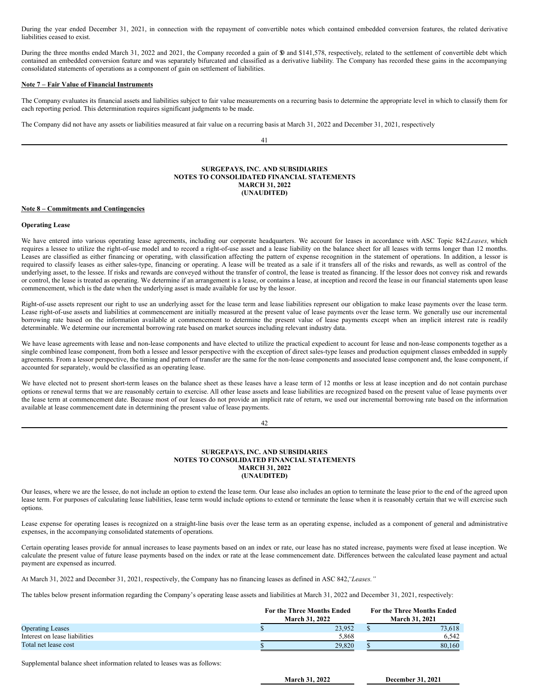During the year ended December 31, 2021, in connection with the repayment of convertible notes which contained embedded conversion features, the related derivative liabilities ceased to exist.

During the three months ended March 31, 2022 and 2021, the Company recorded a gain of \$0 and \$141,578, respectively, related to the settlement of convertible debt which contained an embedded conversion feature and was separately bifurcated and classified as a derivative liability. The Company has recorded these gains in the accompanying consolidated statements of operations as a component of gain on settlement of liabilities.

#### **Note 7 – Fair Value of Financial Instruments**

The Company evaluates its financial assets and liabilities subject to fair value measurements on a recurring basis to determine the appropriate level in which to classify them for each reporting period. This determination requires significant judgments to be made.

The Company did not have any assets or liabilities measured at fair value on a recurring basis at March 31, 2022 and December 31, 2021, respectively

41

#### **SURGEPAYS, INC. AND SUBSIDIARIES NOTES TO CONSOLIDATED FINANCIAL STATEMENTS MARCH 31, 2022 (UNAUDITED)**

## **Note 8 – Commitments and Contingencies**

#### **Operating Lease**

We have entered into various operating lease agreements, including our corporate headquarters. We account for leases in accordance with ASC Topic 842:*Leases,* which requires a lessee to utilize the right-of-use model and to record a right-of-use asset and a lease liability on the balance sheet for all leases with terms longer than 12 months. Leases are classified as either financing or operating, with classification affecting the pattern of expense recognition in the statement of operations. In addition, a lessor is required to classify leases as either sales-type, financing or operating. A lease will be treated as a sale if it transfers all of the risks and rewards, as well as control of the underlying asset, to the lessee. If risks and rewards are conveyed without the transfer of control, the lease is treated as financing. If the lessor does not convey risk and rewards or control, the lease is treated as operating. We determine if an arrangement is a lease, or contains a lease, at inception and record the lease in our financial statements upon lease commencement, which is the date when the underlying asset is made available for use by the lessor.

Right-of-use assets represent our right to use an underlying asset for the lease term and lease liabilities represent our obligation to make lease payments over the lease term. Lease right-of-use assets and liabilities at commencement are initially measured at the present value of lease payments over the lease term. We generally use our incremental borrowing rate based on the information available at commencement to determine the present value of lease payments except when an implicit interest rate is readily determinable. We determine our incremental borrowing rate based on market sources including relevant industry data.

We have lease agreements with lease and non-lease components and have elected to utilize the practical expedient to account for lease and non-lease components together as a single combined lease component, from both a lessee and lessor perspective with the exception of direct sales-type leases and production equipment classes embedded in supply agreements. From a lessor perspective, the timing and pattern of transfer are the same for the non-lease components and associated lease component and, the lease component, if accounted for separately, would be classified as an operating lease.

We have elected not to present short-term leases on the balance sheet as these leases have a lease term of 12 months or less at lease inception and do not contain purchase options or renewal terms that we are reasonably certain to exercise. All other lease assets and lease liabilities are recognized based on the present value of lease payments over the lease term at commencement date. Because most of our leases do not provide an implicit rate of return, we used our incremental borrowing rate based on the information available at lease commencement date in determining the present value of lease payments.

## 42

### **SURGEPAYS, INC. AND SUBSIDIARIES NOTES TO CONSOLIDATED FINANCIAL STATEMENTS MARCH 31, 2022 (UNAUDITED)**

Our leases, where we are the lessee, do not include an option to extend the lease term. Our lease also includes an option to terminate the lease prior to the end of the agreed upon lease term. For purposes of calculating lease liabilities, lease term would include options to extend or terminate the lease when it is reasonably certain that we will exercise such options.

Lease expense for operating leases is recognized on a straight-line basis over the lease term as an operating expense, included as a component of general and administrative expenses, in the accompanying consolidated statements of operations.

Certain operating leases provide for annual increases to lease payments based on an index or rate, our lease has no stated increase, payments were fixed at lease inception. We calculate the present value of future lease payments based on the index or rate at the lease commencement date. Differences between the calculated lease payment and actual payment are expensed as incurred.

At March 31, 2022 and December 31, 2021, respectively, the Company has no financing leases as defined in ASC 842,*"Leases."*

The tables below present information regarding the Company's operating lease assets and liabilities at March 31, 2022 and December 31, 2021, respectively:

|                               | <b>For the Three Months Ended</b> |        | <b>For the Three Months Ended</b> |  |
|-------------------------------|-----------------------------------|--------|-----------------------------------|--|
|                               | <b>March 31, 2022</b>             |        | <b>March 31, 2021</b>             |  |
| <b>Operating Leases</b>       |                                   | 23.952 | 73.618                            |  |
| Interest on lease liabilities |                                   | 5.868  | 6.542                             |  |
| Total net lease cost          |                                   | 29,820 | 80.160                            |  |

Supplemental balance sheet information related to leases was as follows:

**March 31, 2022 December 31, 2021**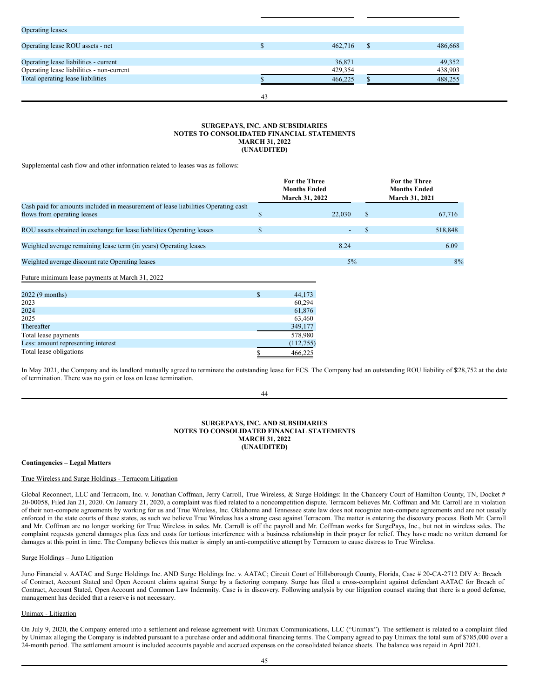| <b>Operating leases</b>                   |    |         |    |         |
|-------------------------------------------|----|---------|----|---------|
|                                           |    |         |    |         |
| Operating lease ROU assets - net          |    | 462,716 | -S | 486,668 |
|                                           |    |         |    |         |
| Operating lease liabilities - current     |    | 36,871  |    | 49,352  |
| Operating lease liabilities - non-current |    | 429,354 |    | 438,903 |
| Total operating lease liabilities         |    | 466,225 |    | 488,255 |
|                                           |    |         |    |         |
|                                           | 43 |         |    |         |

## **SURGEPAYS, INC. AND SUBSIDIARIES NOTES TO CONSOLIDATED FINANCIAL STATEMENTS MARCH 31, 2022 (UNAUDITED)**

Supplemental cash flow and other information related to leases was as follows:

|                                                                                                                  | <b>For the Three</b><br><b>Months Ended</b><br>March 31, 2022 |        |              | <b>For the Three</b><br><b>Months Ended</b><br>March 31, 2021 |
|------------------------------------------------------------------------------------------------------------------|---------------------------------------------------------------|--------|--------------|---------------------------------------------------------------|
| Cash paid for amounts included in measurement of lease liabilities Operating cash<br>flows from operating leases | \$                                                            | 22,030 | $\mathbb{S}$ | 67,716                                                        |
| ROU assets obtained in exchange for lease liabilities Operating leases                                           | \$                                                            |        | \$           | 518,848                                                       |
| Weighted average remaining lease term (in years) Operating leases                                                |                                                               | 8.24   |              | 6.09                                                          |
| Weighted average discount rate Operating leases                                                                  |                                                               | $5\%$  |              | 8%                                                            |
| Future minimum lease payments at March 31, 2022                                                                  |                                                               |        |              |                                                               |
| 2022 (9 months)<br>2023                                                                                          | \$<br>44,173<br>60,294                                        |        |              |                                                               |
| 2024<br>2025                                                                                                     | 61,876<br>63,460                                              |        |              |                                                               |
| Thereafter                                                                                                       | 349,177                                                       |        |              |                                                               |
| Total lease payments                                                                                             | 578,980                                                       |        |              |                                                               |
| Less: amount representing interest                                                                               | (112, 755)                                                    |        |              |                                                               |
| Total lease obligations                                                                                          | 466,225                                                       |        |              |                                                               |

In May 2021, the Company and its landlord mutually agreed to terminate the outstanding lease for ECS. The Company had an outstanding ROU liability of \$228,752 at the date of termination. There was no gain or loss on lease termination.

44

#### **SURGEPAYS, INC. AND SUBSIDIARIES NOTES TO CONSOLIDATED FINANCIAL STATEMENTS MARCH 31, 2022 (UNAUDITED)**

## **Contingencies – Legal Matters**

## True Wireless and Surge Holdings - Terracom Litigation

Global Reconnect, LLC and Terracom, Inc. v. Jonathan Coffman, Jerry Carroll, True Wireless, & Surge Holdings: In the Chancery Court of Hamilton County, TN, Docket # 20-00058, Filed Jan 21, 2020. On January 21, 2020, a complaint was filed related to a noncompetition dispute. Terracom believes Mr. Coffman and Mr. Carroll are in violation of their non-compete agreements by working for us and True Wireless, Inc. Oklahoma and Tennessee state law does not recognize non-compete agreements and are not usually enforced in the state courts of these states, as such we believe True Wireless has a strong case against Terracom. The matter is entering the discovery process. Both Mr. Carroll and Mr. Coffman are no longer working for True Wireless in sales. Mr. Carroll is off the payroll and Mr. Coffman works for SurgePays, Inc., but not in wireless sales. The complaint requests general damages plus fees and costs for tortious interference with a business relationship in their prayer for relief. They have made no written demand for damages at this point in time. The Company believes this matter is simply an anti-competitive attempt by Terracom to cause distress to True Wireless.

## Surge Holdings – Juno Litigation

Juno Financial v. AATAC and Surge Holdings Inc. AND Surge Holdings Inc. v. AATAC; Circuit Court of Hillsborough County, Florida, Case # 20-CA-2712 DIV A: Breach of Contract, Account Stated and Open Account claims against Surge by a factoring company. Surge has filed a cross-complaint against defendant AATAC for Breach of Contract, Account Stated, Open Account and Common Law Indemnity. Case is in discovery. Following analysis by our litigation counsel stating that there is a good defense, management has decided that a reserve is not necessary.

## Unimax - Litigation

On July 9, 2020, the Company entered into a settlement and release agreement with Unimax Communications, LLC ("Unimax"). The settlement is related to a complaint filed by Unimax alleging the Company is indebted pursuant to a purchase order and additional financing terms. The Company agreed to pay Unimax the total sum of \$785,000 over a 24-month period. The settlement amount is included accounts payable and accrued expenses on the consolidated balance sheets. The balance was repaid in April 2021.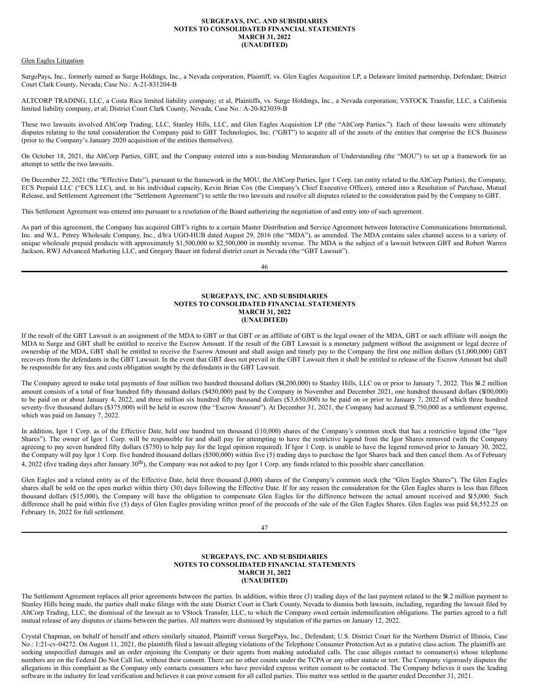## **SURGEPAYS, INC. AND SUBSIDIARIES NOTES TO CONSOLIDATED FINANCIAL STATEMENTS MARCH 31, 2022 (UNAUDITED)**

#### Glen Eagles Litigation

SurgePays, Inc., formerly named as Surge Holdings, Inc., a Nevada corporation, Plaintiff, vs. Glen Eagles Acquisition LP, a Delaware limited partnership, Defendant; District Court Clark County, Nevada; Case No.: A-21-831204-B

ALTCORP TRADING, LLC, a Costa Rica limited liability company; et al, Plaintiffs, vs. Surge Holdings, Inc., a Nevada corporation; VSTOCK Transfer, LLC, a California limited liability company, et al; District Court Clark County, Nevada; Case No.: A-20-823039-B

These two lawsuits involved AltCorp Trading, LLC, Stanley Hills, LLC, and Glen Eagles Acquisition LP (the "AltCorp Parties."). Each of these lawsuits were ultimately disputes relating to the total consideration the Company paid to GBT Technologies, Inc. ("GBT") to acquire all of the assets of the entities that comprise the ECS Business (prior to the Company's January 2020 acquisition of the entities themselves).

On October 18, 2021, the AltCorp Parties, GBT, and the Company entered into a non-binding Memorandum of Understanding (the "MOU") to set up a framework for an attempt to settle the two lawsuits.

On December 22, 2021 (the "Effective Date"), pursuant to the framework in the MOU, the AltCorp Parties, Igor 1 Corp. (an entity related to the AltCorp Parties), the Company, ECS Prepaid LLC ("ECS LLC), and, in his individual capacity, Kevin Brian Cox (the Company's Chief Executive Officer), entered into a Resolution of Purchase, Mutual Release, and Settlement Agreement (the "Settlement Agreement") to settle the two lawsuits and resolve all disputes related to the consideration paid by the Company to GBT.

This Settlement Agreement was entered into pursuant to a resolution of the Board authorizing the negotiation of and entry into of such agreement.

As part of this agreement, the Company has acquired GBT's rights to a certain Master Distribution and Service Agreement between Interactive Communications International, Inc. and W.L. Petrey Wholesale Company, Inc., d/b/a UGO-HUB dated August 29, 2016 (the "MDA"), as amended. The MDA contains sales channel access to a variety of unique wholesale prepaid products with approximately \$1,500,000 to \$2,500,000 in monthly revenue. The MDA is the subject of a lawsuit between GBT and Robert Warren Jackson, RWJ Advanced Marketing LLC, and Gregory Bauer int federal district court in Nevada (the "GBT Lawsuit").

46

## **SURGEPAYS, INC. AND SUBSIDIARIES NOTES TO CONSOLIDATED FINANCIAL STATEMENTS MARCH 31, 2022 (UNAUDITED)**

If the result of the GBT Lawsuit is an assignment of the MDA to GBT or that GBT or an affiliate of GBT is the legal owner of the MDA, GBT or such affiliate will assign the MDA to Surge and GBT shall be entitled to receive the Escrow Amount. If the result of the GBT Lawsuit is a monetary judgment without the assignment or legal decree of ownership of the MDA, GBT shall be entitled to receive the Escrow Amount and shall assign and timely pay to the Company the first one million dollars (\$1,000,000) GBT recovers from the defendants in the GBT Lawsuit. In the event that GBT does not prevail in the GBT Lawsuit then it shall be entitled to release of the Escrow Amount but shall be responsible for any fees and costs obligation sought by the defendants in the GBT Lawsuit.

The Company agreed to make total payments of four million two hundred thousand dollars (\$4,200,000) to Stanley Hills, LLC on or prior to January 7, 2022. This \$4.2 million amount consists of a total of four hundred fifty thousand dollars (\$450,000) paid by the Company in November and December 2021, one hundred thousand dollars (\$100,000) to be paid on or about January 4, 2022, and three million six hundred fifty thousand dollars (\$3,650,000) to be paid on or prior to January 7, 2022 of which three hundred seventy-five thousand dollars (\$375,000) will be held in escrow (the "Escrow Amount"). At December 31, 2021, the Company had accrued \$3,750,000 as a settlement expense, which was paid on January 7, 2022.

In addition, Igor 1 Corp. as of the Effective Date, held one hundred ten thousand (110,000) shares of the Company's common stock that has a restrictive legend (the "Igor Shares"). The owner of Igor 1 Corp. will be responsible for and shall pay for attempting to have the restrictive legend from the Igor Shares removed (with the Company agreeing to pay seven hundred fifty dollars (\$750) to help pay for the legal opinion required). If Igor 1 Corp. is unable to have the legend removed prior to January 30, 2022, the Company will pay Igor 1 Corp. five hundred thousand dollars (\$500,000) within five (5) trading days to purchase the Igor Shares back and then cancel them. As of February 4, 2022 (five trading days after January  $30<sup>th</sup>$ ), the Company was not asked to pay Igor 1 Corp. any funds related to this possible share cancellation.

Glen Eagles and a related entity as of the Effective Date, held three thousand (3,000) shares of the Company's common stock (the "Glen Eagles Shares"). The Glen Eagles shares shall be sold on the open market within thirty (30) days following the Effective Date. If for any reason the consideration for the Glen Eagles shares is less than fifteen thousand dollars (\$15,000), the Company will have the obligation to compensate Glen Eagles for the difference between the actual amount received and \$15,000. Such difference shall be paid within five (5) days of Glen Eagles providing written proof of the proceeds of the sale of the Glen Eagles Shares. Glen Eagles was paid \$8,552.25 on February 16, 2022 for full settlement.

47

#### **SURGEPAYS, INC. AND SUBSIDIARIES NOTES TO CONSOLIDATED FINANCIAL STATEMENTS MARCH 31, 2022 (UNAUDITED)**

The Settlement Agreement replaces all prior agreements between the parties. In addition, within three (3) trading days of the last payment related to the \$4.2 million payment to Stanley Hills being made, the parties shall make filings with the state District Court in Clark County, Nevada to dismiss both lawsuits, including, regarding the lawsuit filed by AltCorp Trading, LLC, the dismissal of the lawsuit as to VStock Transfer, LLC, to which the Company owed certain indemnification obligations. The parties agreed to a full mutual release of any disputes or claims between the parties. All matters were dismissed by stipulation of the parties on January 12, 2022.

Crystal Chapman, on behalf of herself and others similarly situated, Plaintiff versus SurgePays, Inc., Defendant; U.S. District Court for the Northern District of Illinois, Case No.: 1:21-cv-04272. On August 11, 2021, the plaintiffs filed a lawsuit alleging violations of the Telephone Consumer Protection Act as a putative class action. The plaintiffs are seeking unspecified damages and an order enjoining the Company or their agents from making autodialed calls. The case alleges contact to consumer(s) whose telephone numbers are on the Federal Do Not Call list, without their consent. There are no other counts under the TCPA or any other statute or tort. The Company vigorously disputes the allegations in this complaint as the Company only contacts consumers who have provided express written consent to be contacted. The Company believes it uses the leading software in the industry for lead verification and believes it can prove consent for all called parties. This matter was settled in the quarter ended December 31, 2021.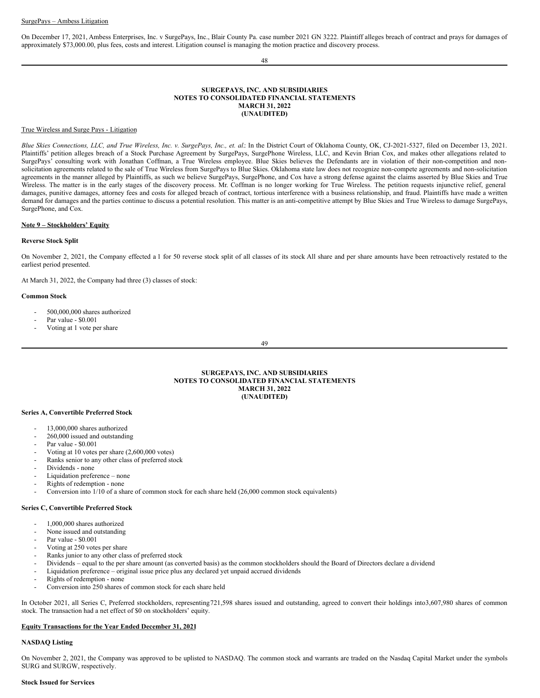On December 17, 2021, Ambess Enterprises, Inc. v SurgePays, Inc., Blair County Pa. case number 2021 GN 3222. Plaintiff alleges breach of contract and prays for damages of approximately \$73,000.00, plus fees, costs and interest. Litigation counsel is managing the motion practice and discovery process.

#### 48

#### **SURGEPAYS, INC. AND SUBSIDIARIES NOTES TO CONSOLIDATED FINANCIAL STATEMENTS MARCH 31, 2022 (UNAUDITED)**

#### True Wireless and Surge Pays - Litigation

Blue Skies Connections, LLC, and True Wireless, Inc. v. SurgePays, Inc., et. al: In the District Court of Oklahoma County, OK, CJ-2021-5327, filed on December 13, 2021. Plaintiffs' petition alleges breach of a Stock Purchase Agreement by SurgePays, SurgePhone Wireless, LLC, and Kevin Brian Cox, and makes other allegations related to SurgePays' consulting work with Jonathan Coffman, a True Wireless employee. Blue Skies believes the Defendants are in violation of their non-competition and nonsolicitation agreements related to the sale of True Wireless from SurgePays to Blue Skies. Oklahoma state law does not recognize non-compete agreements and non-solicitation agreements in the manner alleged by Plaintiffs, as such we believe SurgePays, SurgePhone, and Cox have a strong defense against the claims asserted by Blue Skies and True Wireless. The matter is in the early stages of the discovery process. Mr. Coffman is no longer working for True Wireless. The petition requests injunctive relief, general damages, punitive damages, attorney fees and costs for alleged breach of contract, tortious interference with a business relationship, and fraud. Plaintiffs have made a written demand for damages and the parties continue to discuss a potential resolution. This matter is an anti-competitive attempt by Blue Skies and True Wireless to damage SurgePays, SurgePhone, and Cox.

#### **Note 9 – Stockholders' Equity**

#### **Reverse Stock Split**

On November 2, 2021, the Company effected a 1 for 50 reverse stock split of all classes of its stock. All share and per share amounts have been retroactively restated to the earliest period presented.

At March 31, 2022, the Company had three (3) classes of stock:

#### **Common Stock**

- 500,000,000 shares authorized
- Par value \$0.001
- Voting at 1 vote per share

49

**SURGEPAYS, INC. AND SUBSIDIARIES NOTES TO CONSOLIDATED FINANCIAL STATEMENTS MARCH 31, 2022 (UNAUDITED)**

#### **Series A, Convertible Preferred Stock**

- 13,000,000 shares authorized
- 260,000 issued and outstanding
- Par value \$0.001
- Voting at 10 votes per share (2,600,000 votes)
- Ranks senior to any other class of preferred stock
- Dividends none
- Liquidation preference none
- Rights of redemption none
- Conversion into 1/10 of a share of common stock for each share held (26,000 common stock equivalents)

#### **Series C, Convertible Preferred Stock**

- 1,000,000 shares authorized
- None issued and outstanding
- Par value \$0.001
- Voting at 250 votes per share
- Ranks junior to any other class of preferred stock
- Dividends equal to the per share amount (as converted basis) as the common stockholders should the Board of Directors declare a dividend
- Liquidation preference original issue price plus any declared yet unpaid accrued dividends
- Rights of redemption none
- Conversion into 250 shares of common stock for each share held

In October 2021, all Series C, Preferred stockholders, representing721,598 shares issued and outstanding, agreed to convert their holdings into3,607,980 shares of common stock. The transaction had a net effect of \$0 on stockholders' equity.

#### **Equity Transactions for the Year Ended December 31, 2021**

## **NASDAQ Listing**

On November 2, 2021, the Company was approved to be uplisted to NASDAQ. The common stock and warrants are traded on the Nasdaq Capital Market under the symbols SURG and SURGW, respectively.

#### **Stock Issued for Services**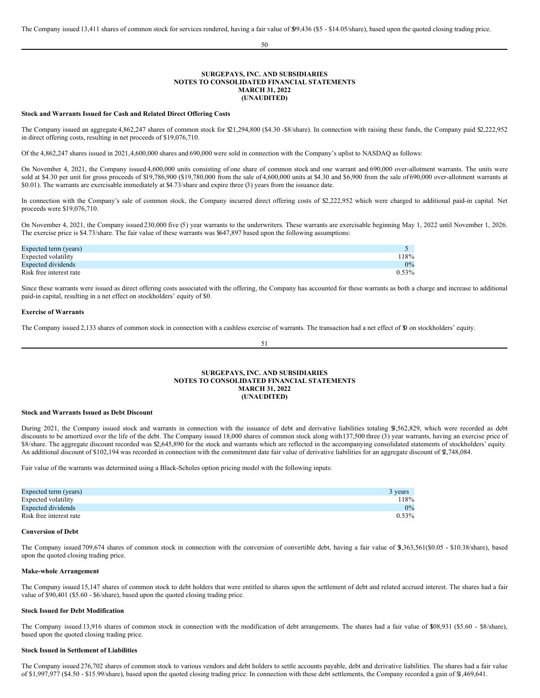50

#### **SURGEPAYS, INC. AND SUBSIDIARIES NOTES TO CONSOLIDATED FINANCIAL STATEMENTS MARCH 31, 2022 (UNAUDITED)**

#### **Stock and Warrants Issued for Cash and Related Direct Offering Costs**

The Company issued an aggregate 4,862,247 shares of common stock for \$21,294,800 (\$4.30 -\$8/share). In connection with raising these funds, the Company paid \$2,222,952 in direct offering costs, resulting in net proceeds of \$19,076,710.

Of the 4,862,247 shares issued in 2021,4,600,000 shares and 690,000 were sold in connection with the Company's uplist to NASDAQ as follows:

On November 4, 2021, the Company issued 4,600,000 units consisting of one share of common stock and one warrant and 690,000 over-allotment warrants. The units were sold at \$4.30 per unit for gross proceeds of \$19,786,900 (\$19,780,000 from the sale of 4,600,000 units at \$4.30 and \$6,900 from the sale of 690,000 over-allotment warrants at \$0.01). The warrants are exercisable immediately at \$4.73/share and expire three (3) years from the issuance date.

In connection with the Company's sale of common stock, the Company incurred direct offering costs of \$2,222,952 which were charged to additional paid-in capital. Net proceeds were \$19,076,710.

On November 4, 2021, the Company issued 230,000 five (5) year warrants to the underwriters. These warrants are exercisable beginning May 1, 2022 until November 1, 2026. The exercise price is \$4.73/share. The fair value of these warrants was \$647,897 based upon the following assumptions:

| Expected term (years)   |          |
|-------------------------|----------|
| Expected volatility     | 118%     |
| Expected dividends      | $0\%$    |
| Risk free interest rate | $0.53\%$ |

Since these warrants were issued as direct offering costs associated with the offering, the Company has accounted for these warrants as both a charge and increase to additional paid-in capital, resulting in a net effect on stockholders' equity of \$0.

#### **Exercise of Warrants**

The Company issued 2,133 shares of common stock in connection with a cashless exercise of warrants. The transaction had a net effect of \$0 on stockholders' equity.

## 51

## **SURGEPAYS, INC. AND SUBSIDIARIES NOTES TO CONSOLIDATED FINANCIAL STATEMENTS MARCH 31, 2022 (UNAUDITED)**

#### **Stock and Warrants Issued as Debt Discount**

During 2021, the Company issued stock and warrants in connection with the issuance of debt and derivative liabilities totaling \$,562,829, which were recorded as debt discounts to be amortized over the life of the debt. The Company issued 18,000 shares of common stock along with 137,500 three (3) year warrants, having an exercise price of \$8/share. The aggregate discount recorded was \$2,645,890 for the stock and warrants which are reflected in the accompanying consolidated statements of stockholders' equity. An additional discount of \$102,194 was recorded in connection with the commitment date fair value of derivative liabilities for an aggregate discount of \$2,748,084.

Fair value of the warrants was determined using a Black-Scholes option pricing model with the following inputs:

| Expected term (years)   | 3 years  |
|-------------------------|----------|
| Expected volatility     | 118%     |
| Expected dividends      | $0\%$    |
| Risk free interest rate | $0.53\%$ |

#### **Conversion of Debt**

The Company issued 709,674 shares of common stock in connection with the conversion of convertible debt, having a fair value of \$,363,561(\$0.05 - \$10.38/share), based upon the quoted closing trading price.

#### **Make-whole Arrangement**

The Company issued 15,147 shares of common stock to debt holders that were entitled to shares upon the settlement of debt and related accrued interest. The shares had a fair value of \$90,401 (\$5.60 - \$6/share), based upon the quoted closing trading price.

#### **Stock Issued for Debt Modification**

The Company issued 13,916 shares of common stock in connection with the modification of debt arrangements. The shares had a fair value of \$08,931 (\$5.60 - \$8/share), based upon the quoted closing trading price.

#### **Stock Issued in Settlement of Liabilities**

The Company issued 276,702 shares of common stock to various vendors and debt holders to settle accounts payable, debt and derivative liabilities. The shares had a fair value of \$1,997,977 (\$4.50 - \$15.99/share), based upon the quoted closing trading price. In connection with these debt settlements, the Company recorded a gain of \$1,469,641.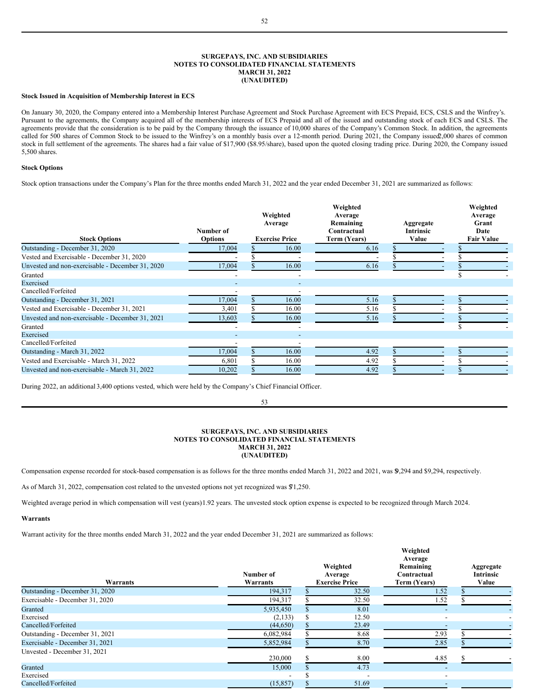### **SURGEPAYS, INC. AND SUBSIDIARIES NOTES TO CONSOLIDATED FINANCIAL STATEMENTS MARCH 31, 2022 (UNAUDITED)**

#### **Stock Issued in Acquisition of Membership Interest in ECS**

On January 30, 2020, the Company entered into a Membership Interest Purchase Agreement and Stock Purchase Agreement with ECS Prepaid, ECS, CSLS and the Winfrey's. Pursuant to the agreements, the Company acquired all of the membership interests of ECS Prepaid and all of the issued and outstanding stock of each ECS and CSLS. The agreements provide that the consideration is to be paid by the Company through the issuance of 10,000 shares of the Company's Common Stock. In addition, the agreements called for 500 shares of Common Stock to be issued to the Winfrey's on a monthly basis over a 12-month period. During 2021, the Company issued 0.000 shares of common stock in full settlement of the agreements. The shares had a fair value of \$17,900 (\$8.95/share), based upon the quoted closing trading price. During 2020, the Company issued 5,500 shares.

#### **Stock Options**

Stock option transactions under the Company's Plan for the three months ended March 31, 2022 and the year ended December 31, 2021 are summarized as follows:

| <b>Stock Options</b>                             | Number of<br><b>Options</b> | Weighted<br>Average<br><b>Exercise Price</b> | Weighted<br>Average<br>Remaining<br>Contractual<br>Term (Years) | Aggregate<br><b>Intrinsic</b><br>Value | Weighted<br>Average<br>Grant<br>Date<br><b>Fair Value</b> |
|--------------------------------------------------|-----------------------------|----------------------------------------------|-----------------------------------------------------------------|----------------------------------------|-----------------------------------------------------------|
| Outstanding - December 31, 2020                  | 17,004                      | 16.00                                        | 6.16                                                            |                                        |                                                           |
| Vested and Exercisable - December 31, 2020       |                             |                                              |                                                                 |                                        |                                                           |
| Unvested and non-exercisable - December 31, 2020 | 17,004                      | 16.00                                        | 6.16                                                            |                                        |                                                           |
| Granted                                          |                             |                                              |                                                                 |                                        |                                                           |
| Exercised                                        |                             |                                              |                                                                 |                                        |                                                           |
| Cancelled/Forfeited                              |                             |                                              |                                                                 |                                        |                                                           |
| Outstanding - December 31, 2021                  | 17,004                      | 16.00                                        | 5.16                                                            |                                        |                                                           |
| Vested and Exercisable - December 31, 2021       | 3,401                       | 16.00                                        | 5.16                                                            |                                        |                                                           |
| Unvested and non-exercisable - December 31, 2021 | 13,603                      | 16.00                                        | 5.16                                                            |                                        |                                                           |
| Granted                                          |                             |                                              |                                                                 |                                        |                                                           |
| Exercised                                        |                             |                                              |                                                                 |                                        |                                                           |
| Cancelled/Forfeited                              |                             |                                              |                                                                 |                                        |                                                           |
| Outstanding - March 31, 2022                     | 17,004                      | 16.00                                        | 4.92                                                            |                                        |                                                           |
| Vested and Exercisable - March 31, 2022          | 6,801                       | 16.00                                        | 4.92                                                            |                                        |                                                           |
| Unvested and non-exercisable - March 31, 2022    | 10,202                      | 16.00                                        | 4.92                                                            |                                        |                                                           |

During 2022, an additional 3,400 options vested, which were held by the Company's Chief Financial Officer.

### **SURGEPAYS, INC. AND SUBSIDIARIES NOTES TO CONSOLIDATED FINANCIAL STATEMENTS MARCH 31, 2022 (UNAUDITED)**

53

Compensation expense recorded for stock-based compensation is as follows for the three months ended March 31, 2022 and 2021, was \$9,294 and \$9,294, respectively.

As of March 31, 2022, compensation cost related to the unvested options not yet recognized was \$71,250.

Weighted average period in which compensation will vest (years)1.92 years. The unvested stock option expense is expected to be recognized through March 2024.

#### **Warrants**

Warrant activity for the three months ended March 31, 2022 and the year ended December 31, 2021 are summarized as follows:

| Warrants                        | Number of<br>Warrants |   | Weighted<br>Average<br><b>Exercise Price</b> | Weighted<br>Average<br>Remaining<br>Contractual<br>Term (Years) | Aggregate<br><b>Intrinsic</b><br>Value |
|---------------------------------|-----------------------|---|----------------------------------------------|-----------------------------------------------------------------|----------------------------------------|
| Outstanding - December 31, 2020 | 194,317               |   | 32.50                                        | 1.52                                                            |                                        |
| Exercisable - December 31, 2020 | 194,317               |   | 32.50                                        | 1.52                                                            |                                        |
| Granted                         | 5,935,450             |   | 8.01                                         |                                                                 |                                        |
| Exercised                       | (2,133)               | S | 12.50                                        |                                                                 |                                        |
| Cancelled/Forfeited             | (44, 650)             |   | 23.49                                        |                                                                 |                                        |
| Outstanding - December 31, 2021 | 6,082,984             |   | 8.68                                         | 2.93                                                            |                                        |
| Exercisable - December 31, 2021 | 5,852,984             |   | 8.70                                         | 2.85                                                            |                                        |
| Unvested - December 31, 2021    | 230,000               |   | 8.00                                         | 4.85                                                            |                                        |
| Granted                         | 15,000                |   | 4.73                                         |                                                                 |                                        |
| Exercised                       |                       |   |                                              |                                                                 |                                        |
| Cancelled/Forfeited             | (15, 857)             |   | 51.69                                        |                                                                 |                                        |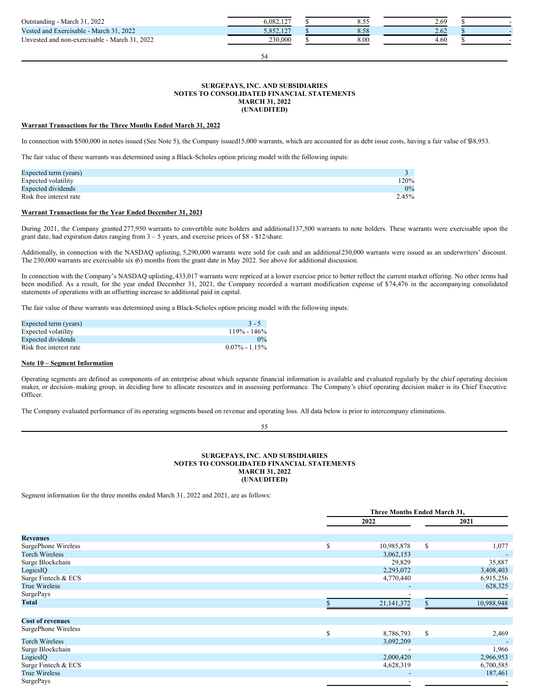| 2022<br>Outstanding -<br>March                               | 6.082.12<br>10 <sup>h</sup> | <u></u>       | 2.69 |  |
|--------------------------------------------------------------|-----------------------------|---------------|------|--|
| 2022<br>Vested and Exercisable -<br>March 3.                 | 107<br>3,852,127            | $_{\rm{o.e}}$ | 2.62 |  |
| 2022<br><b>TT</b><br>March<br>Unvested and non-exercisable - | 230.000                     | 8.00          | 4.60 |  |

54

#### **SURGEPAYS, INC. AND SUBSIDIARIES NOTES TO CONSOLIDATED FINANCIAL STATEMENTS MARCH 31, 2022 (UNAUDITED)**

#### **Warrant Transactions for the Three Months Ended March 31, 2022**

In connection with \$500,000 in notes issued (See Note 5), the Company issued15,000 warrants, which are accounted for as debt issue costs, having a fair value of \$38,953.

The fair value of these warrants was determined using a Black-Scholes option pricing model with the following inputs:

| Expected term (years)     |         |
|---------------------------|---------|
| Expected volatility       | $120\%$ |
| <b>Expected dividends</b> | $0\%$   |
| Risk free interest rate   | 2.45%   |

## **Warrant Transactions for the Year Ended December 31, 2021**

During 2021, the Company granted 277,950 warrants to convertible note holders and additional 137,500 warrants to note holders. These warrants were exercisable upon the grant date, had expiration dates ranging from 3 – 5 years, and exercise prices of \$8 - \$12/share.

Additionally, in connection with the NASDAQ uplisting, 5,290,000 warrants were sold for cash and an additional230,000 warrants were issued as an underwriters' discount. The 230,000 warrants are exercisable six (6) months from the grant date in May 2022. See above for additional discussion.

In connection with the Company's NASDAQ uplisting, 433,017 warrants were repriced at a lower exercise price to better reflect the current market offering. No other terms had been modified. As a result, for the year ended December 31, 2021, the Company recorded a warrant modification expense of \$74,476 in the accompanying consolidated statements of operations with an offsetting increase to additional paid in capital.

The fair value of these warrants was determined using a Black-Scholes option pricing model with the following inputs:

| Expected term (years)   | $3 - 5$           |
|-------------------------|-------------------|
| Expected volatility     | $119\% - 146\%$   |
| Expected dividends      | $0\%$             |
| Risk free interest rate | $0.07\% - 1.15\%$ |

#### **Note 10 – Segment Information**

Operating segments are defined as components of an enterprise about which separate financial information is available and evaluated regularly by the chief operating decision maker, or decision–making group, in deciding how to allocate resources and in assessing performance. The Company's chief operating decision maker is its Chief Executive Officer.

55

The Company evaluated performance of its operating segments based on revenue and operating loss. All data below is prior to intercompany eliminations.

## **SURGEPAYS, INC. AND SUBSIDIARIES NOTES TO CONSOLIDATED FINANCIAL STATEMENTS MARCH 31, 2022 (UNAUDITED)**

Segment information for the three months ended March 31, 2022 and 2021, are as follows:

|                         |    | Three Months Ended March 31, |    |            |  |
|-------------------------|----|------------------------------|----|------------|--|
|                         |    | 2022                         |    | 2021       |  |
| <b>Revenues</b>         |    |                              |    |            |  |
| SurgePhone Wireless     | \$ | 10,985,878                   | \$ | 1,077      |  |
| <b>Torch Wireless</b>   |    | 3,062,153                    |    |            |  |
| Surge Blockchain        |    | 29,829                       |    | 35,887     |  |
| LogicsIQ                |    | 2,293,072                    |    | 3,408,403  |  |
| Surge Fintech & ECS     |    | 4,770,440                    |    | 6,915,256  |  |
| <b>True Wireless</b>    |    |                              |    | 628,325    |  |
| <b>SurgePays</b>        |    |                              |    |            |  |
| Total                   |    | 21, 141, 372                 |    | 10,988,948 |  |
| <b>Cost of revenues</b> |    |                              |    |            |  |
| SurgePhone Wireless     | S. | 8,786,793                    | \$ | 2,469      |  |
| <b>Torch Wireless</b>   |    | 3,092,209                    |    |            |  |
| Surge Blockchain        |    |                              |    | 1,966      |  |
| LogicsIQ                |    | 2,000,420                    |    | 2,966,953  |  |
| Surge Fintech & ECS     |    | 4,628,319                    |    | 6,700,585  |  |
| <b>True Wireless</b>    |    | $\overline{\phantom{a}}$     |    | 187,461    |  |
| <b>SurgePays</b>        |    | $\overline{\phantom{a}}$     |    |            |  |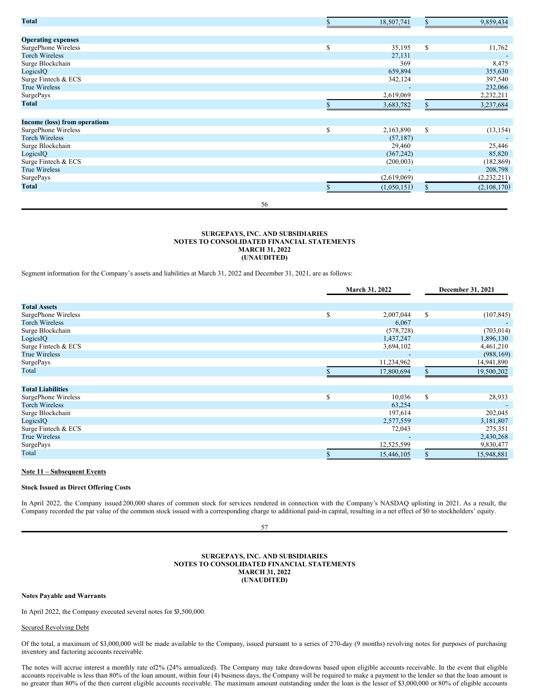| <b>Total</b>                  |    |    | 18,507,741  | $\mathbb{S}$  | 9,859,434     |
|-------------------------------|----|----|-------------|---------------|---------------|
|                               |    |    |             |               |               |
| <b>Operating expenses</b>     |    |    |             |               |               |
| SurgePhone Wireless           |    | \$ | 35,195      | \$            | 11,762        |
| <b>Torch Wireless</b>         |    |    | 27,131      |               |               |
| Surge Blockchain              |    |    | 369         |               | 8,475         |
| LogicsIQ                      |    |    | 659,894     |               | 355,630       |
| Surge Fintech & ECS           |    |    | 342,124     |               | 397,540       |
| <b>True Wireless</b>          |    |    |             |               | 232,066       |
| <b>SurgePays</b>              |    |    | 2,619,069   |               | 2,232,211     |
| Total                         |    |    | 3,683,782   |               | 3,237,684     |
| Income (loss) from operations |    |    |             |               |               |
| SurgePhone Wireless           |    | S  | 2,163,890   | <sup>\$</sup> | (13, 154)     |
| <b>Torch Wireless</b>         |    |    | (57, 187)   |               |               |
| Surge Blockchain              |    |    | 29,460      |               | 25,446        |
| LogicsIQ                      |    |    | (367, 242)  |               | 85,820        |
| Surge Fintech & ECS           |    |    | (200,003)   |               | (182, 869)    |
| <b>True Wireless</b>          |    |    |             |               | 208,798       |
| <b>SurgePays</b>              |    |    | (2,619,069) |               | (2, 232, 211) |
| Total                         |    |    | (1,050,151) |               | (2,108,170)   |
|                               | 56 |    |             |               |               |

### **SURGEPAYS, INC. AND SUBSIDIARIES NOTES TO CONSOLIDATED FINANCIAL STATEMENTS MARCH 31, 2022 (UNAUDITED)**

Segment information for the Company's assets and liabilities at March 31, 2022 and December 31, 2021, are as follows:

|                          |   | March 31, 2022 | December 31, 2021 |            |
|--------------------------|---|----------------|-------------------|------------|
| <b>Total Assets</b>      |   |                |                   |            |
| SurgePhone Wireless      | S | 2,007,044      | \$                | (107, 845) |
| <b>Torch Wireless</b>    |   | 6,067          |                   |            |
| Surge Blockchain         |   | (578, 728)     |                   | (703, 014) |
| LogicsIQ                 |   | 1,437,247      |                   | 1,896,130  |
| Surge Fintech & ECS      |   | 3,694,102      |                   | 4,461,210  |
| <b>True Wireless</b>     |   |                |                   | (988, 169) |
| <b>SurgePays</b>         |   | 11,234,962     |                   | 14,941,890 |
| Total                    |   | 17,800,694     |                   | 19,500,202 |
| <b>Total Liabilities</b> |   |                |                   |            |
| SurgePhone Wireless      | S | 10,036         | \$                | 28,933     |
| <b>Torch Wireless</b>    |   | 63,254         |                   |            |
| Surge Blockchain         |   | 197,614        |                   | 202,045    |
| LogicsIQ                 |   | 2,577,559      |                   | 3,181,807  |
| Surge Fintech & ECS      |   | 72,043         |                   | 275,351    |
| <b>True Wireless</b>     |   |                |                   | 2,430,268  |
| <b>SurgePays</b>         |   | 12,525,599     |                   | 9,830,477  |
| Total                    |   | 15,446,105     |                   | 15,948,881 |

#### **Note 11 – Subsequent Events**

#### **Stock Issued as Direct Offering Costs**

In April 2022, the Company issued 200,000 shares of common stock for services rendered in connection with the Company's NASDAQ uplisting in 2021. As a result, the Company recorded the par value of the common stock issued with a corresponding charge to additional paid-in capital, resulting in a net effect of \$0 to stockholders' equity.

57

### **SURGEPAYS, INC. AND SUBSIDIARIES NOTES TO CONSOLIDATED FINANCIAL STATEMENTS MARCH 31, 2022 (UNAUDITED)**

## **Notes Payable and Warrants**

In April 2022, the Company executed several notes for \$3,500,000.

#### Secured Revolving Debt

Of the total, a maximum of \$3,000,000 will be made available to the Company, issued pursuant to a series of 270-day (9 months) revolving notes for purposes of purchasing inventory and factoring accounts receivable.

The notes will accrue interest a monthly rate of2% (24% annualized). The Company may take drawdowns based upon eligible accounts receivable. In the event that eligible accounts receivable is less than 80% of the loan amount, within four (4) business days, the Company will be required to make a payment to the lender so that the loan amount is no greater than 80% of the then current eligible accounts receivable. The maximum amount outstanding under the loan is the lesser of \$3,000,000 or 80% of eligible accounts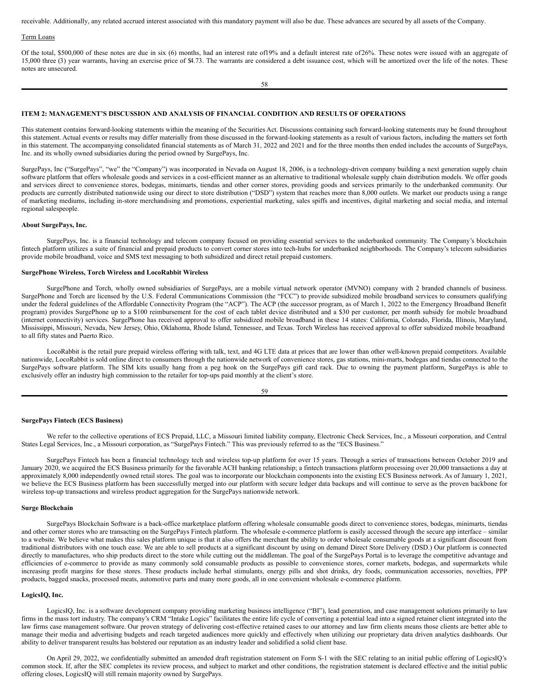receivable. Additionally, any related accrued interest associated with this mandatory payment will also be due. These advances are secured by all assets of the Company.

#### Term Loans

Of the total, \$500,000 of these notes are due in six (6) months, had an interest rate of19% and a default interest rate of26%. These notes were issued with an aggregate of 15,000 three (3) year warrants, having an exercise price of \$4.73. The warrants are considered a debt issuance cost, which will be amortized over the life of the notes. These notes are unsecured.

58

#### **ITEM 2: MANAGEMENT'S DISCUSSION AND ANALYSIS OF FINANCIAL CONDITION AND RESULTS OF OPERATIONS**

This statement contains forward-looking statements within the meaning of the Securities Act. Discussions containing such forward-looking statements may be found throughout this statement. Actual events or results may differ materially from those discussed in the forward-looking statements as a result of various factors, including the matters set forth in this statement. The accompanying consolidated financial statements as of March 31, 2022 and 2021 and for the three months then ended includes the accounts of SurgePays, Inc. and its wholly owned subsidiaries during the period owned by SurgePays, Inc.

SurgePays, Inc ("SurgePays", "we" the "Company") was incorporated in Nevada on August 18, 2006, is a technology-driven company building a next generation supply chain software platform that offers wholesale goods and services in a cost-efficient manner as an alternative to traditional wholesale supply chain distribution models. We offer goods and services direct to convenience stores, bodegas, minimarts, tiendas and other corner stores, providing goods and services primarily to the underbanked community. Our products are currently distributed nationwide using our direct to store distribution ("DSD") system that reaches more than 8,000 outlets. We market our products using a range of marketing mediums, including in-store merchandising and promotions, experiential marketing, sales spiffs and incentives, digital marketing and social media, and internal regional salespeople.

#### **About SurgePays, Inc.**

SurgePays, Inc. is a financial technology and telecom company focused on providing essential services to the underbanked community. The Company's blockchain fintech platform utilizes a suite of financial and prepaid products to convert corner stores into tech-hubs for underbanked neighborhoods. The Company's telecom subsidiaries provide mobile broadband, voice and SMS text messaging to both subsidized and direct retail prepaid customers.

#### **SurgePhone Wireless, Torch Wireless and LocoRabbit Wireless**

SurgePhone and Torch, wholly owned subsidiaries of SurgePays, are a mobile virtual network operator (MVNO) company with 2 branded channels of business. SurgePhone and Torch are licensed by the U.S. Federal Communications Commission (the "FCC") to provide subsidized mobile broadband services to consumers qualifying under the federal guidelines of the Affordable Connectivity Program (the "ACP"). The ACP (the successor program, as of March 1, 2022 to the Emergency Broadband Benefit program) provides SurgePhone up to a \$100 reimbursement for the cost of each tablet device distributed and a \$30 per customer, per month subsidy for mobile broadband (internet connectivity) services. SurgePhone has received approval to offer subsidized mobile broadband in these 14 states: California, Colorado, Florida, Illinois, Maryland, Mississippi, Missouri, Nevada, New Jersey, Ohio, Oklahoma, Rhode Island, Tennessee, and Texas. Torch Wireless has received approval to offer subsidized mobile broadband to all fifty states and Puerto Rico.

LocoRabbit is the retail pure prepaid wireless offering with talk, text, and 4G LTE data at prices that are lower than other well-known prepaid competitors. Available nationwide, LocoRabbit is sold online direct to consumers through the nationwide network of convenience stores, gas stations, mini-marts, bodegas and tiendas connected to the SurgePays software platform. The SIM kits usually hang from a peg hook on the SurgePays gift card rack. Due to owning the payment platform, SurgePays is able to exclusively offer an industry high commission to the retailer for top-ups paid monthly at the client's store.

| I<br>I<br>×<br>۰. | ٦<br>۰.<br>۰,<br>٧ |  |
|-------------------|--------------------|--|

#### **SurgePays Fintech (ECS Business)**

We refer to the collective operations of ECS Prepaid, LLC, a Missouri limited liability company, Electronic Check Services, Inc., a Missouri corporation, and Central States Legal Services, Inc., a Missouri corporation, as "SurgePays Fintech." This was previously referred to as the "ECS Business."

SurgePays Fintech has been a financial technology tech and wireless top-up platform for over 15 years. Through a series of transactions between October 2019 and January 2020, we acquired the ECS Business primarily for the favorable ACH banking relationship; a fintech transactions platform processing over 20,000 transactions a day at approximately 8,000 independently owned retail stores. The goal was to incorporate our blockchain components into the existing ECS Business network. As of January 1, 2021, we believe the ECS Business platform has been successfully merged into our platform with secure ledger data backups and will continue to serve as the proven backbone for wireless top-up transactions and wireless product aggregation for the SurgePays nationwide network.

#### **Surge Blockchain**

SurgePays Blockchain Software is a back-office marketplace platform offering wholesale consumable goods direct to convenience stores, bodegas, minimarts, tiendas and other corner stores who are transacting on the SurgePays Fintech platform. The wholesale e-commerce platform is easily accessed through the secure app interface – similar to a website. We believe what makes this sales platform unique is that it also offers the merchant the ability to order wholesale consumable goods at a significant discount from traditional distributors with one touch ease. We are able to sell products at a significant discount by using on demand Direct Store Delivery (DSD.) Our platform is connected directly to manufactures, who ship products direct to the store while cutting out the middleman. The goal of the SurgePays Portal is to leverage the competitive advantage and efficiencies of e-commerce to provide as many commonly sold consumable products as possible to convenience stores, corner markets, bodegas, and supermarkets while increasing profit margins for these stores. These products include herbal stimulants, energy pills and shot drinks, dry foods, communication accessories, novelties, PPP products, bagged snacks, processed meats, automotive parts and many more goods, all in one convenient wholesale e-commerce platform.

#### **LogicsIQ, Inc.**

LogicsIQ, Inc. is a software development company providing marketing business intelligence ("BI"), lead generation, and case management solutions primarily to law firms in the mass tort industry. The company's CRM "Intake Logics" facilitates the entire life cycle of converting a potential lead into a signed retainer client integrated into the law firms case management software. Our proven strategy of delivering cost-effective retained cases to our attorney and law firm clients means those clients are better able to manage their media and advertising budgets and reach targeted audiences more quickly and effectively when utilizing our proprietary data driven analytics dashboards. Our ability to deliver transparent results has bolstered our reputation as an industry leader and solidified a solid client base.

On April 29, 2022, we confidentially submitted an amended draft registration statement on Form S-1 with the SEC relating to an initial public offering of LogicsIQ's common stock. If, after the SEC completes its review process, and subject to market and other conditions, the registration statement is declared effective and the initial public offering closes, LogicsIQ will still remain majority owned by SurgePays.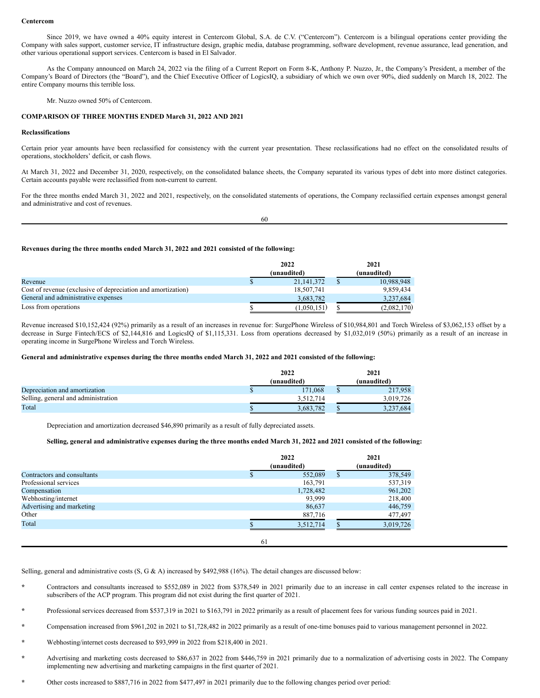#### **Centercom**

Since 2019, we have owned a 40% equity interest in Centercom Global, S.A. de C.V. ("Centercom"). Centercom is a bilingual operations center providing the Company with sales support, customer service, IT infrastructure design, graphic media, database programming, software development, revenue assurance, lead generation, and other various operational support services. Centercom is based in El Salvador.

As the Company announced on March 24, 2022 via the filing of a Current Report on Form 8-K, Anthony P. Nuzzo, Jr., the Company's President, a member of the Company's Board of Directors (the "Board"), and the Chief Executive Officer of LogicsIQ, a subsidiary of which we own over 90%, died suddenly on March 18, 2022. The entire Company mourns this terrible loss.

Mr. Nuzzo owned 50% of Centercom.

#### **COMPARISON OF THREE MONTHS ENDED March 31, 2022 AND 2021**

#### **Reclassifications**

Certain prior year amounts have been reclassified for consistency with the current year presentation. These reclassifications had no effect on the consolidated results of operations, stockholders' deficit, or cash flows.

At March 31, 2022 and December 31, 2020, respectively, on the consolidated balance sheets, the Company separated its various types of debt into more distinct categories. Certain accounts payable were reclassified from non-current to current.

For the three months ended March 31, 2022 and 2021, respectively, on the consolidated statements of operations, the Company reclassified certain expenses amongst general and administrative and cost of revenues.

60

#### **Revenues during the three months ended March 31, 2022 and 2021 consisted of the following:**

|                                                              | 2022 |              | 2021        |  |
|--------------------------------------------------------------|------|--------------|-------------|--|
|                                                              |      | (unaudited)  | (unaudited) |  |
| Revenue                                                      |      | 21, 141, 372 | 10,988,948  |  |
| Cost of revenue (exclusive of depreciation and amortization) |      | 18,507,741   | 9.859.434   |  |
| General and administrative expenses                          |      | 3.683.782    | 3.237.684   |  |
| Loss from operations                                         |      | (1,050,151)  | (2,082,170) |  |

Revenue increased \$10,152,424 (92%) primarily as a result of an increases in revenue for: SurgePhone Wireless of \$10,984,801 and Torch Wireless of \$3,062,153 offset by a decrease in Surge Fintech/ECS of \$2,144,816 and LogicsIQ of \$1,115,331. Loss from operations decreased by \$1,032,019 (50%) primarily as a result of an increase in operating income in SurgePhone Wireless and Torch Wireless.

#### General and administrative expenses during the three months ended March 31, 2022 and 2021 consisted of the following:

|                                     | 2022        |  | 2021        |
|-------------------------------------|-------------|--|-------------|
|                                     | (unaudited) |  | (unaudited) |
| Depreciation and amortization       | 171.068     |  | 217,958     |
| Selling, general and administration | 3,512,714   |  | 3.019.726   |
| Total                               | 3.683.782   |  | 3,237,684   |

Depreciation and amortization decreased \$46,890 primarily as a result of fully depreciated assets.

#### Selling, general and administrative expenses during the three months ended March 31, 2022 and 2021 consisted of the following:

|                             | 2022<br>(unaudited) |              | 2021<br>(unaudited) |  |
|-----------------------------|---------------------|--------------|---------------------|--|
| Contractors and consultants | 552,089             | <sup>S</sup> | 378,549             |  |
| Professional services       | 163,791             |              | 537,319             |  |
| Compensation                | 1,728,482           |              | 961,202             |  |
| Webhosting/internet         | 93,999              |              | 218,400             |  |
| Advertising and marketing   | 86,637              |              | 446,759             |  |
| Other                       | 887,716             |              | 477,497             |  |
| Total                       | 3.512.714           |              | 3,019,726           |  |
|                             | 61                  |              |                     |  |

Selling, general and administrative costs (S, G & A) increased by \$492,988 (16%). The detail changes are discussed below:

- **\*** Contractors and consultants increased to \$552,089 in 2022 from \$378,549 in 2021 primarily due to an increase in call center expenses related to the increase in subscribers of the ACP program. This program did not exist during the first quarter of 2021.
- **\*** Professional services decreased from \$537,319 in 2021 to \$163,791 in 2022 primarily as a result of placement fees for various funding sources paid in 2021.
- **\*** Compensation increased from \$961,202 in 2021 to \$1,728,482 in 2022 primarily as a result of one-time bonuses paid to various management personnel in 2022.
- **\*** Webhosting/internet costs decreased to \$93,999 in 2022 from \$218,400 in 2021.
- **\*** Advertising and marketing costs decreased to \$86,637 in 2022 from \$446,759 in 2021 primarily due to a normalization of advertising costs in 2022. The Company implementing new advertising and marketing campaigns in the first quarter of 2021.
- **\*** Other costs increased to \$887,716 in 2022 from \$477,497 in 2021 primarily due to the following changes period over period: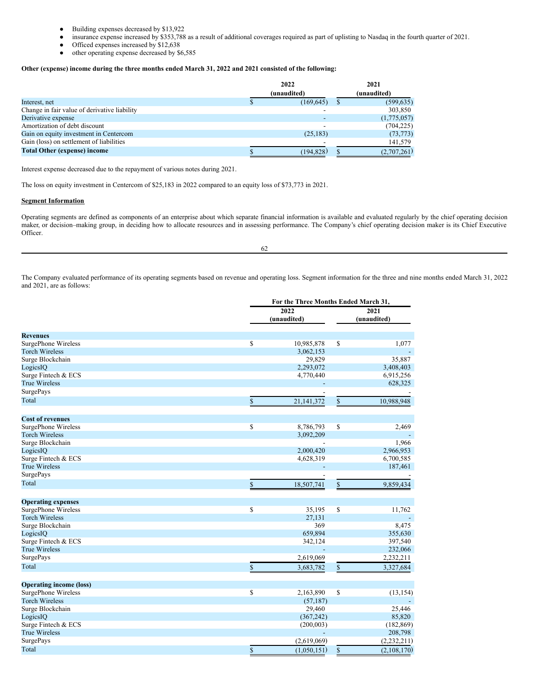- Building expenses decreased by \$13,922
- insurance expense increased by \$353,788 as a result of additional coverages required as part of uplisting to Nasdaq in the fourth quarter of 2021.
- Officed expenses increased by \$12,638
- other operating expense decreased by \$6,585

## **Other (expense) income during the three months ended March 31, 2022 and 2021 consisted of the following:**

|                                              | 2022 |             | 2021 |             |
|----------------------------------------------|------|-------------|------|-------------|
|                                              |      | (unaudited) |      | (unaudited) |
| Interest, net                                |      | (169, 645)  |      | (599, 635)  |
| Change in fair value of derivative liability |      |             |      | 303,850     |
| Derivative expense                           |      |             |      | (1,775,057) |
| Amortization of debt discount                |      |             |      | (704, 225)  |
| Gain on equity investment in Centercom       |      | (25, 183)   |      | (73, 773)   |
| Gain (loss) on settlement of liabilities     |      |             |      | 141,579     |
| <b>Total Other (expense) income</b>          |      | (194,828)   |      | (2,707,261) |

Interest expense decreased due to the repayment of various notes during 2021.

The loss on equity investment in Centercom of \$25,183 in 2022 compared to an equity loss of \$73,773 in 2021.

## **Segment Information**

Operating segments are defined as components of an enterprise about which separate financial information is available and evaluated regularly by the chief operating decision maker, or decision–making group, in deciding how to allocate resources and in assessing performance. The Company's chief operating decision maker is its Chief Executive Officer.

62

The Company evaluated performance of its operating segments based on revenue and operating loss. Segment information for the three and nine months ended March 31, 2022 and 2021, are as follows:

**For the Three Months Ended March 31,**

|                                                       |              | For the Three Months Ended March 31, |              |               |
|-------------------------------------------------------|--------------|--------------------------------------|--------------|---------------|
|                                                       |              | 2022                                 | 2021         |               |
|                                                       |              | (unaudited)                          | (unaudited)  |               |
| <b>Revenues</b>                                       |              |                                      |              |               |
| SurgePhone Wireless                                   | \$           | 10,985,878                           | \$           | 1,077         |
| <b>Torch Wireless</b>                                 |              | 3,062,153                            |              |               |
| Surge Blockchain                                      |              | 29,829                               |              | 35,887        |
| LogicsIQ                                              |              | 2,293,072                            |              | 3,408,403     |
| Surge Fintech & ECS                                   |              | 4,770,440                            |              | 6,915,256     |
| <b>True Wireless</b>                                  |              |                                      |              | 628,325       |
| SurgePays                                             |              |                                      |              |               |
| Total                                                 | $\mathbb{S}$ | 21, 141, 372                         | \$           | 10,988,948    |
|                                                       |              |                                      |              |               |
|                                                       |              |                                      |              |               |
| <b>Cost of revenues</b>                               |              |                                      |              |               |
| SurgePhone Wireless                                   | \$           | 8,786,793                            | \$           | 2,469         |
| <b>Torch Wireless</b>                                 |              | 3,092,209                            |              |               |
| Surge Blockchain                                      |              |                                      |              | 1,966         |
| LogicsIQ                                              |              | 2,000,420                            |              | 2,966,953     |
| Surge Fintech & ECS                                   |              | 4,628,319                            |              | 6,700,585     |
| <b>True Wireless</b>                                  |              |                                      |              | 187,461       |
| SurgePays                                             |              |                                      |              |               |
| Total                                                 | \$           | 18,507,741                           | \$           | 9,859,434     |
| <b>Operating expenses</b>                             |              |                                      |              |               |
| SurgePhone Wireless                                   | \$           | 35,195                               | \$           | 11,762        |
| <b>Torch Wireless</b>                                 |              | 27,131                               |              |               |
| Surge Blockchain                                      |              | 369                                  |              | 8,475         |
| LogicsIQ                                              |              | 659,894                              |              | 355,630       |
| Surge Fintech & ECS                                   |              | 342,124                              |              | 397,540       |
| <b>True Wireless</b>                                  |              |                                      |              | 232,066       |
| SurgePays                                             |              | 2,619,069                            |              | 2,232,211     |
| Total                                                 | $\mathbb{S}$ | 3,683,782                            | $\mathbb{S}$ | 3,327,684     |
|                                                       |              |                                      |              |               |
| <b>Operating income (loss)</b><br>SurgePhone Wireless | \$           | 2,163,890                            | \$           | (13, 154)     |
| <b>Torch Wireless</b>                                 |              | (57, 187)                            |              |               |
| Surge Blockchain                                      |              | 29,460                               |              | 25,446        |
|                                                       |              |                                      |              | 85,820        |
| LogicsIQ<br>Surge Fintech & ECS                       |              | (367, 242)                           |              | (182, 869)    |
| <b>True Wireless</b>                                  |              | (200,003)                            |              | 208,798       |
| SurgePays                                             |              |                                      |              |               |
|                                                       |              | (2,619,069)                          |              | (2, 232, 211) |
| Total                                                 | \$           | (1,050,151)                          | \$           | (2,108,170)   |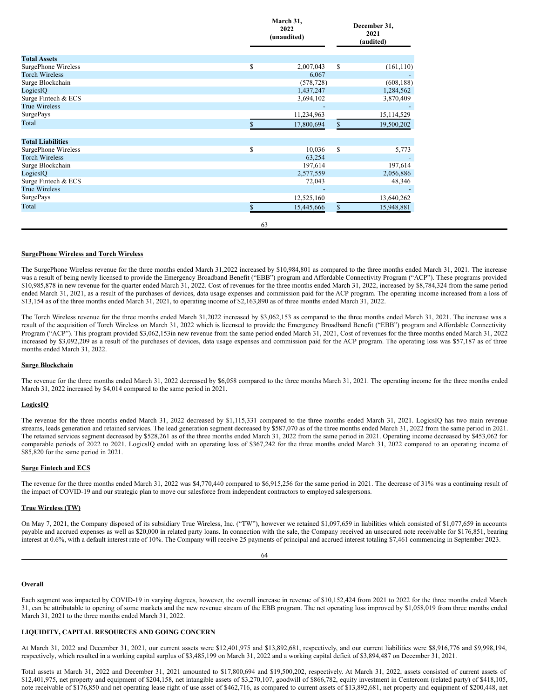|                            |    | March 31,<br>2022<br>(unaudited) |               | December 31,<br>2021<br>(audited) |  |
|----------------------------|----|----------------------------------|---------------|-----------------------------------|--|
| <b>Total Assets</b>        |    |                                  |               |                                   |  |
| SurgePhone Wireless        | \$ | 2,007,043                        | \$            | (161, 110)                        |  |
| <b>Torch Wireless</b>      |    | 6,067                            |               |                                   |  |
| Surge Blockchain           |    | (578, 728)                       |               | (608, 188)                        |  |
| LogicsIQ                   |    | 1,437,247                        |               | 1,284,562                         |  |
| Surge Fintech & ECS        |    | 3,694,102                        |               | 3,870,409                         |  |
| <b>True Wireless</b>       |    |                                  |               |                                   |  |
| $\operatorname{SurgePays}$ |    | 11,234,963                       |               | 15,114,529                        |  |
| Total                      |    | 17,800,694                       | \$            | 19,500,202                        |  |
| <b>Total Liabilities</b>   |    |                                  |               |                                   |  |
| SurgePhone Wireless        | \$ | 10,036                           | <sup>\$</sup> | 5,773                             |  |
| <b>Torch Wireless</b>      |    | 63,254                           |               |                                   |  |
| Surge Blockchain           |    | 197,614                          |               | 197,614                           |  |
| LogicsIQ                   |    | 2,577,559                        |               | 2,056,886                         |  |
| Surge Fintech & ECS        |    | 72,043                           |               | 48,346                            |  |
| <b>True Wireless</b>       |    |                                  |               |                                   |  |
| <b>SurgePays</b>           |    | 12,525,160                       |               | 13,640,262                        |  |
| Total                      |    | 15,445,666                       | \$            | 15,948,881                        |  |
|                            | 63 |                                  |               |                                   |  |

#### **SurgePhone Wireless and Torch Wireless**

The SurgePhone Wireless revenue for the three months ended March 31,2022 increased by \$10,984,801 as compared to the three months ended March 31, 2021. The increase was a result of being newly licensed to provide the Emergency Broadband Benefit ("EBB") program and Affordable Connectivity Program ("ACP"). These programs provided \$10,985,878 in new revenue for the quarter ended March 31, 2022. Cost of revenues for the three months ended March 31, 2022, increased by \$8,784,324 from the same period ended March 31, 2021, as a result of the purchases of devices, data usage expenses and commission paid for the ACP program. The operating income increased from a loss of \$13,154 as of the three months ended March 31, 2021, to operating income of \$2,163,890 as of three months ended March 31, 2022.

The Torch Wireless revenue for the three months ended March 31,2022 increased by \$3,062,153 as compared to the three months ended March 31, 2021. The increase was a result of the acquisition of Torch Wireless on March 31, 2022 which is licensed to provide the Emergency Broadband Benefit ("EBB") program and Affordable Connectivity Program ("ACP"). This program provided \$3,062,153in new revenue from the same period ended March 31, 2021, Cost of revenues for the three months ended March 31, 2022 increased by \$3,092,209 as a result of the purchases of devices, data usage expenses and commission paid for the ACP program. The operating loss was \$57,187 as of three months ended March 31, 2022.

#### **Surge Blockchain**

The revenue for the three months ended March 31, 2022 decreased by \$6,058 compared to the three months March 31, 2021. The operating income for the three months ended March 31, 2022 increased by \$4,014 compared to the same period in 2021.

#### **LogicsIQ**

The revenue for the three months ended March 31, 2022 decreased by \$1,115,331 compared to the three months ended March 31, 2021. LogicsIQ has two main revenue streams, leads generation and retained services. The lead generation segment decreased by \$587,070 as of the three months ended March 31, 2022 from the same period in 2021. The retained services segment decreased by \$528,261 as of the three months ended March 31, 2022 from the same period in 2021. Operating income decreased by \$453,062 for comparable periods of 2022 to 2021. LogicsIQ ended with an operating loss of \$367,242 for the three months ended March 31, 2022 compared to an operating income of \$85,820 for the same period in 2021.

### **Surge Fintech and ECS**

The revenue for the three months ended March 31, 2022 was \$4,770,440 compared to \$6,915,256 for the same period in 2021. The decrease of 31% was a continuing result of the impact of COVID-19 and our strategic plan to move our salesforce from independent contractors to employed salespersons.

## **True Wireless (TW)**

On May 7, 2021, the Company disposed of its subsidiary True Wireless, Inc. ("TW"), however we retained \$1,097,659 in liabilities which consisted of \$1,077,659 in accounts payable and accrued expenses as well as \$20,000 in related party loans. In connection with the sale, the Company received an unsecured note receivable for \$176,851, bearing interest at 0.6%, with a default interest rate of 10%. The Company will receive 25 payments of principal and accrued interest totaling \$7,461 commencing in September 2023.

#### 64

#### **Overall**

Each segment was impacted by COVID-19 in varying degrees, however, the overall increase in revenue of \$10,152,424 from 2021 to 2022 for the three months ended March 31, can be attributable to opening of some markets and the new revenue stream of the EBB program. The net operating loss improved by \$1,058,019 from three months ended March 31, 2021 to the three months ended March 31, 2022.

#### **LIQUIDITY, CAPITAL RESOURCES AND GOING CONCERN**

At March 31, 2022 and December 31, 2021, our current assets were \$12,401,975 and \$13,892,681, respectively, and our current liabilities were \$8,916,776 and \$9,998,194, respectively, which resulted in a working capital surplus of \$3,485,199 on March 31, 2022 and a working capital deficit of \$3,894,487 on December 31, 2021.

Total assets at March 31, 2022 and December 31, 2021 amounted to \$17,800,694 and \$19,500,202, respectively. At March 31, 2022, assets consisted of current assets of \$12,401,975, net property and equipment of \$204,158, net intangible assets of \$3,270,107, goodwill of \$866,782, equity investment in Centercom (related party) of \$418,105, note receivable of \$176,850 and net operating lease right of use asset of \$462,716, as compared to current assets of \$13,892,681, net property and equipment of \$200,448, net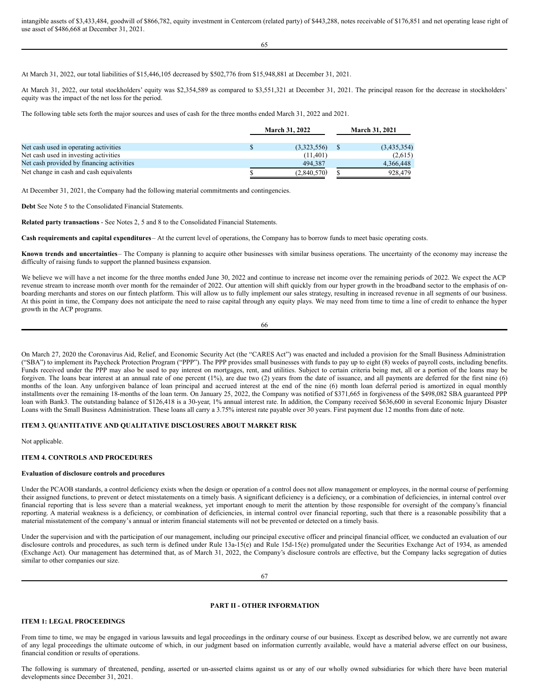intangible assets of \$3,433,484, goodwill of \$866,782, equity investment in Centercom (related party) of \$443,288, notes receivable of \$176,851 and net operating lease right of use asset of \$486,668 at December 31, 2021.

65

At March 31, 2022, our total liabilities of \$15,446,105 decreased by \$502,776 from \$15,948,881 at December 31, 2021.

At March 31, 2022, our total stockholders' equity was \$2,354,589 as compared to \$3,551,321 at December 31, 2021. The principal reason for the decrease in stockholders' equity was the impact of the net loss for the period.

The following table sets forth the major sources and uses of cash for the three months ended March 31, 2022 and 2021.

|                                           | <b>March 31, 2022</b> |  | <b>March 31, 2021</b> |  |
|-------------------------------------------|-----------------------|--|-----------------------|--|
| Net cash used in operating activities     | (3,323,556)           |  | (3,435,354)           |  |
| Net cash used in investing activities     | (11.401)              |  | (2,615)               |  |
| Net cash provided by financing activities | 494,387               |  | 4,366,448             |  |
| Net change in cash and cash equivalents   | (2,840,570)           |  | 928,479               |  |

At December 31, 2021, the Company had the following material commitments and contingencies.

**Debt** See Note 5 to the Consolidated Financial Statements.

**Related party transactions** - See Notes 2, 5 and 8 to the Consolidated Financial Statements.

**Cash requirements and capital expenditures** – At the current level of operations, the Company has to borrow funds to meet basic operating costs.

**Known trends and uncertainties**– The Company is planning to acquire other businesses with similar business operations. The uncertainty of the economy may increase the difficulty of raising funds to support the planned business expansion.

We believe we will have a net income for the three months ended June 30, 2022 and continue to increase net income over the remaining periods of 2022. We expect the ACP revenue stream to increase month over month for the remainder of 2022. Our attention will shift quickly from our hyper growth in the broadband sector to the emphasis of onboarding merchants and stores on our fintech platform. This will allow us to fully implement our sales strategy, resulting in increased revenue in all segments of our business. At this point in time, the Company does not anticipate the need to raise capital through any equity plays. We may need from time to time a line of credit to enhance the hyper growth in the ACP programs.

On March 27, 2020 the Coronavirus Aid, Relief, and Economic Security Act (the "CARES Act") was enacted and included a provision for the Small Business Administration ("SBA") to implement its Paycheck Protection Program ("PPP"). The PPP provides small businesses with funds to pay up to eight (8) weeks of payroll costs, including benefits. Funds received under the PPP may also be used to pay interest on mortgages, rent, and utilities. Subject to certain criteria being met, all or a portion of the loans may be forgiven. The loans bear interest at an annual rate of one percent (1%), are due two (2) years from the date of issuance, and all payments are deferred for the first nine (6) months of the loan. Any unforgiven balance of loan principal and accrued interest at the end of the nine (6) month loan deferral period is amortized in equal monthly installments over the remaining 18-months of the loan term. On January 25, 2022, the Company was notified of \$371,665 in forgiveness of the \$498,082 SBA guaranteed PPP loan with Bank3. The outstanding balance of \$126,418 is a 30-year, 1% annual interest rate. In addition, the Company received \$636,600 in several Economic Injury Disaster Loans with the Small Business Administration. These loans all carry a 3.75% interest rate payable over 30 years. First payment due 12 months from date of note.

## **ITEM 3. QUANTITATIVE AND QUALITATIVE DISCLOSURES ABOUT MARKET RISK**

Not applicable.

#### **ITEM 4. CONTROLS AND PROCEDURES**

#### **Evaluation of disclosure controls and procedures**

Under the PCAOB standards, a control deficiency exists when the design or operation of a control does not allow management or employees, in the normal course of performing their assigned functions, to prevent or detect misstatements on a timely basis. A significant deficiency is a deficiency, or a combination of deficiencies, in internal control over financial reporting that is less severe than a material weakness, yet important enough to merit the attention by those responsible for oversight of the company's financial reporting. A material weakness is a deficiency, or combination of deficiencies, in internal control over financial reporting, such that there is a reasonable possibility that a material misstatement of the company's annual or interim financial statements will not be prevented or detected on a timely basis.

Under the supervision and with the participation of our management, including our principal executive officer and principal financial officer, we conducted an evaluation of our disclosure controls and procedures, as such term is defined under Rule 13a-15(e) and Rule 15d-15(e) promulgated under the Securities Exchange Act of 1934, as amended (Exchange Act). Our management has determined that, as of March 31, 2022, the Company's disclosure controls are effective, but the Company lacks segregation of duties similar to other companies our size.

67

## **PART II - OTHER INFORMATION**

## **ITEM 1: LEGAL PROCEEDINGS**

From time to time, we may be engaged in various lawsuits and legal proceedings in the ordinary course of our business. Except as described below, we are currently not aware of any legal proceedings the ultimate outcome of which, in our judgment based on information currently available, would have a material adverse effect on our business, financial condition or results of operations.

The following is summary of threatened, pending, asserted or un-asserted claims against us or any of our wholly owned subsidiaries for which there have been material developments since December 31, 2021.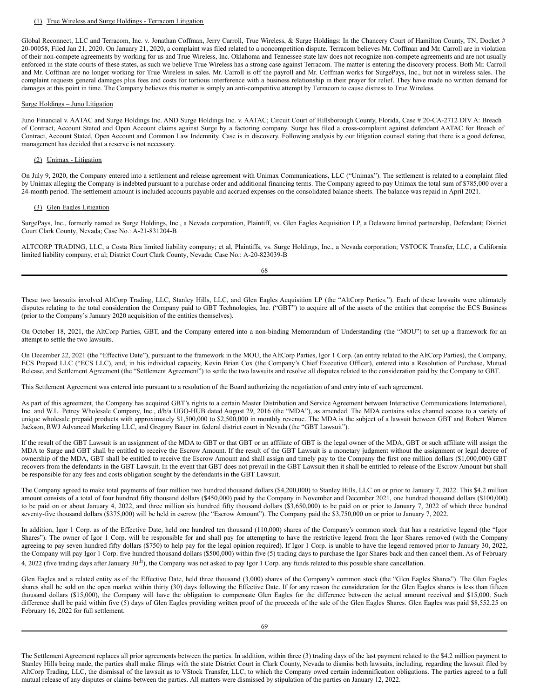#### (1) True Wireless and Surge Holdings - Terracom Litigation

Global Reconnect, LLC and Terracom, Inc. v. Jonathan Coffman, Jerry Carroll, True Wireless, & Surge Holdings: In the Chancery Court of Hamilton County, TN, Docket # 20-00058, Filed Jan 21, 2020. On January 21, 2020, a complaint was filed related to a noncompetition dispute. Terracom believes Mr. Coffman and Mr. Carroll are in violation of their non-compete agreements by working for us and True Wireless, Inc. Oklahoma and Tennessee state law does not recognize non-compete agreements and are not usually enforced in the state courts of these states, as such we believe True Wireless has a strong case against Terracom. The matter is entering the discovery process. Both Mr. Carroll and Mr. Coffman are no longer working for True Wireless in sales. Mr. Carroll is off the payroll and Mr. Coffman works for SurgePays, Inc., but not in wireless sales. The complaint requests general damages plus fees and costs for tortious interference with a business relationship in their prayer for relief. They have made no written demand for damages at this point in time. The Company believes this matter is simply an anti-competitive attempt by Terracom to cause distress to True Wireless.

#### Surge Holdings – Juno Litigation

Juno Financial v. AATAC and Surge Holdings Inc. AND Surge Holdings Inc. v. AATAC; Circuit Court of Hillsborough County, Florida, Case # 20-CA-2712 DIV A: Breach of Contract, Account Stated and Open Account claims against Surge by a factoring company. Surge has filed a cross-complaint against defendant AATAC for Breach of Contract, Account Stated, Open Account and Common Law Indemnity. Case is in discovery. Following analysis by our litigation counsel stating that there is a good defense, management has decided that a reserve is not necessary.

#### (2) Unimax - Litigation

On July 9, 2020, the Company entered into a settlement and release agreement with Unimax Communications, LLC ("Unimax"). The settlement is related to a complaint filed by Unimax alleging the Company is indebted pursuant to a purchase order and additional financing terms. The Company agreed to pay Unimax the total sum of \$785,000 over a 24-month period. The settlement amount is included accounts payable and accrued expenses on the consolidated balance sheets. The balance was repaid in April 2021.

## (3) Glen Eagles Litigation

SurgePays, Inc., formerly named as Surge Holdings, Inc., a Nevada corporation, Plaintiff, vs. Glen Eagles Acquisition LP, a Delaware limited partnership, Defendant; District Court Clark County, Nevada; Case No.: A-21-831204-B

ALTCORP TRADING, LLC, a Costa Rica limited liability company; et al, Plaintiffs, vs. Surge Holdings, Inc., a Nevada corporation; VSTOCK Transfer, LLC, a California limited liability company, et al; District Court Clark County, Nevada; Case No.: A-20-823039-B

68

These two lawsuits involved AltCorp Trading, LLC, Stanley Hills, LLC, and Glen Eagles Acquisition LP (the "AltCorp Parties."). Each of these lawsuits were ultimately disputes relating to the total consideration the Company paid to GBT Technologies, Inc. ("GBT") to acquire all of the assets of the entities that comprise the ECS Business (prior to the Company's January 2020 acquisition of the entities themselves).

On October 18, 2021, the AltCorp Parties, GBT, and the Company entered into a non-binding Memorandum of Understanding (the "MOU") to set up a framework for an attempt to settle the two lawsuits.

On December 22, 2021 (the "Effective Date"), pursuant to the framework in the MOU, the AltCorp Parties, Igor 1 Corp. (an entity related to the AltCorp Parties), the Company, ECS Prepaid LLC ("ECS LLC), and, in his individual capacity, Kevin Brian Cox (the Company's Chief Executive Officer), entered into a Resolution of Purchase, Mutual Release, and Settlement Agreement (the "Settlement Agreement") to settle the two lawsuits and resolve all disputes related to the consideration paid by the Company to GBT.

This Settlement Agreement was entered into pursuant to a resolution of the Board authorizing the negotiation of and entry into of such agreement.

As part of this agreement, the Company has acquired GBT's rights to a certain Master Distribution and Service Agreement between Interactive Communications International, Inc. and W.L. Petrey Wholesale Company, Inc., d/b/a UGO-HUB dated August 29, 2016 (the "MDA"), as amended. The MDA contains sales channel access to a variety of unique wholesale prepaid products with approximately \$1,500,000 to \$2,500,000 in monthly revenue. The MDA is the subject of a lawsuit between GBT and Robert Warren Jackson, RWJ Advanced Marketing LLC, and Gregory Bauer int federal district court in Nevada (the "GBT Lawsuit").

If the result of the GBT Lawsuit is an assignment of the MDA to GBT or that GBT or an affiliate of GBT is the legal owner of the MDA, GBT or such affiliate will assign the MDA to Surge and GBT shall be entitled to receive the Escrow Amount. If the result of the GBT Lawsuit is a monetary judgment without the assignment or legal decree of ownership of the MDA, GBT shall be entitled to receive the Escrow Amount and shall assign and timely pay to the Company the first one million dollars (\$1,000,000) GBT recovers from the defendants in the GBT Lawsuit. In the event that GBT does not prevail in the GBT Lawsuit then it shall be entitled to release of the Escrow Amount but shall be responsible for any fees and costs obligation sought by the defendants in the GBT Lawsuit.

The Company agreed to make total payments of four million two hundred thousand dollars (\$4,200,000) to Stanley Hills, LLC on or prior to January 7, 2022. This \$4.2 million amount consists of a total of four hundred fifty thousand dollars (\$450,000) paid by the Company in November and December 2021, one hundred thousand dollars (\$100,000) to be paid on or about January 4, 2022, and three million six hundred fifty thousand dollars (\$3,650,000) to be paid on or prior to January 7, 2022 of which three hundred seventy-five thousand dollars (\$375,000) will be held in escrow (the "Escrow Amount"). The Company paid the \$3,750,000 on or prior to January 7, 2022.

In addition, Igor 1 Corp. as of the Effective Date, held one hundred ten thousand (110,000) shares of the Company's common stock that has a restrictive legend (the "Igor Shares"). The owner of Igor 1 Corp. will be responsible for and shall pay for attempting to have the restrictive legend from the Igor Shares removed (with the Company agreeing to pay seven hundred fifty dollars (\$750) to help pay for the legal opinion required). If Igor 1 Corp. is unable to have the legend removed prior to January 30, 2022, the Company will pay Igor 1 Corp. five hundred thousand dollars (\$500,000) within five (5) trading days to purchase the Igor Shares back and then cancel them. As of February 4, 2022 (five trading days after January  $30<sup>th</sup>$ ), the Company was not asked to pay Igor 1 Corp. any funds related to this possible share cancellation.

Glen Eagles and a related entity as of the Effective Date, held three thousand (3,000) shares of the Company's common stock (the "Glen Eagles Shares"). The Glen Eagles shares shall be sold on the open market within thirty (30) days following the Effective Date. If for any reason the consideration for the Glen Eagles shares is less than fifteen thousand dollars (\$15,000), the Company will have the obligation to compensate Glen Eagles for the difference between the actual amount received and \$15,000. Such difference shall be paid within five (5) days of Glen Eagles providing written proof of the proceeds of the sale of the Glen Eagles Shares. Glen Eagles was paid \$8,552.25 on February 16, 2022 for full settlement.

The Settlement Agreement replaces all prior agreements between the parties. In addition, within three (3) trading days of the last payment related to the \$4.2 million payment to Stanley Hills being made, the parties shall make filings with the state District Court in Clark County, Nevada to dismiss both lawsuits, including, regarding the lawsuit filed by AltCorp Trading, LLC, the dismissal of the lawsuit as to VStock Transfer, LLC, to which the Company owed certain indemnification obligations. The parties agreed to a full mutual release of any disputes or claims between the parties. All matters were dismissed by stipulation of the parties on January 12, 2022.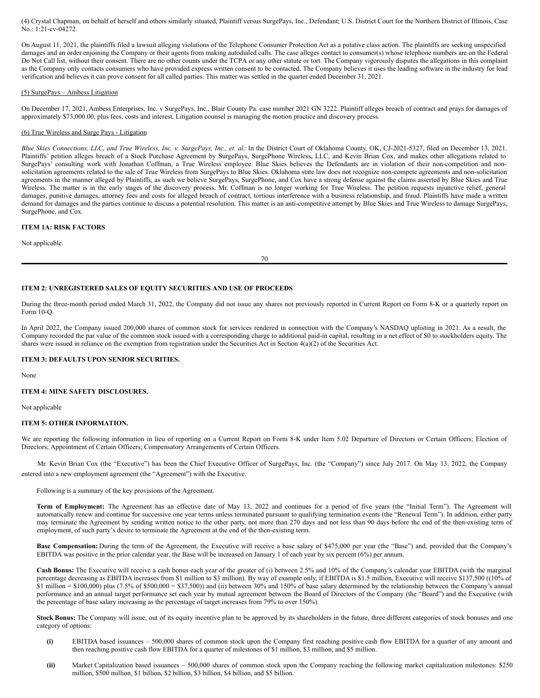(4) Crystal Chapman, on behalf of herself and others similarly situated, Plaintiff versus SurgePays, Inc., Defendant; U.S. District Court for the Northern District of Illinois, Case No.: 1:21-cv-04272.

On August 11, 2021, the plaintiffs filed a lawsuit alleging violations of the Telephone Consumer Protection Act as a putative class action. The plaintiffs are seeking unspecified damages and an order enjoining the Company or their agents from making autodialed calls. The case alleges contact to consumer(s) whose telephone numbers are on the Federal Do Not Call list, without their consent. There are no other counts under the TCPA or any other statute or tort. The Company vigorously disputes the allegations in this complaint as the Company only contacts consumers who have provided express written consent to be contacted. The Company believes it uses the leading software in the industry for lead verification and believes it can prove consent for all called parties. This matter was settled in the quarter ended December 31, 2021.

#### (5) SurgePays – Ambess Litigation

On December 17, 2021, Ambess Enterprises, Inc. v SurgePays, Inc., Blair County Pa. case number 2021 GN 3222. Plaintiff alleges breach of contract and prays for damages of approximately \$73,000.00, plus fees, costs and interest. Litigation counsel is managing the motion practice and discovery process.

## (6) True Wireless and Surge Pays - Litigation

Blue Skies Connections, LLC, and True Wireless, Inc. v. SurgePays, Inc., et. al.: In the District Court of Oklahoma County, OK, CJ-2021-5327, filed on December 13, 2021. Plaintiffs' petition alleges breach of a Stock Purchase Agreement by SurgePays, SurgePhone Wireless, LLC, and Kevin Brian Cox, and makes other allegations related to SurgePays' consulting work with Jonathan Coffman, a True Wireless employee. Blue Skies believes the Defendants are in violation of their non-competition and nonsolicitation agreements related to the sale of True Wireless from SurgePays to Blue Skies. Oklahoma state law does not recognize non-compete agreements and non-solicitation agreements in the manner alleged by Plaintiffs, as such we believe SurgePays, SurgePhone, and Cox have a strong defense against the claims asserted by Blue Skies and True Wireless. The matter is in the early stages of the discovery process. Mr. Coffman is no longer working for True Wireless. The petition requests injunctive relief, general damages, punitive damages, attorney fees and costs for alleged breach of contract, tortious interference with a business relationship, and fraud. Plaintiffs have made a written demand for damages and the parties continue to discuss a potential resolution. This matter is an anti-competitive attempt by Blue Skies and True Wireless to damage SurgePays, SurgePhone, and Cox.

## **ITEM 1A: RISK FACTORS**

Not applicable.

70

### **ITEM 2: UNREGISTERED SALES OF EQUITY SECURITIES AND USE OF PROCEEDS**

During the three-month period ended March 31, 2022, the Company did not issue any shares not previously reported in Current Report on Form 8-K or a quarterly report on Form 10-Q.

In April 2022, the Company issued 200,000 shares of common stock for services rendered in connection with the Company's NASDAQ uplisting in 2021. As a result, the Company recorded the par value of the common stock issued with a corresponding charge to additional paid-in capital, resulting in a net effect of \$0 to stockholders equity. The shares were issued in reliance on the exemption from registration under the Securities Act in Section 4(a)(2) of the Securities Act.

#### **ITEM 3: DEFAULTS UPON SENIOR SECURITIES.**

None

## **ITEM 4: MINE SAFETY DISCLOSURES.**

Not applicable

#### **ITEM 5: OTHER INFORMATION.**

We are reporting the following information in lieu of reporting on a Current Report on Form 8-K under Item 5.02 Departure of Directors or Certain Officers; Election of Directors; Appointment of Certain Officers; Compensatory Arrangements of Certain Officers.

Mr. Kevin Brian Cox (the "Executive") has been the Chief Executive Officer of SurgePays, Inc. (the "Company") since July 2017. On May 13, 2022, the Company entered into a new employment agreement (the "Agreement") with the Executive.

Following is a summary of the key provisions of the Agreement.

**Term of Employment:** The Agreement has an effective date of May 13, 2022 and continues for a period of five years (the "Initial Term"). The Agreement will automatically renew and continue for successive one year terms unless terminated pursuant to qualifying termination events (the "Renewal Term"). In addition, either party may terminate the Agreement by sending written notice to the other party, not more than 270 days and not less than 90 days before the end of the then-existing term of employment, of such party's desire to terminate the Agreement at the end of the then-existing term.

**Base Compensation:** During the term of the Agreement, the Executive will receive a base salary of \$475,000 per year (the "Base") and, provided that the Company's EBITDA was positive in the prior calendar year, the Base will be increased on January 1 of each year by six percent (6%) per annum.

**Cash Bonus:** The Executive will receive a cash bonus each year of the greater of (i) between 2.5% and 10% of the Company's calendar year EBITDA (with the marginal percentage decreasing as EBITDA increases from \$1 million to \$3 million). By way of example only, if EBITDA is \$1.5 million, Executive will receive \$137,500 ((10% of \$1 million = \$100,000) plus (7.5% of \$500,000 = \$37,500)) and (ii) between 30% and 150% of base salary determined by the relationship between the Company's annual performance and an annual target performance set each year by mutual agreement between the Board of Directors of the Company (the "Board") and the Executive (with the percentage of base salary increasing as the percentage of target increases from 79% to over 150%).

**Stock Bonus:** The Company will issue, out of its equity incentive plan to be approved by its shareholders in the future, three different categories of stock bonuses and one category of options:

- **(i)** EBITDA based issuances 500,000 shares of common stock upon the Company first reaching positive cash flow EBITDA for a quarter of any amount and then reaching positive cash flow EBITDA for a quarter of milestones of \$1 million, \$3 million, and \$5 million.
- **(ii)** Market Capitalization based issuances 500,000 shares of common stock upon the Company reaching the following market capitalization milestones: \$250 million, \$500 million, \$1 billion, \$2 billion, \$3 billion, \$4 billion, and \$5 billion.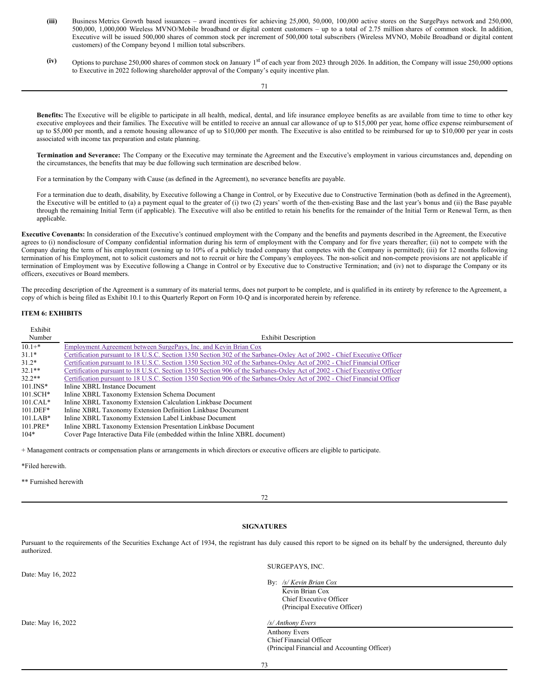- (iii) Business Metrics Growth based issuances award incentives for achieving 25,000, 50,000, 100,000 active stores on the SurgePays network and 250,000, 500,000, 1,000,000 Wireless MVNO/Mobile broadband or digital content customers – up to a total of 2.75 million shares of common stock. In addition, Executive will be issued 500,000 shares of common stock per increment of 500,000 total subscribers (Wireless MVNO, Mobile Broadband or digital content customers) of the Company beyond 1 million total subscribers.
- (iv) Options to purchase 250,000 shares of common stock on January 1<sup>st</sup> of each year from 2023 through 2026. In addition, the Company will issue 250,000 options to Executive in 2022 following shareholder approval of the Company's equity incentive plan.

**Benefits:** The Executive will be eligible to participate in all health, medical, dental, and life insurance employee benefits as are available from time to time to other key executive employees and their families. The Executive will be entitled to receive an annual car allowance of up to \$15,000 per year, home office expense reimbursement of up to \$5,000 per month, and a remote housing allowance of up to \$10,000 per month. The Executive is also entitled to be reimbursed for up to \$10,000 per year in costs associated with income tax preparation and estate planning.

**Termination and Severance:** The Company or the Executive may terminate the Agreement and the Executive's employment in various circumstances and, depending on the circumstances, the benefits that may be due following such termination are described below.

For a termination by the Company with Cause (as defined in the Agreement), no severance benefits are payable.

For a termination due to death, disability, by Executive following a Change in Control, or by Executive due to Constructive Termination (both as defined in the Agreement), the Executive will be entitled to (a) a payment equal to the greater of (i) two (2) years' worth of the then-existing Base and the last year's bonus and (ii) the Base payable through the remaining Initial Term (if applicable). The Executive will also be entitled to retain his benefits for the remainder of the Initial Term or Renewal Term, as then applicable.

**Executive Covenants:** In consideration of the Executive's continued employment with the Company and the benefits and payments described in the Agreement, the Executive agrees to (i) nondisclosure of Company confidential information during his term of employment with the Company and for five years thereafter; (ii) not to compete with the Company during the term of his employment (owning up to 10% of a publicly traded company that competes with the Company is permitted); (iii) for 12 months following termination of his Employment, not to solicit customers and not to recruit or hire the Company's employees. The non-solicit and non-compete provisions are not applicable if termination of Employment was by Executive following a Change in Control or by Executive due to Constructive Termination; and (iv) not to disparage the Company or its officers, executives or Board members.

The preceding description of the Agreement is a summary of its material terms, does not purport to be complete, and is qualified in its entirety by reference to the Agreement, a copy of which is being filed as Exhibit 10.1 to this Quarterly Report on Form 10-Q and is incorporated herein by reference.

## **ITEM 6: EXHIBITS**

| Exhibit      |                                                                                                                                    |
|--------------|------------------------------------------------------------------------------------------------------------------------------------|
| Number       | <b>Exhibit Description</b>                                                                                                         |
| $10.1 +$ *   | Employment Agreement between SurgePays, Inc. and Kevin Brian Cox                                                                   |
| $31.1*$      | Certification pursuant to 18 U.S.C. Section 1350 Section 302 of the Sarbanes-Oxley Act of 2002 - Chief Executive Officer           |
| $31.2*$      | Certification pursuant to 18 U.S.C. Section 1350 Section 302 of the Sarbanes-Oxley Act of 2002 - Chief Financial Officer           |
| $32.1**$     | Certification pursuant to 18 U.S.C. Section 1350 Section 906 of the Sarbanes-Oxley Act of 2002 - Chief Executive Officer           |
| $32.2**$     | Certification pursuant to 18 U.S.C. Section 1350 Section 906 of the Sarbanes-Oxley Act of 2002 - Chief Financial Officer           |
| $101$ . INS* | Inline XBRL Instance Document                                                                                                      |
| $101.SCH*$   | Inline XBRL Taxonomy Extension Schema Document                                                                                     |
| $101.CAL*$   | Inline XBRL Taxonomy Extension Calculation Linkbase Document                                                                       |
| $101.DEF*$   | Inline XBRL Taxonomy Extension Definition Linkbase Document                                                                        |
| $101.LAB*$   | Inline XBRL Taxonomy Extension Label Linkbase Document                                                                             |
| $101.PRE*$   | Inline XBRL Taxonomy Extension Presentation Linkbase Document                                                                      |
| $104*$       | Cover Page Interactive Data File (embedded within the Inline XBRL document)                                                        |
|              | + Management contracts or compensation plans or arrangements in which directors or executive officers are eligible to participate. |

\*Filed herewith.

\*\* Furnished herewith

72

## **SIGNATURES**

Pursuant to the requirements of the Securities Exchange Act of 1934, the registrant has duly caused this report to be signed on its behalf by the undersigned, thereunto duly authorized.

| Date: May 16, 2022 | SURGEPAYS, INC.                                          |  |  |
|--------------------|----------------------------------------------------------|--|--|
|                    | By: $\frac{s}{K}$ Kevin Brian Cox<br>Kevin Brian Cox     |  |  |
|                    | Chief Executive Officer<br>(Principal Executive Officer) |  |  |
| Date: May 16, 2022 | /s/ Anthony Evers                                        |  |  |
|                    | Anthony Evers                                            |  |  |
|                    | Chief Financial Officer                                  |  |  |
|                    | (Principal Financial and Accounting Officer)             |  |  |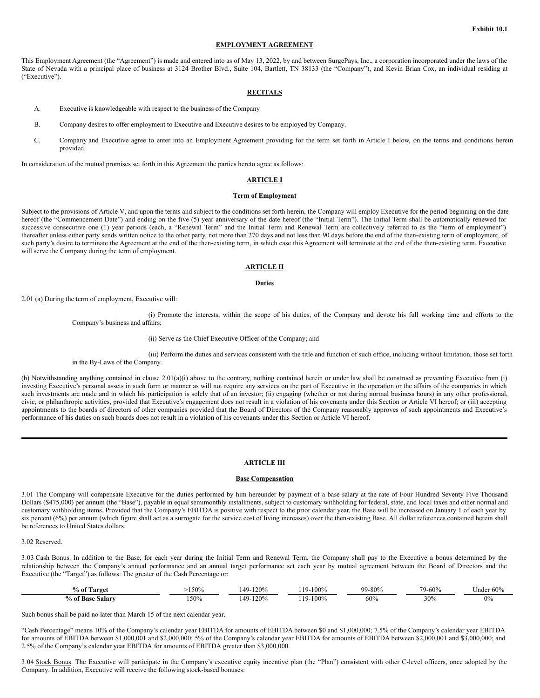#### **EMPLOYMENT AGREEMENT**

This Employment Agreement (the "Agreement") is made and entered into as of May 13, 2022, by and between SurgePays, Inc., a corporation incorporated under the laws of the State of Nevada with a principal place of business at 3124 Brother Blvd., Suite 104, Bartlett, TN 38133 (the "Company"), and Kevin Brian Cox, an individual residing at ("Executive").

## **RECITALS**

- A. Executive is knowledgeable with respect to the business of the Company
- B. Company desires to offer employment to Executive and Executive desires to be employed by Company.
- C. Company and Executive agree to enter into an Employment Agreement providing for the term set forth in Article I below, on the terms and conditions herein provided.

In consideration of the mutual promises set forth in this Agreement the parties hereto agree as follows:

## **ARTICLE I**

## **Term of Employment**

Subject to the provisions of Article V, and upon the terms and subject to the conditions set forth herein, the Company will employ Executive for the period beginning on the date hereof (the "Commencement Date") and ending on the five (5) year anniversary of the date hereof (the "Initial Term"). The Initial Term shall be automatically renewed for successive consecutive one (1) year periods (each, a "Renewal Term" and the Initial Term and Renewal Term are collectively referred to as the "term of employment") thereafter unless either party sends written notice to the other party, not more than 270 days and not less than 90 days before the end of the then-existing term of employment, of such party's desire to terminate the Agreement at the end of the then-existing term, in which case this Agreement will terminate at the end of the then-existing term. Executive will serve the Company during the term of employment.

### **ARTICLE II**

#### **Duties**

2.01 (a) During the term of employment, Executive will:

(i) Promote the interests, within the scope of his duties, of the Company and devote his full working time and efforts to the Company's business and affairs;

#### (ii) Serve as the Chief Executive Officer of the Company; and

(iii) Perform the duties and services consistent with the title and function of such office, including without limitation, those set forth in the By-Laws of the Company.

(b) Notwithstanding anything contained in clause 2.01(a)(i) above to the contrary, nothing contained herein or under law shall be construed as preventing Executive from (i) investing Executive's personal assets in such form or manner as will not require any services on the part of Executive in the operation or the affairs of the companies in which such investments are made and in which his participation is solely that of an investor; (ii) engaging (whether or not during normal business hours) in any other professional, civic, or philanthropic activities, provided that Executive's engagement does not result in a violation of his covenants under this Section or Article VI hereof; or (iii) accepting appointments to the boards of directors of other companies provided that the Board of Directors of the Company reasonably approves of such appointments and Executive's performance of his duties on such boards does not result in a violation of his covenants under this Section or Article VI hereof.

#### **ARTICLE III**

### **Base Compensation**

3.01 The Company will compensate Executive for the duties performed by him hereunder by payment of a base salary at the rate of Four Hundred Seventy Five Thousand Dollars (\$475,000) per annum (the "Base"), payable in equal semimonthly installments, subject to customary withholding for federal, state, and local taxes and other normal and customary withholding items. Provided that the Company's EBITDA is positive with respect to the prior calendar year, the Base will be increased on January 1 of each year by six percent (6%) per annum (which figure shall act as a surrogate for the service cost of living increases) over the then-existing Base. All dollar references contained herein shall be references to United States dollars.

## 3.02 Reserved.

3.03 Cash Bonus. In addition to the Base, for each year during the Initial Term and Renewal Term, the Company shall pay to the Executive a bonus determined by the relationship between the Company's annual performance and an annual target performance set each year by mutual agreement between the Board of Directors and the Executive (the "Target") as follows: The greater of the Cash Percentage or:

| $\sim$<br>% of<br>Target | !50% | 120%<br>149.       | 100%<br>110. | 99-80% | $79 - 60%$ | 60%<br>∪nder |
|--------------------------|------|--------------------|--------------|--------|------------|--------------|
| % of Base<br>Salary      | 50%  | 120%<br>$\Delta Q$ | 100%<br>110. | 60%    | 30%        | 0%           |

Such bonus shall be paid no later than March 15 of the next calendar year.

"Cash Percentage" means 10% of the Company's calendar year EBITDA for amounts of EBITDA between \$0 and \$1,000,000; 7.5% of the Company's calendar year EBITDA for amounts of EBITDA between \$1,000,001 and \$2,000,000; 5% of the Company's calendar year EBITDA for amounts of EBITDA between \$2,000,001 and \$3,000,000; and 2.5% of the Company's calendar year EBITDA for amounts of EBITDA greater than \$3,000,000.

3.04 Stock Bonus. The Executive will participate in the Company's executive equity incentive plan (the "Plan") consistent with other C-level officers, once adopted by the Company. In addition, Executive will receive the following stock-based bonuses: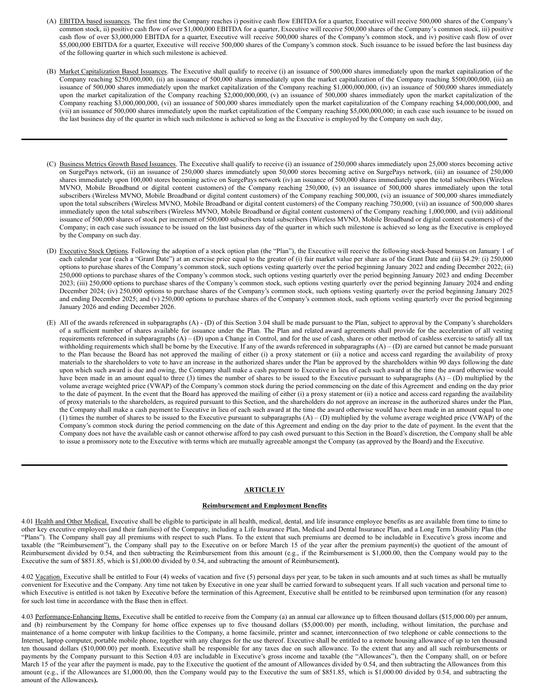- (A) EBITDA based issuances. The first time the Company reaches i) positive cash flow EBITDA for a quarter, Executive will receive 500,000 shares of the Company's common stock, ii) positive cash flow of over \$1,000,000 EBITDA for a quarter, Executive will receive 500,000 shares of the Company's common stock, iii) positive cash flow of over \$3,000,000 EBITDA for a quarter, Executive will receive 500,000 shares of the Company's common stock, and iv) positive cash flow of over \$5,000,000 EBITDA for a quarter, Executive will receive 500,000 shares of the Company's common stock. Such issuance to be issued before the last business day of the following quarter in which such milestone is achieved.
- (B) Market Capitalization Based Issuances. The Executive shall qualify to receive (i) an issuance of 500,000 shares immediately upon the market capitalization of the Company reaching \$250,000,000, (ii) an issuance of 500,000 shares immediately upon the market capitalization of the Company reaching \$500,000,000, (iii) an issuance of 500,000 shares immediately upon the market capitalization of the Company reaching \$1,000,000,000, (iv) an issuance of 500,000 shares immediately upon the market capitalization of the Company reaching \$2,000,000,000, (v) an issuance of 500,000 shares immediately upon the market capitalization of the Company reaching \$3,000,000,000, (vi) an issuance of 500,000 shares immediately upon the market capitalization of the Company reaching \$4,000,000,000, and (vii) an issuance of 500,000 shares immediately upon the market capitalization of the Company reaching \$5,000,000,000; in each case such issuance to be issued on the last business day of the quarter in which such milestone is achieved so long as the Executive is employed by the Company on such day,
- (C) Business Metrics Growth Based Issuances. The Executive shall qualify to receive (i) an issuance of 250,000 shares immediately upon 25,000 stores becoming active on SurgePays network, (ii) an issuance of 250,000 shares immediately upon 50,000 stores becoming active on SurgePays network, (iii) an issuance of 250,000 shares immediately upon 100,000 stores becoming active on SurgePays network (iv) an issuance of 500,000 shares immediately upon the total subscribers (Wireless MVNO, Mobile Broadband or digital content customers) of the Company reaching 250,000, (v) an issuance of 500,000 shares immediately upon the total subscribers (Wireless MVNO, Mobile Broadband or digital content customers) of the Company reaching 500,000, (vi) an issuance of 500,000 shares immediately upon the total subscribers (Wireless MVNO, Mobile Broadband or digital content customers) of the Company reaching 750,000, (vii) an issuance of 500,000 shares immediately upon the total subscribers (Wireless MVNO, Mobile Broadband or digital content customers) of the Company reaching 1,000,000, and (vii) additional issuance of 500,000 shares of stock per increment of 500,000 subscribers total subscribers (Wireless MVNO, Mobile Broadband or digital content customers) of the Company; in each case such issuance to be issued on the last business day of the quarter in which such milestone is achieved so long as the Executive is employed by the Company on such day.
- (D) Executive Stock Options. Following the adoption of a stock option plan (the "Plan"), the Executive will receive the following stock-based bonuses on January 1 of each calendar year (each a "Grant Date") at an exercise price equal to the greater of (i) fair market value per share as of the Grant Date and (ii) \$4.29: (i) 250,000 options to purchase shares of the Company's common stock, such options vesting quarterly over the period beginning January 2022 and ending December 2022; (ii) 250,000 options to purchase shares of the Company's common stock, such options vesting quarterly over the period beginning January 2023 and ending December 2023; (iii) 250,000 options to purchase shares of the Company's common stock, such options vesting quarterly over the period beginning January 2024 and ending December 2024; (iv) 250,000 options to purchase shares of the Company's common stock, such options vesting quarterly over the period beginning January 2025 and ending December 2025; and (v) 250,000 options to purchase shares of the Company's common stock, such options vesting quarterly over the period beginning January 2026 and ending December 2026.
- (E) All of the awards referenced in subparagraphs (A) (D) of this Section 3.04 shall be made pursuant to the Plan, subject to approval by the Company's shareholders of a sufficient number of shares available for issuance under the Plan. The Plan and related award agreements shall provide for the acceleration of all vesting requirements referenced in subparagraphs  $(A) - (D)$  upon a Change in Control, and for the use of cash, shares or other method of cashless exercise to satisfy all tax withholding requirements which shall be borne by the Executive. If any of the awards referenced in subparagraphs  $(A) - (D)$  are earned but cannot be made pursuant to the Plan because the Board has not approved the mailing of either (i) a proxy statement or (ii) a notice and access card regarding the availability of proxy materials to the shareholders to vote to have an increase in the authorized shares under the Plan be approved by the shareholders within 90 days following the date upon which such award is due and owing, the Company shall make a cash payment to Executive in lieu of each such award at the time the award otherwise would have been made in an amount equal to three (3) times the number of shares to be issued to the Executive pursuant to subparagraphs  $(A) - (D)$  multiplied by the volume average weighted price (VWAP) of the Company's common stock during the period commencing on the date of this Agreement and ending on the day prior to the date of payment. In the event that the Board has approved the mailing of either (i) a proxy statement or (ii) a notice and access card regarding the availability of proxy materials to the shareholders, as required pursuant to this Section, and the shareholders do not approve an increase in the authorized shares under the Plan, the Company shall make a cash payment to Executive in lieu of each such award at the time the award otherwise would have been made in an amount equal to one (1) times the number of shares to be issued to the Executive pursuant to subparagraphs  $(A) - (D)$  multiplied by the volume average weighted price (VWAP) of the Company's common stock during the period commencing on the date of this Agreement and ending on the day prior to the date of payment. In the event that the Company does not have the available cash or cannot otherwise afford to pay cash owed pursuant to this Section in the Board's discretion, the Company shall be able to issue a promissory note to the Executive with terms which are mutually agreeable amongst the Company (as approved by the Board) and the Executive.

## **ARTICLE IV**

#### **Reimbursement and Employment Benefits**

4.01 Health and Other Medical. Executive shall be eligible to participate in all health, medical, dental, and life insurance employee benefits as are available from time to time to other key executive employees (and their families) of the Company, including a Life Insurance Plan, Medical and Dental Insurance Plan, and a Long Term Disability Plan (the "Plans"). The Company shall pay all premiums with respect to such Plans. To the extent that such premiums are deemed to be includable in Executive's gross income and taxable (the "Reimbursement"), the Company shall pay to the Executive on or before March 15 of the year after the premium payment(s) the quotient of the amount of Reimbursement divided by 0.54, and then subtracting the Reimbursement from this amount (e.g., if the Reimbursement is \$1,000.00, then the Company would pay to the Executive the sum of \$851.85, which is \$1,000.00 divided by 0.54, and subtracting the amount of Reimbursement**).**

4.02 Vacation. Executive shall be entitled to Four (4) weeks of vacation and five (5) personal days per year, to be taken in such amounts and at such times as shall be mutually convenient for Executive and the Company. Any time not taken by Executive in one year shall be carried forward to subsequent years. If all such vacation and personal time to which Executive is entitled is not taken by Executive before the termination of this Agreement, Executive shall be entitled to be reimbursed upon termination (for any reason) for such lost time in accordance with the Base then in effect.

4.03 Performance-Enhancing Items. Executive shall be entitled to receive from the Company (a) an annual car allowance up to fifteen thousand dollars (\$15,000.00) per annum, and (b) reimbursement by the Company for home office expenses up to five thousand dollars (\$5,000.00) per month, including, without limitation, the purchase and maintenance of a home computer with linkup facilities to the Company, a home facsimile, printer and scanner, interconnection of two telephone or cable connections to the Internet, laptop computer, portable mobile phone, together with any charges for the use thereof. Executive shall be entitled to a remote housing allowance of up to ten thousand ten thousand dollars (\$10,000.00) per month. Executive shall be responsible for any taxes due on such allowance. To the extent that any and all such reimbursements or payments by the Company pursuant to this Section 4.03 are includable in Executive's gross income and taxable (the "Allowances"), then the Company shall, on or before March 15 of the year after the payment is made, pay to the Executive the quotient of the amount of Allowances divided by 0.54, and then subtracting the Allowances from this amount (e.g., if the Allowances are \$1,000.00, then the Company would pay to the Executive the sum of \$851.85, which is \$1,000.00 divided by 0.54, and subtracting the amount of the Allowances**).**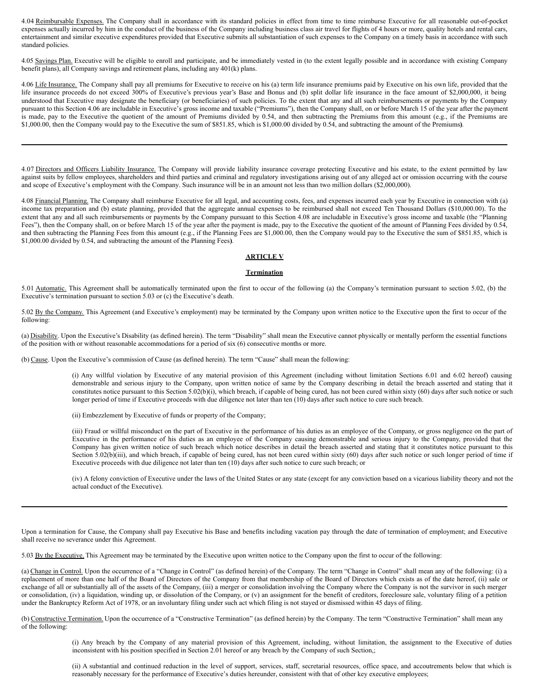<span id="page-37-0"></span>4.04 Reimbursable Expenses. The Company shall in accordance with its standard policies in effect from time to time reimburse Executive for all reasonable out-of-pocket expenses actually incurred by him in the conduct of the business of the Company including business class air travel for flights of 4 hours or more, quality hotels and rental cars, entertainment and similar executive expenditures provided that Executive submits all substantiation of such expenses to the Company on a timely basis in accordance with such standard policies.

4.05 Savings Plan. Executive will be eligible to enroll and participate, and be immediately vested in (to the extent legally possible and in accordance with existing Company benefit plans), all Company savings and retirement plans, including any 401(k) plans.

4.06 Life Insurance. The Company shall pay all premiums for Executive to receive on his (a) term life insurance premiums paid by Executive on his own life, provided that the life insurance proceeds do not exceed 300% of Executive's previous year's Base and Bonus and (b) split dollar life insurance in the face amount of \$2,000,000, it being understood that Executive may designate the beneficiary (or beneficiaries) of such policies. To the extent that any and all such reimbursements or payments by the Company pursuant to this Section 4.06 are includable in Executive's gross income and taxable ("Premiums"), then the Company shall, on or before March 15 of the year after the payment is made, pay to the Executive the quotient of the amount of Premiums divided by 0.54, and then subtracting the Premiums from this amount (e.g., if the Premiums are \$1,000.00, then the Company would pay to the Executive the sum of \$851.85, which is \$1,000.00 divided by 0.54, and subtracting the amount of the Premiums**)**.

4.07 Directors and Officers Liability Insurance. The Company will provide liability insurance coverage protecting Executive and his estate, to the extent permitted by law against suits by fellow employees, shareholders and third parties and criminal and regulatory investigations arising out of any alleged act or omission occurring with the course and scope of Executive's employment with the Company. Such insurance will be in an amount not less than two million dollars (\$2,000,000).

4.08 Financial Planning. The Company shall reimburse Executive for all legal, and accounting costs, fees, and expenses incurred each year by Executive in connection with (a) income tax preparation and (b) estate planning, provided that the aggregate annual expenses to be reimbursed shall not exceed Ten Thousand Dollars (\$10,000.00). To the extent that any and all such reimbursements or payments by the Company pursuant to this Section 4.08 are includable in Executive's gross income and taxable (the "Planning Fees"), then the Company shall, on or before March 15 of the year after the payment is made, pay to the Executive the quotient of the amount of Planning Fees divided by 0.54, and then subtracting the Planning Fees from this amount (e.g., if the Planning Fees are \$1,000.00, then the Company would pay to the Executive the sum of \$851.85, which is \$1,000.00 divided by 0.54, and subtracting the amount of the Planning Fees**)**.

## **ARTICLE V**

#### **Termination**

5.01 Automatic. This Agreement shall be automatically terminated upon the first to occur of the following (a) the Company's termination pursuant to section 5.02, (b) the Executive's termination pursuant to section 5.03 or (c) the Executive's death.

5.02 By the Company. This Agreement (and Executive's employment) may be terminated by the Company upon written notice to the Executive upon the first to occur of the following:

(a) Disability. Upon the Executive's Disability (as defined herein). The term "Disability" shall mean the Executive cannot physically or mentally perform the essential functions of the position with or without reasonable accommodations for a period of six (6) consecutive months or more.

(b) Cause. Upon the Executive's commission of Cause (as defined herein). The term "Cause" shall mean the following:

(i) Any willful violation by Executive of any material provision of this Agreement (including without limitation Sections 6.01 and 6.02 hereof) causing demonstrable and serious injury to the Company, upon written notice of same by the Company describing in detail the breach asserted and stating that it constitutes notice pursuant to this Section 5.02(b)(i), which breach, if capable of being cured, has not been cured within sixty (60) days after such notice or such longer period of time if Executive proceeds with due diligence not later than ten (10) days after such notice to cure such breach.

(ii) Embezzlement by Executive of funds or property of the Company;

(iii) Fraud or willful misconduct on the part of Executive in the performance of his duties as an employee of the Company, or gross negligence on the part of Executive in the performance of his duties as an employee of the Company causing demonstrable and serious injury to the Company, provided that the Company has given written notice of such breach which notice describes in detail the breach asserted and stating that it constitutes notice pursuant to this Section 5.02(b)(iii), and which breach, if capable of being cured, has not been cured within sixty (60) days after such notice or such longer period of time if Executive proceeds with due diligence not later than ten (10) days after such notice to cure such breach; or

(iv) A felony conviction of Executive under the laws of the United States or any state (except for any conviction based on a vicarious liability theory and not the actual conduct of the Executive).

Upon a termination for Cause, the Company shall pay Executive his Base and benefits including vacation pay through the date of termination of employment; and Executive shall receive no severance under this Agreement.

5.03 By the Executive. This Agreement may be terminated by the Executive upon written notice to the Company upon the first to occur of the following:

(a) Change in Control. Upon the occurrence of a "Change in Control" (as defined herein) of the Company. The term "Change in Control" shall mean any of the following: (i) a replacement of more than one half of the Board of Directors of the Company from that membership of the Board of Directors which exists as of the date hereof, (ii) sale or exchange of all or substantially all of the assets of the Company, (iii) a merger or consolidation involving the Company where the Company is not the survivor in such merger or consolidation, (iv) a liquidation, winding up, or dissolution of the Company, or (v) an assignment for the benefit of creditors, foreclosure sale, voluntary filing of a petition under the Bankruptcy Reform Act of 1978, or an involuntary filing under such act which filing is not stayed or dismissed within 45 days of filing.

(b) Constructive Termination. Upon the occurrence of a "Constructive Termination" (as defined herein) by the Company. The term "Constructive Termination" shall mean any of the following:

> (i) Any breach by the Company of any material provision of this Agreement, including, without limitation, the assignment to the Executive of duties inconsistent with his position specified in Section 2.01 hereof or any breach by the Company of such Section,;

> (ii) A substantial and continued reduction in the level of support, services, staff, secretarial resources, office space, and accoutrements below that which is reasonably necessary for the performance of Executive's duties hereunder, consistent with that of other key executive employees;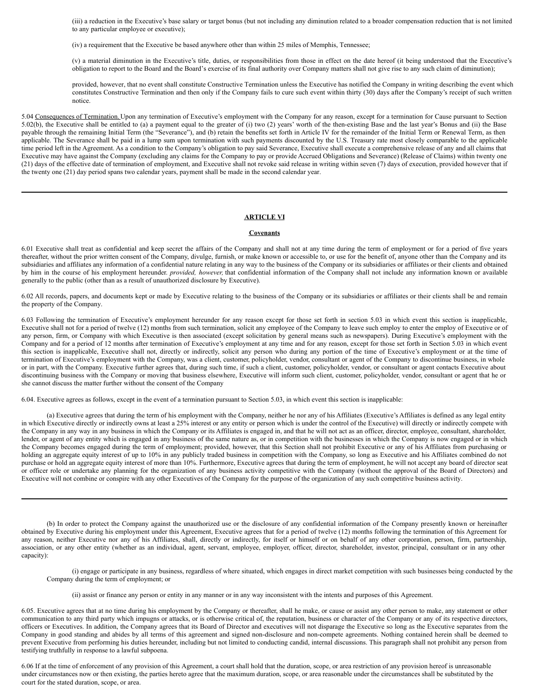(iii) a reduction in the Executive's base salary or target bonus (but not including any diminution related to a broader compensation reduction that is not limited to any particular employee or executive);

(iv) a requirement that the Executive be based anywhere other than within 25 miles of Memphis, Tennessee;

(v) a material diminution in the Executive's title, duties, or responsibilities from those in effect on the date hereof (it being understood that the Executive's obligation to report to the Board and the Board's exercise of its final authority over Company matters shall not give rise to any such claim of diminution);

provided, however, that no event shall constitute Constructive Termination unless the Executive has notified the Company in writing describing the event which constitutes Constructive Termination and then only if the Company fails to cure such event within thirty (30) days after the Company's receipt of such written notice.

5.04 Consequences of Termination. Upon any termination of Executive's employment with the Company for any reason, except for a termination for Cause pursuant to Section 5.02(b), the Executive shall be entitled to (a) a payment equal to the greater of (i) two (2) years' worth of the then-existing Base and the last year's Bonus and (ii) the Base payable through the remaining Initial Term (the "Severance"), and (b) retain the benefits set forth in Article IV for the remainder of the Initial Term or Renewal Term, as then applicable. The Severance shall be paid in a lump sum upon termination with such payments discounted by the U.S. Treasury rate most closely comparable to the applicable time period left in the Agreement. As a condition to the Company's obligation to pay said Severance, Executive shall execute a comprehensive release of any and all claims that Executive may have against the Company (excluding any claims for the Company to pay or provide Accrued Obligations and Severance) (Release of Claims) within twenty one (21) days of the effective date of termination of employment, and Executive shall not revoke said release in writing within seven (7) days of execution, provided however that if the twenty one (21) day period spans two calendar years, payment shall be made in the second calendar year.

## **ARTICLE VI**

#### **Covenants**

6.01 Executive shall treat as confidential and keep secret the affairs of the Company and shall not at any time during the term of employment or for a period of five years thereafter, without the prior written consent of the Company, divulge, furnish, or make known or accessible to, or use for the benefit of, anyone other than the Company and its subsidiaries and affiliates any information of a confidential nature relating in any way to the business of the Company or its subsidiaries or affiliates or their clients and obtained by him in the course of his employment hereunder. *provided, however,* that confidential information of the Company shall not include any information known or available generally to the public (other than as a result of unauthorized disclosure by Executive).

6.02 All records, papers, and documents kept or made by Executive relating to the business of the Company or its subsidiaries or affiliates or their clients shall be and remain the property of the Company.

6.03 Following the termination of Executive's employment hereunder for any reason except for those set forth in section 5.03 in which event this section is inapplicable, Executive shall not for a period of twelve (12) months from such termination, solicit any employee of the Company to leave such employ to enter the employ of Executive or of any person, firm, or Company with which Executive is then associated (except solicitation by general means such as newspapers). During Executive's employment with the Company and for a period of 12 months after termination of Executive's employment at any time and for any reason, except for those set forth in Section 5.03 in which event this section is inapplicable, Executive shall not, directly or indirectly, solicit any person who during any portion of the time of Executive's employment or at the time of termination of Executive's employment with the Company, was a client, customer, policyholder, vendor, consultant or agent of the Company to discontinue business, in whole or in part, with the Company. Executive further agrees that, during such time, if such a client, customer, policyholder, vendor, or consultant or agent contacts Executive about discontinuing business with the Company or moving that business elsewhere, Executive will inform such client, customer, policyholder, vendor, consultant or agent that he or she cannot discuss the matter further without the consent of the Company

6.04. Executive agrees as follows, except in the event of a termination pursuant to Section 5.03, in which event this section is inapplicable:

(a) Executive agrees that during the term of his employment with the Company, neither he nor any of his Affiliates (Executive's Affiliates is defined as any legal entity in which Executive directly or indirectly owns at least a 25% interest or any entity or person which is under the control of the Executive) will directly or indirectly compete with the Company in any way in any business in which the Company or its Affiliates is engaged in, and that he will not act as an officer, director, employee, consultant, shareholder, lender, or agent of any entity which is engaged in any business of the same nature as, or in competition with the businesses in which the Company is now engaged or in which the Company becomes engaged during the term of employment; provided, however, that this Section shall not prohibit Executive or any of his Affiliates from purchasing or holding an aggregate equity interest of up to 10% in any publicly traded business in competition with the Company, so long as Executive and his Affiliates combined do not purchase or hold an aggregate equity interest of more than 10%. Furthermore, Executive agrees that during the term of employment, he will not accept any board of director seat or officer role or undertake any planning for the organization of any business activity competitive with the Company (without the approval of the Board of Directors) and Executive will not combine or conspire with any other Executives of the Company for the purpose of the organization of any such competitive business activity.

(b) In order to protect the Company against the unauthorized use or the disclosure of any confidential information of the Company presently known or hereinafter obtained by Executive during his employment under this Agreement, Executive agrees that for a period of twelve (12) months following the termination of this Agreement for any reason, neither Executive nor any of his Affiliates, shall, directly or indirectly, for itself or himself or on behalf of any other corporation, person, firm, partnership, association, or any other entity (whether as an individual, agent, servant, employee, employer, officer, director, shareholder, investor, principal, consultant or in any other capacity):

(i) engage or participate in any business, regardless of where situated, which engages in direct market competition with such businesses being conducted by the Company during the term of employment; or

(ii) assist or finance any person or entity in any manner or in any way inconsistent with the intents and purposes of this Agreement.

6.05. Executive agrees that at no time during his employment by the Company or thereafter, shall he make, or cause or assist any other person to make, any statement or other communication to any third party which impugns or attacks, or is otherwise critical of, the reputation, business or character of the Company or any of its respective directors, officers or Executives. In addition, the Company agrees that its Board of Director and executives will not disparage the Executive so long as the Executive separates from the Company in good standing and abides by all terms of this agreement and signed non-disclosure and non-compete agreements. Nothing contained herein shall be deemed to prevent Executive from performing his duties hereunder, including but not limited to conducting candid, internal discussions. This paragraph shall not prohibit any person from testifying truthfully in response to a lawful subpoena.

6.06 If at the time of enforcement of any provision of this Agreement, a court shall hold that the duration, scope, or area restriction of any provision hereof is unreasonable under circumstances now or then existing, the parties hereto agree that the maximum duration, scope, or area reasonable under the circumstances shall be substituted by the court for the stated duration, scope, or area.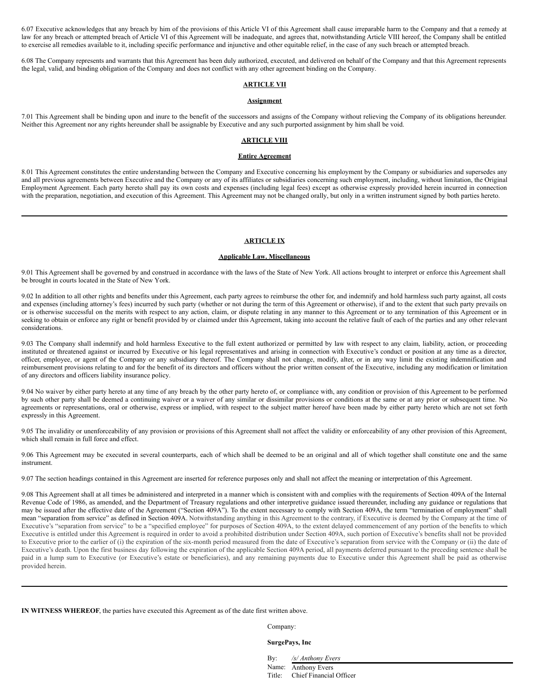6.07 Executive acknowledges that any breach by him of the provisions of this Article VI of this Agreement shall cause irreparable harm to the Company and that a remedy at law for any breach or attempted breach of Article VI of this Agreement will be inadequate, and agrees that, notwithstanding Article VIII hereof, the Company shall be entitled to exercise all remedies available to it, including specific performance and injunctive and other equitable relief, in the case of any such breach or attempted breach.

6.08 The Company represents and warrants that this Agreement has been duly authorized, executed, and delivered on behalf of the Company and that this Agreement represents the legal, valid, and binding obligation of the Company and does not conflict with any other agreement binding on the Company.

## **ARTICLE VII**

## **Assignment**

7.01 This Agreement shall be binding upon and inure to the benefit of the successors and assigns of the Company without relieving the Company of its obligations hereunder. Neither this Agreement nor any rights hereunder shall be assignable by Executive and any such purported assignment by him shall be void.

## **ARTICLE VIII**

#### **Entire Agreement**

8.01 This Agreement constitutes the entire understanding between the Company and Executive concerning his employment by the Company or subsidiaries and supersedes any and all previous agreements between Executive and the Company or any of its affiliates or subsidiaries concerning such employment, including, without limitation, the Original Employment Agreement. Each party hereto shall pay its own costs and expenses (including legal fees) except as otherwise expressly provided herein incurred in connection with the preparation, negotiation, and execution of this Agreement. This Agreement may not be changed orally, but only in a written instrument signed by both parties hereto.

#### **ARTICLE IX**

#### **Applicable Law. Miscellaneous**

9.01 This Agreement shall be governed by and construed in accordance with the laws of the State of New York. All actions brought to interpret or enforce this Agreement shall be brought in courts located in the State of New York.

9.02 In addition to all other rights and benefits under this Agreement, each party agrees to reimburse the other for, and indemnify and hold harmless such party against, all costs and expenses (including attorney's fees) incurred by such party (whether or not during the term of this Agreement or otherwise), if and to the extent that such party prevails on or is otherwise successful on the merits with respect to any action, claim, or dispute relating in any manner to this Agreement or to any termination of this Agreement or in seeking to obtain or enforce any right or benefit provided by or claimed under this Agreement, taking into account the relative fault of each of the parties and any other relevant considerations.

9.03 The Company shall indemnify and hold harmless Executive to the full extent authorized or permitted by law with respect to any claim, liability, action, or proceeding instituted or threatened against or incurred by Executive or his legal representatives and arising in connection with Executive's conduct or position at any time as a director, officer, employee, or agent of the Company or any subsidiary thereof. The Company shall not change, modify, alter, or in any way limit the existing indemnification and reimbursement provisions relating to and for the benefit of its directors and officers without the prior written consent of the Executive, including any modification or limitation of any directors and officers liability insurance policy.

9.04 No waiver by either party hereto at any time of any breach by the other party hereto of, or compliance with, any condition or provision of this Agreement to be performed by such other party shall be deemed a continuing waiver or a waiver of any similar or dissimilar provisions or conditions at the same or at any prior or subsequent time. No agreements or representations, oral or otherwise, express or implied, with respect to the subject matter hereof have been made by either party hereto which are not set forth expressly in this Agreement.

9.05 The invalidity or unenforceability of any provision or provisions of this Agreement shall not affect the validity or enforceability of any other provision of this Agreement, which shall remain in full force and effect.

9.06 This Agreement may be executed in several counterparts, each of which shall be deemed to be an original and all of which together shall constitute one and the same instrument.

9.07 The section headings contained in this Agreement are inserted for reference purposes only and shall not affect the meaning or interpretation of this Agreement.

9.08 This Agreement shall at all times be administered and interpreted in a manner which is consistent with and complies with the requirements of Section 409A of the Internal Revenue Code of 1986, as amended, and the Department of Treasury regulations and other interpretive guidance issued thereunder, including any guidance or regulations that may be issued after the effective date of the Agreement ("Section 409A"). To the extent necessary to comply with Section 409A, the term "termination of employment" shall mean "separation from service" as defined in Section 409A. Notwithstanding anything in this Agreement to the contrary, if Executive is deemed by the Company at the time of Executive's "separation from service" to be a "specified employee" for purposes of Section 409A, to the extent delayed commencement of any portion of the benefits to which Executive is entitled under this Agreement is required in order to avoid a prohibited distribution under Section 409A, such portion of Executive's benefits shall not be provided to Executive prior to the earlier of (i) the expiration of the six-month period measured from the date of Executive's separation from service with the Company or (ii) the date of Executive's death. Upon the first business day following the expiration of the applicable Section 409A period, all payments deferred pursuant to the preceding sentence shall be paid in a lump sum to Executive (or Executive's estate or beneficiaries), and any remaining payments due to Executive under this Agreement shall be paid as otherwise provided herein.

**IN WITNESS WHEREOF**, the parties have executed this Agreement as of the date first written above.

Company:

**SurgePays, Inc**

By: */s/ Anthony Evers*

Title: Chief Financial Officer

Name: Anthony Evers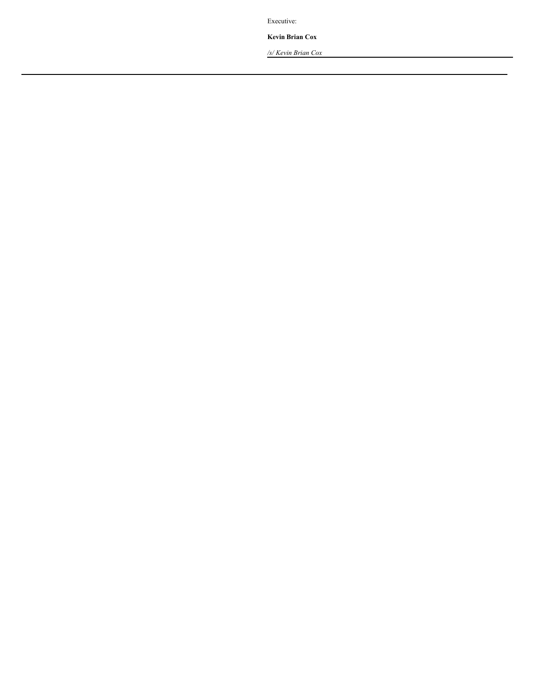Executive:

**Kevin Brian Cox**

*/s/ Kevin Brian Cox*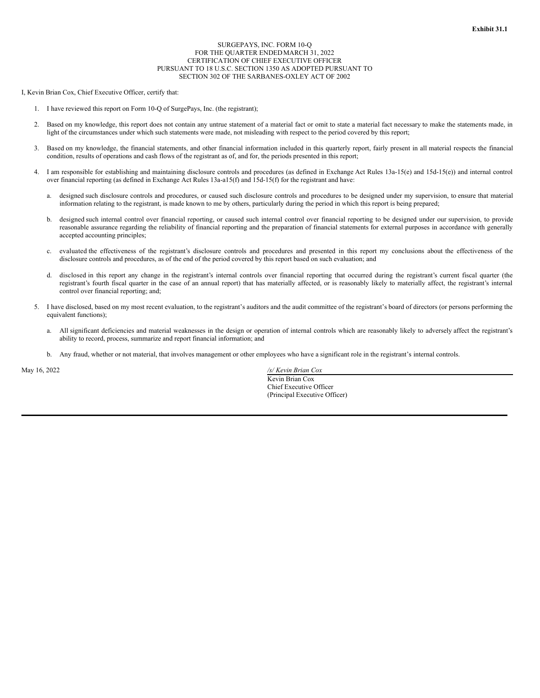#### SURGEPAYS, INC. FORM 10-Q FOR THE QUARTER ENDEDMARCH 31, 2022 CERTIFICATION OF CHIEF EXECUTIVE OFFICER PURSUANT TO 18 U.S.C. SECTION 1350 AS ADOPTED PURSUANT TO SECTION 302 OF THE SARBANES-OXLEY ACT OF 2002

<span id="page-41-0"></span>I, Kevin Brian Cox, Chief Executive Officer, certify that:

- 1. I have reviewed this report on Form 10-Q of SurgePays, Inc. (the registrant);
- 2. Based on my knowledge, this report does not contain any untrue statement of a material fact or omit to state a material fact necessary to make the statements made, in light of the circumstances under which such statements were made, not misleading with respect to the period covered by this report;
- 3. Based on my knowledge, the financial statements, and other financial information included in this quarterly report, fairly present in all material respects the financial condition, results of operations and cash flows of the registrant as of, and for, the periods presented in this report;
- 4. I am responsible for establishing and maintaining disclosure controls and procedures (as defined in Exchange Act Rules 13a-15(e) and 15d-15(e)) and internal control over financial reporting (as defined in Exchange Act Rules 13a-a15(f) and 15d-15(f) for the registrant and have:
	- a. designed such disclosure controls and procedures, or caused such disclosure controls and procedures to be designed under my supervision, to ensure that material information relating to the registrant, is made known to me by others, particularly during the period in which this report is being prepared;
	- b. designed such internal control over financial reporting, or caused such internal control over financial reporting to be designed under our supervision, to provide reasonable assurance regarding the reliability of financial reporting and the preparation of financial statements for external purposes in accordance with generally accepted accounting principles;
	- c. evaluated the effectiveness of the registrant's disclosure controls and procedures and presented in this report my conclusions about the effectiveness of the disclosure controls and procedures, as of the end of the period covered by this report based on such evaluation; and
	- d. disclosed in this report any change in the registrant's internal controls over financial reporting that occurred during the registrant's current fiscal quarter (the registrant's fourth fiscal quarter in the case of an annual report) that has materially affected, or is reasonably likely to materially affect, the registrant's internal control over financial reporting; and;
- 5. I have disclosed, based on my most recent evaluation, to the registrant's auditors and the audit committee of the registrant's board of directors (or persons performing the equivalent functions);
	- a. All significant deficiencies and material weaknesses in the design or operation of internal controls which are reasonably likely to adversely affect the registrant's ability to record, process, summarize and report financial information; and
	- b. Any fraud, whether or not material, that involves management or other employees who have a significant role in the registrant's internal controls.

May 16, 2022 */s/ Kevin Brian Cox* Kevin Brian Cox Chief Executive Officer (Principal Executive Officer)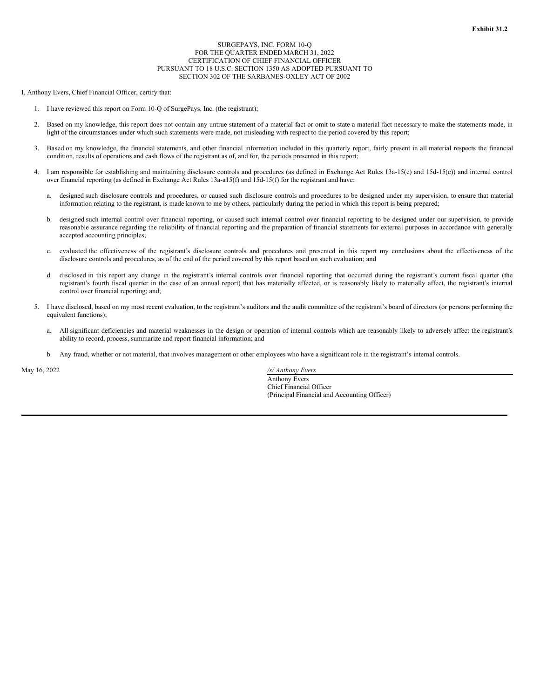#### SURGEPAYS, INC. FORM 10-Q FOR THE QUARTER ENDEDMARCH 31, 2022 CERTIFICATION OF CHIEF FINANCIAL OFFICER PURSUANT TO 18 U.S.C. SECTION 1350 AS ADOPTED PURSUANT TO SECTION 302 OF THE SARBANES-OXLEY ACT OF 2002

<span id="page-42-0"></span>I, Anthony Evers, Chief Financial Officer, certify that:

- 1. I have reviewed this report on Form 10-Q of SurgePays, Inc. (the registrant);
- 2. Based on my knowledge, this report does not contain any untrue statement of a material fact or omit to state a material fact necessary to make the statements made, in light of the circumstances under which such statements were made, not misleading with respect to the period covered by this report;
- 3. Based on my knowledge, the financial statements, and other financial information included in this quarterly report, fairly present in all material respects the financial condition, results of operations and cash flows of the registrant as of, and for, the periods presented in this report;
- 4. I am responsible for establishing and maintaining disclosure controls and procedures (as defined in Exchange Act Rules 13a-15(e) and 15d-15(e)) and internal control over financial reporting (as defined in Exchange Act Rules 13a-a15(f) and 15d-15(f) for the registrant and have:
	- a. designed such disclosure controls and procedures, or caused such disclosure controls and procedures to be designed under my supervision, to ensure that material information relating to the registrant, is made known to me by others, particularly during the period in which this report is being prepared;
	- b. designed such internal control over financial reporting, or caused such internal control over financial reporting to be designed under our supervision, to provide reasonable assurance regarding the reliability of financial reporting and the preparation of financial statements for external purposes in accordance with generally accepted accounting principles;
	- c. evaluated the effectiveness of the registrant's disclosure controls and procedures and presented in this report my conclusions about the effectiveness of the disclosure controls and procedures, as of the end of the period covered by this report based on such evaluation; and
	- d. disclosed in this report any change in the registrant's internal controls over financial reporting that occurred during the registrant's current fiscal quarter (the registrant's fourth fiscal quarter in the case of an annual report) that has materially affected, or is reasonably likely to materially affect, the registrant's internal control over financial reporting; and;
- 5. I have disclosed, based on my most recent evaluation, to the registrant's auditors and the audit committee of the registrant's board of directors (or persons performing the equivalent functions);
	- a. All significant deficiencies and material weaknesses in the design or operation of internal controls which are reasonably likely to adversely affect the registrant's ability to record, process, summarize and report financial information; and
	- b. Any fraud, whether or not material, that involves management or other employees who have a significant role in the registrant's internal controls.

May 16, 2022 */s/ Anthony Evers*

Anthony Evers Chief Financial Officer (Principal Financial and Accounting Officer)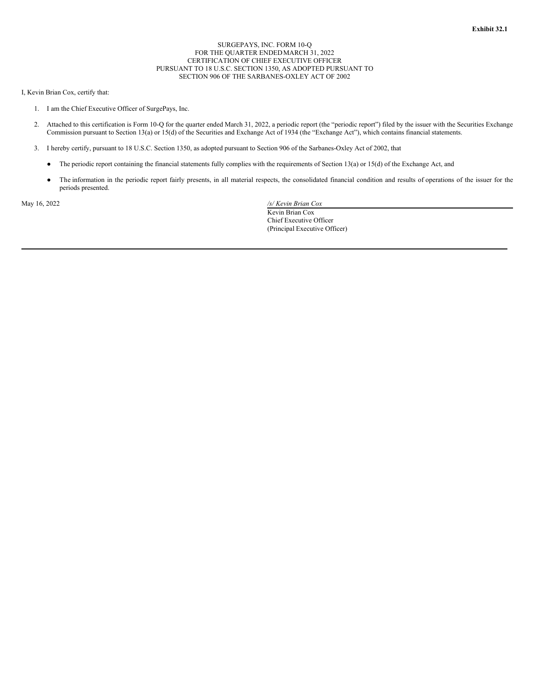#### SURGEPAYS, INC. FORM 10-Q FOR THE QUARTER ENDEDMARCH 31, 2022 CERTIFICATION OF CHIEF EXECUTIVE OFFICER PURSUANT TO 18 U.S.C. SECTION 1350, AS ADOPTED PURSUANT TO SECTION 906 OF THE SARBANES-OXLEY ACT OF 2002

#### <span id="page-43-0"></span>I, Kevin Brian Cox, certify that:

- 1. I am the Chief Executive Officer of SurgePays, Inc.
- 2. Attached to this certification is Form 10-Q for the quarter ended March 31, 2022, a periodic report (the "periodic report") filed by the issuer with the Securities Exchange Commission pursuant to Section 13(a) or 15(d) of the Securities and Exchange Act of 1934 (the "Exchange Act"), which contains financial statements.
- 3. I hereby certify, pursuant to 18 U.S.C. Section 1350, as adopted pursuant to Section 906 of the Sarbanes-Oxley Act of 2002, that
	- The periodic report containing the financial statements fully complies with the requirements of Section 13(a) or 15(d) of the Exchange Act, and
	- The information in the periodic report fairly presents, in all material respects, the consolidated financial condition and results of operations of the issuer for the periods presented.

May 16, 2022 */s/ Kevin Brian Cox* Kevin Brian Cox Chief Executive Officer (Principal Executive Officer)